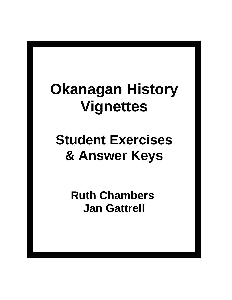# **Okanagan History Vignettes**

# **Student Exercises & Answer Keys**

**Ruth Chambers Jan Gattrell**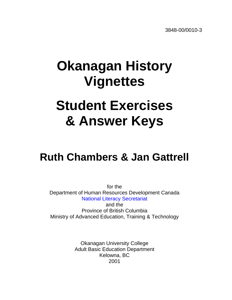# **Okanagan History Vignettes**

# **Student Exercises & Answer Keys**

## **Ruth Chambers & Jan Gattrell**

for the Department of Human Resources Development Canada [National Literacy Secretariat](http://www.nald.ca/nls.htm) and the Province of British Columbia Ministry of Advanced Education, Training & Technology

> Okanagan University College Adult Basic Education Department Kelowna, BC 2001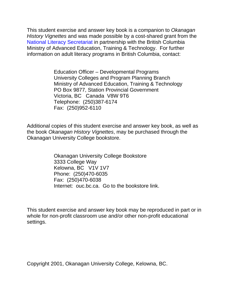This student exercise and answer key book is a companion to Okanagan History Vignettes and was made possible by a cost-shared grant from the [National Literacy Secretariat](http://www.nald.ca/nls.htm) in partnership with the British Columbia Ministry of Advanced Education, Training & Technology. For further information on adult literacy programs in British Columbia, contact:

> Education Officer – Developmental Programs University Colleges and Program Planning Branch Ministry of Advanced Education, Training & Technology PO Box 9877, Station Provincial Government Victoria, BC Canada V8W 9T6 Telephone: (250)387-6174 Fax: (250)952-6110

Additional copies of this student exercise and answer key book, as well as the book Okanagan History Vignettes, may be purchased through the Okanagan University College bookstore.

> Okanagan University College Bookstore 3333 College Way Kelowna, BC V1V 1V7 Phone: (250)470-6035 Fax: (250)470-6038 Internet: ouc.bc.ca. Go to the bookstore link.

This student exercise and answer key book may be reproduced in part or in whole for non-profit classroom use and/or other non-profit educational settings.

Copyright 2001, Okanagan University College, Kelowna, BC.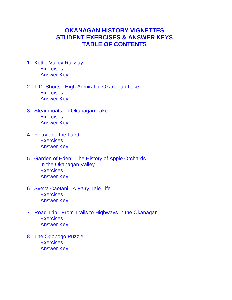#### **OKANAGAN HISTORY VIGNETTES STUDENT EXERCISES & ANSWER KEYS TABLE OF CONTENTS**

- [1. Kettle Valley Railway](#page-4-0)  **[Exercises](#page-5-0)** [Answer Key](#page-25-0)
- [2. T.D. Shorts: High Admiral of Okanagan Lake](#page-30-0) **[Exercises](#page-31-0)** [Answer Key](#page-53-0)
- [3. Steamboats on Okanagan Lake](#page-59-0) **[Exercises](#page-60-0)** [Answer Key](#page-78-0)
- [4. Fintry and the Laird](#page-83-0) **[Exercises](#page-84-0)** [Answer Key](#page-104-0)
- 5. [Garden of Eden: The History of Apple Orchards](#page-111-0) In the Okanagan Valley **[Exercises](#page-112-0)** [Answer Key](#page-130-0)
- [6. Sveva Caetani: A Fairy Tale Life](#page-135-0) **[Exercises](#page-136-0)** [Answer Key](#page-155-0)
- [7. Road Trip: From Trails to Highways in the Okanagan](#page-162-0) **[Exercises](#page-163-0)** [Answer Key](#page-183-0)
- [8. The Ogopogo Puzzle](#page-190-0) **[Exercises](#page-191-0)** [Answer Key](#page-210-0)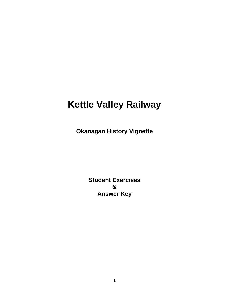### <span id="page-4-0"></span>**Kettle Valley Railway**

**Okanagan History Vignette**

**Student Exercises & Answer Key**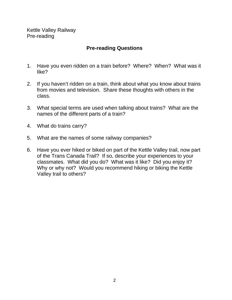<span id="page-5-0"></span>Kettle Valley Railway Pre-reading

#### **Pre-reading Questions**

- 1. Have you even ridden on a train before? Where? When? What was it like?
- 2. If you haven't ridden on a train, think about what you know about trains from movies and television. Share these thoughts with others in the class.
- 3. What special terms are used when talking about trains? What are the names of the different parts of a train?
- 4. What do trains carry?
- 5. What are the names of some railway companies?
- 6. Have you ever hiked or biked on part of the Kettle Valley trail, now part of the Trans Canada Trail? If so, describe your experiences to your classmates. What did you do? What was it like? Did you enjoy it? Why or why not? Would you recommend hiking or biking the Kettle Valley trail to others?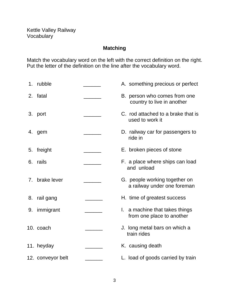#### **Matching**

Match the vocabulary word on the left with the correct definition on the right. Put the letter of the definition on the line after the vocabulary word.

| 1. | rubble            | A. something precious or perfect                               |
|----|-------------------|----------------------------------------------------------------|
| 2. | fatal             | B. person who comes from one<br>country to live in another     |
| 3. | port              | C. rod attached to a brake that is<br>used to work it          |
| 4. | gem               | D. railway car for passengers to<br>ride in                    |
| 5. | freight           | E. broken pieces of stone                                      |
| 6. | rails             | F. a place where ships can load<br>and unload                  |
| 7. | brake lever       | G. people working together on<br>a railway under one foreman   |
| 8. | rail gang         | H. time of greatest success                                    |
| 9. | immigrant         | a machine that takes things<br>Ι.<br>from one place to another |
|    | 10. coach         | J. long metal bars on which a<br>train rides                   |
|    | 11. heyday        | K. causing death                                               |
|    | 12. conveyor belt | L. load of goods carried by train                              |
|    |                   |                                                                |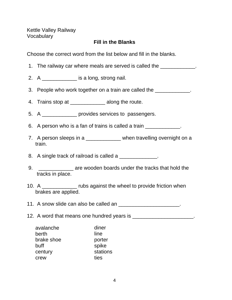Kettle Valley Railway **Vocabulary** 

#### **Fill in the Blanks**

Choose the correct word from the list below and fill in the blanks.

- 1. The railway car where meals are served is called the \_\_\_\_\_\_\_\_\_\_\_\_\_.
- 2. A \_\_\_\_\_\_\_\_\_\_\_\_\_\_ is a long, strong nail.
- 3. People who work together on a train are called the \_\_\_\_\_\_\_\_\_\_\_\_.
- 4. Trains stop at **All along the route.**
- 5. A \_\_\_\_\_\_\_\_\_\_\_\_ provides services to passengers.
- 6. A person who is a fan of trains is called a train \_\_\_\_\_\_\_\_\_\_\_\_.
- 7. A person sleeps in a \_\_\_\_\_\_\_\_\_\_\_\_ when travelling overnight on a train.

8. A single track of railroad is called a \_\_\_\_\_\_\_\_\_\_\_\_\_.

- 9. \_\_\_\_\_\_\_\_\_\_\_\_ are wooden boards under the tracks that hold the tracks in place.
- 10. A \_\_\_\_\_\_\_\_\_\_\_\_ rubs against the wheel to provide friction when brakes are applied.

11. A snow slide can also be called an \_\_\_\_\_\_\_\_\_\_\_\_\_\_\_\_\_\_\_\_\_\_.

12. A word that means one hundred years is \_\_\_\_\_\_\_\_\_\_\_\_\_\_\_\_\_\_\_\_\_\_\_.

| avalanche  | diner    |
|------------|----------|
| berth      | line     |
| brake shoe | porter   |
| buff       | spike    |
| century    | stations |
| crew       | ties     |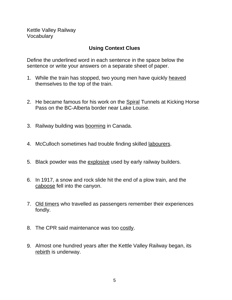Kettle Valley Railway Vocabulary

#### **Using Context Clues**

Define the underlined word in each sentence in the space below the sentence or write your answers on a separate sheet of paper.

- 1. While the train has stopped, two young men have quickly heaved themselves to the top of the train.
- 2. He became famous for his work on the Spiral Tunnels at Kicking Horse Pass on the BC-Alberta border near Lake Louise.
- 3. Railway building was booming in Canada.
- 4. McCulloch sometimes had trouble finding skilled labourers.
- 5. Black powder was the explosive used by early railway builders.
- 6. In 1917, a snow and rock slide hit the end of a plow train, and the caboose fell into the canyon.
- 7. Old timers who travelled as passengers remember their experiences fondly.
- 8. The CPR said maintenance was too costly.
- 9. Almost one hundred years after the Kettle Valley Railway began, its rebirth is underway.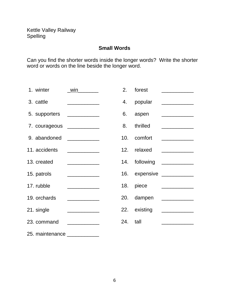#### **Small Words**

Can you find the shorter words inside the longer words? Write the shorter word or words on the line beside the longer word.

| 1. winter                     | $\n  win\n$ | 2. | forest       | <u> 1980 - Andrea Andrew Maria III (m. 1950)</u>                                                                                                                                                                                                                                                                                                                                                                                                                                       |
|-------------------------------|-------------|----|--------------|----------------------------------------------------------------------------------------------------------------------------------------------------------------------------------------------------------------------------------------------------------------------------------------------------------------------------------------------------------------------------------------------------------------------------------------------------------------------------------------|
| 3. cattle                     |             | 4. | popular      |                                                                                                                                                                                                                                                                                                                                                                                                                                                                                        |
| 5. supporters ______________  |             |    | 6. aspen     |                                                                                                                                                                                                                                                                                                                                                                                                                                                                                        |
| 7. courageous _____________   |             | 8. | thrilled     |                                                                                                                                                                                                                                                                                                                                                                                                                                                                                        |
| 9. abandoned ______________   |             |    | 10. comfort  |                                                                                                                                                                                                                                                                                                                                                                                                                                                                                        |
| 11. accidents                 |             |    | 12. relaxed  |                                                                                                                                                                                                                                                                                                                                                                                                                                                                                        |
| 13. created                   |             |    |              | 14. following ___________                                                                                                                                                                                                                                                                                                                                                                                                                                                              |
| 15. patrols                   |             |    |              | 16. expensive ____________                                                                                                                                                                                                                                                                                                                                                                                                                                                             |
| 17. rubble                    |             |    | 18. piece    | $\begin{array}{cccccccccc} \multicolumn{2}{c}{} & \multicolumn{2}{c}{} & \multicolumn{2}{c}{} & \multicolumn{2}{c}{} & \multicolumn{2}{c}{} & \multicolumn{2}{c}{} & \multicolumn{2}{c}{} & \multicolumn{2}{c}{} & \multicolumn{2}{c}{} & \multicolumn{2}{c}{} & \multicolumn{2}{c}{} & \multicolumn{2}{c}{} & \multicolumn{2}{c}{} & \multicolumn{2}{c}{} & \multicolumn{2}{c}{} & \multicolumn{2}{c}{} & \multicolumn{2}{c}{} & \multicolumn{2}{c}{} & \multicolumn{2}{c}{} & \mult$ |
| 19. orchards                  |             |    | 20. dampen   |                                                                                                                                                                                                                                                                                                                                                                                                                                                                                        |
| 21. single                    |             |    | 22. existing |                                                                                                                                                                                                                                                                                                                                                                                                                                                                                        |
| 23. command                   |             |    | 24. tall     |                                                                                                                                                                                                                                                                                                                                                                                                                                                                                        |
| 25. maintenance _____________ |             |    |              |                                                                                                                                                                                                                                                                                                                                                                                                                                                                                        |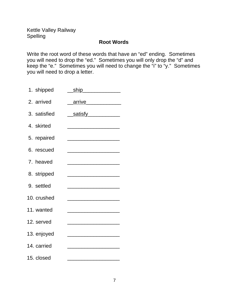Kettle Valley Railway Spelling

#### **Root Words**

Write the root word of these words that have an "ed" ending. Sometimes you will need to drop the "ed." Sometimes you will only drop the "d" and keep the "e." Sometimes you will need to change the "i" to "y." Sometimes you will need to drop a letter.

| 1. shipped   | ship ship                                                                                                                                                                                                                            |
|--------------|--------------------------------------------------------------------------------------------------------------------------------------------------------------------------------------------------------------------------------------|
| 2. arrived   | arrive <b>Exercise Service Service Service</b>                                                                                                                                                                                       |
| 3. satisfied | <u>satisfy</u>                                                                                                                                                                                                                       |
| 4. skirted   | <u> 2002 - Jan James James Barnett, mars andre son f</u>                                                                                                                                                                             |
| 5. repaired  | <u> 1989 - Johann Stoff, deutscher Stoffen und der Stoffen und der Stoffen und der Stoffen und der Stoffen und der </u>                                                                                                              |
| 6. rescued   |                                                                                                                                                                                                                                      |
| 7. heaved    |                                                                                                                                                                                                                                      |
| 8. stripped  | <u> 2002 - Johann John Harry John Harry John Harry John Harry John Harry John Harry John Harry John Harry John Harry John Harry John Harry John Harry John Harry John Harry John Harry John Harry John Harry John Harry John Har</u> |
| 9. settled   |                                                                                                                                                                                                                                      |
| 10. crushed  | <u> 1989 - Johann John Stone, mars et al. 1989 - John Stone, mars et al. 1989 - John Stone, mars et al. 1989 - Joh</u>                                                                                                               |
| 11. wanted   |                                                                                                                                                                                                                                      |
| 12. served   |                                                                                                                                                                                                                                      |
| 13. enjoyed  |                                                                                                                                                                                                                                      |
| 14. carried  | <u> 1989 - Johann Harry Harry Harry Harry Harry Harry Harry Harry Harry Harry Harry Harry Harry Harry Harry Harry</u>                                                                                                                |
| 15. closed   |                                                                                                                                                                                                                                      |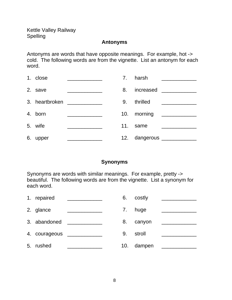Kettle Valley Railway Spelling

#### **Antonyms**

Antonyms are words that have opposite meanings. For example, hot -> cold. The following words are from the vignette. List an antonym for each word.

| 1. close |                                                                                                                        |     | 7. harsh          |                                                                                                                                                                                                                                      |
|----------|------------------------------------------------------------------------------------------------------------------------|-----|-------------------|--------------------------------------------------------------------------------------------------------------------------------------------------------------------------------------------------------------------------------------|
| 2. save  |                                                                                                                        | 8.  | increased _______ |                                                                                                                                                                                                                                      |
|          | 3. heartbroken _____________                                                                                           | 9.  | thrilled          | <u> 1980 - Andrea Aonaich an Dùbhlachd an Dùbhlachd an Dùbhlachd an Dùbhlachd an Dùbhlachd an Dùbhlachd an Dùbhlachd an Dùbhlachd an Dùbhlachd an Dùbhlachd an Dùbhlachd an Dùbhlachd an Dùbhlachd an Dùbhlachd an Dùbhlachd an </u> |
| 4. born  |                                                                                                                        |     | 10. morning       |                                                                                                                                                                                                                                      |
| 5. wife  | <u> Alexandria (Carlo Carlo Carlo Carlo Carlo Carlo Carlo Carlo Carlo Carlo Carlo Carlo Carlo Carlo Carlo Carlo Ca</u> | 11. | same              |                                                                                                                                                                                                                                      |
| 6. upper |                                                                                                                        | 12. | dangerous _______ |                                                                                                                                                                                                                                      |

#### **Synonyms**

Synonyms are words with similar meanings. For example, pretty -> beautiful. The following words are from the vignette. List a synonym for each word.

|    | 1. repaired   |                                                                                                                       |     | 6. costly |  |
|----|---------------|-----------------------------------------------------------------------------------------------------------------------|-----|-----------|--|
|    | 2. glance     |                                                                                                                       | 7.  | huge      |  |
|    | 3. abandoned  | <u> 1980 - Jan Barbara Barbara, prima prima prima prima prima prima prima prima prima prima prima prima prima pri</u> | 8.  | canyon    |  |
|    | 4. courageous |                                                                                                                       | 9.  | stroll    |  |
| 5. | rushed        |                                                                                                                       | 10. | dampen    |  |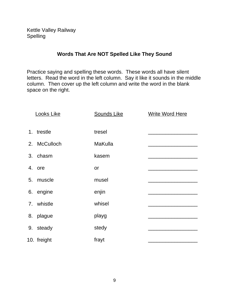Kettle Valley Railway Spelling

#### **Words That Are NOT Spelled Like They Sound**

Practice saying and spelling these words. These words all have silent letters. Read the word in the left column. Say it like it sounds in the middle column. Then cover up the left column and write the word in the blank space on the right.

| <b>Looks Like</b> | <b>Sounds Like</b> | <b>Write Word Here</b> |
|-------------------|--------------------|------------------------|
| 1. trestle        | tresel             |                        |
| 2. McCulloch      | <b>MaKulla</b>     |                        |
| 3. chasm          | kasem              |                        |
| 4. ore            | or                 |                        |
| 5. muscle         | musel              |                        |
| 6. engine         | enjin              |                        |
| 7. whistle        | whisel             |                        |
| 8. plague         | playg              |                        |
| 9. steady         | stedy              |                        |
| 10. freight       | frayt              |                        |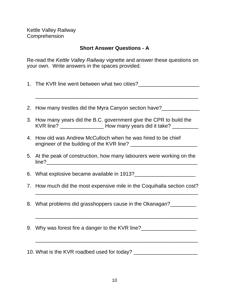#### **Short Answer Questions - A**

Re-read the Kettle Valley Railway vignette and answer these questions on your own. Write answers in the spaces provided.

1. The KVR line went between what two cities?

\_\_\_\_\_\_\_\_\_\_\_\_\_\_\_\_\_\_\_\_\_\_\_\_\_\_\_\_\_\_\_\_\_\_\_\_\_\_\_\_\_\_\_\_\_\_\_\_\_\_\_\_\_\_\_\_

- 2. How many trestles did the Myra Canyon section have? 3. How many years did the B.C. government give the CPR to build the KVR line? \_\_\_\_\_\_\_\_\_\_\_\_\_\_\_\_\_\_\_\_\_\_\_ How many years did it take?
- 4. How old was Andrew McCulloch when he was hired to be chief engineer of the building of the KVR line? \_\_\_\_\_\_\_\_\_\_\_\_\_\_\_\_\_\_\_\_\_\_\_
- 5. At the peak of construction, how many labourers were working on the line?\_\_\_\_\_\_\_\_\_\_\_\_\_\_\_\_\_\_\_\_\_\_\_\_\_\_\_\_\_\_\_\_\_\_\_\_\_\_\_\_\_\_\_\_\_\_\_\_\_\_\_\_
- 6. What explosive became available in 1913?
- 7. How much did the most expensive mile in the Coquihalla section cost?

\_\_\_\_\_\_\_\_\_\_\_\_\_\_\_\_\_\_\_\_\_\_\_\_\_\_\_\_\_\_\_\_\_\_\_\_\_\_\_\_\_\_\_\_\_\_\_\_\_\_\_\_\_\_\_\_

\_\_\_\_\_\_\_\_\_\_\_\_\_\_\_\_\_\_\_\_\_\_\_\_\_\_\_\_\_\_\_\_\_\_\_\_\_\_\_\_\_\_\_\_\_\_\_\_\_\_\_\_\_\_\_\_

\_\_\_\_\_\_\_\_\_\_\_\_\_\_\_\_\_\_\_\_\_\_\_\_\_\_\_\_\_\_\_\_\_\_\_\_\_\_\_\_\_\_\_\_\_\_\_\_\_\_\_\_\_\_\_\_

- 8. What problems did grasshoppers cause in the Okanagan?
- 9. Why was forest fire a danger to the KVR line?

10. What is the KVR roadbed used for today?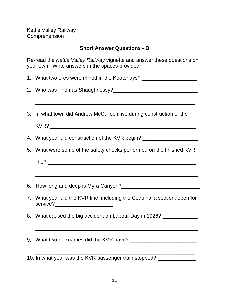#### **Short Answer Questions - B**

Re-read the Kettle Valley Railway vignette and answer these questions on your own. Write answers in the spaces provided.

|  |  | 1. What two ores were mined in the Kootenays? |  |
|--|--|-----------------------------------------------|--|
|--|--|-----------------------------------------------|--|

- 2. Who was Thomas Shaughnessy?
- 3. In what town did Andrew McCulloch live during construction of the

\_\_\_\_\_\_\_\_\_\_\_\_\_\_\_\_\_\_\_\_\_\_\_\_\_\_\_\_\_\_\_\_\_\_\_\_\_\_\_\_\_\_\_\_\_\_\_\_\_\_\_\_\_\_\_

- 4. What year did construction of the KVR begin? \_\_\_\_\_\_\_\_\_\_\_\_\_\_\_\_\_\_\_\_\_\_\_\_\_\_\_\_\_\_\_\_
- 5. What were some of the safety checks performed on the finished KVR

 $line?$ 

- 6. How long and deep is Myra Canyon?\_\_\_\_\_\_\_\_\_\_\_\_\_\_\_\_\_\_\_\_\_\_\_\_\_\_\_
- 7. What year did the KVR line, including the Coquihalla section, open for service?\_\_\_\_\_\_\_\_\_\_\_\_\_\_\_\_\_\_\_\_

\_\_\_\_\_\_\_\_\_\_\_\_\_\_\_\_\_\_\_\_\_\_\_\_\_\_\_\_\_\_\_\_\_\_\_\_\_\_\_\_\_\_\_\_\_\_\_\_\_\_\_\_\_\_\_\_

8. What caused the big accident on Labour Day in 1926? \_\_\_\_\_\_\_\_\_\_\_\_

\_\_\_\_\_\_\_\_\_\_\_\_\_\_\_\_\_\_\_\_\_\_\_\_\_\_\_\_\_\_\_\_\_\_\_\_\_\_\_\_\_\_\_\_\_\_\_\_\_\_\_\_\_\_\_\_

\_\_\_\_\_\_\_\_\_\_\_\_\_\_\_\_\_\_\_\_\_\_\_\_\_\_\_\_\_\_\_\_\_\_\_\_\_\_\_\_\_\_\_\_\_\_\_\_\_\_\_\_\_\_\_

- 9. What two nicknames did the KVR have?
- 10. In what year was the KVR passenger train stopped? \_\_\_\_\_\_\_\_\_\_\_\_\_\_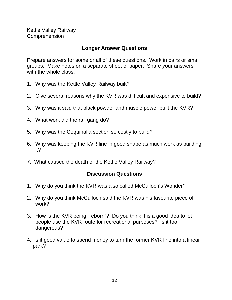#### **Longer Answer Questions**

Prepare answers for some or all of these questions. Work in pairs or small groups. Make notes on a separate sheet of paper. Share your answers with the whole class.

- 1. Why was the Kettle Valley Railway built?
- 2. Give several reasons why the KVR was difficult and expensive to build?
- 3. Why was it said that black powder and muscle power built the KVR?
- 4. What work did the rail gang do?
- 5. Why was the Coquihalla section so costly to build?
- 6. Why was keeping the KVR line in good shape as much work as building it?
- 7. What caused the death of the Kettle Valley Railway?

#### **Discussion Questions**

- 1. Why do you think the KVR was also called McCulloch's Wonder?
- 2. Why do you think McCulloch said the KVR was his favourite piece of work?
- 3. How is the KVR being "reborn"? Do you think it is a good idea to let people use the KVR route for recreational purposes? Is it too dangerous?
- 4. Is it good value to spend money to turn the former KVR line into a linear park?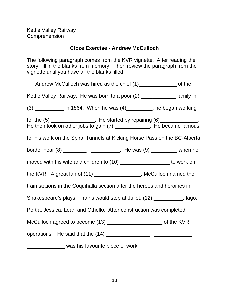#### **Cloze Exercise - Andrew McCulloch**

The following paragraph comes from the KVR vignette. After reading the story, fill in the blanks from memory. Then review the paragraph from the vignette until you have all the blanks filled.

| Andrew McCulloch was hired as the chief (1)__________________ of the                                                                                  |  |
|-------------------------------------------------------------------------------------------------------------------------------------------------------|--|
| Kettle Valley Railway. He was born to a poor (2) _______________ family in                                                                            |  |
| (3) _________ in 1864. When he was (4) ________, he began working                                                                                     |  |
| for the $(5)$ _________________. He started by repairing $(6)$ __________.<br>He then took on other jobs to gain $(7)$ ____________. He became famous |  |
| for his work on the Spiral Tunnels at Kicking Horse Pass on the BC-Alberta                                                                            |  |
|                                                                                                                                                       |  |
| moved with his wife and children to (10) _____________________ to work on                                                                             |  |
| the KVR. A great fan of (11) _________________, McCulloch named the                                                                                   |  |
| train stations in the Coquihalla section after the heroes and heroines in                                                                             |  |
| Shakespeare's plays. Trains would stop at Juliet, (12) __________, lago,                                                                              |  |
| Portia, Jessica, Lear, and Othello. After construction was completed,                                                                                 |  |
| McCulloch agreed to become (13) ________________________ of the KVR                                                                                   |  |
|                                                                                                                                                       |  |
| was his favourite piece of work.                                                                                                                      |  |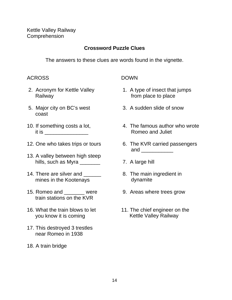#### **Crossword Puzzle Clues**

The answers to these clues are words found in the vignette.

#### ACROSS DOWN

- Railway **From place to place**
- 5. Major city on BC's west 3. A sudden slide of snow coast
- it is \_\_\_\_\_\_\_\_\_\_\_\_\_\_\_ Romeo and Juliet
- 
- 13. A valley between high steep hills, such as Myra \_\_\_\_\_\_\_ 7. A large hill
- 14. There are silver and 200 metabolic Ref. The main ingredient in mines in the Kootenays **dynamite**
- 15. Romeo and \_\_\_\_\_\_\_ were 9. Areas where trees grow train stations on the KVR
- 16. What the train blows to let 11. The chief engineer on the you know it is coming **Kettle Valley Railway**
- 17. This destroyed 3 trestles near Romeo in 1938
- 18. A train bridge

- 2. Acronym for Kettle Valley 1. A type of insect that jumps
	-
- 10. If something costs a lot, **4. The famous author who wrote**
- 12. One who takes trips or tours 6. The KVR carried passengers and  $\qquad \qquad \qquad$ 
	-
	-
	-
	-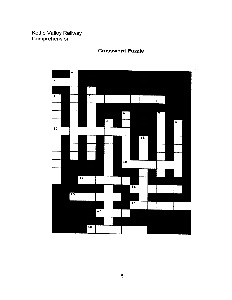

**Crossword Puzzle** 

 $\sim$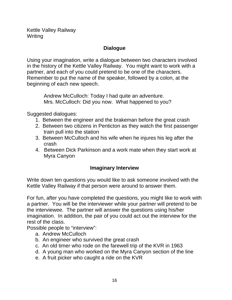Kettle Valley Railway **Writing** 

#### **Dialogue**

Using your imagination, write a dialogue between two characters involved in the history of the Kettle Valley Railway. You might want to work with a partner, and each of you could pretend to be one of the characters. Remember to put the name of the speaker, followed by a colon, at the beginning of each new speech.

Andrew McCulloch: Today I had quite an adventure. Mrs. McCulloch: Did you now. What happened to you?

Suggested dialogues:

- 1. Between the engineer and the brakeman before the great crash
- 2. Between two citizens in Penticton as they watch the first passenger train pull into the station
- 3. Between McCulloch and his wife when he injures his leg after the crash
- 4. Between Dick Parkinson and a work mate when they start work at Myra Canyon

#### **Imaginary Interview**

Write down ten questions you would like to ask someone involved with the Kettle Valley Railway if that person were around to answer them.

For fun, after you have completed the questions, you might like to work with a partner. You will be the interviewer while your partner will pretend to be the interviewee. The partner will answer the questions using his/her imagination. In addition, the pair of you could act out the interview for the rest of the class.

Possible people to "interview":

- a. Andrew McCulloch
- b. An engineer who survived the great crash
- c. An old timer who rode on the farewell trip of the KVR in 1963
- d. A young man who worked on the Myra Canyon section of the line
- e. A fruit picker who caught a ride on the KVR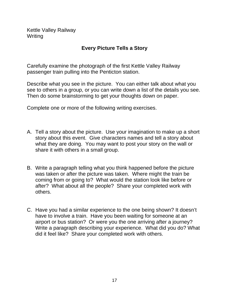Kettle Valley Railway **Writing** 

#### **Every Picture Tells a Story**

Carefully examine the photograph of the first Kettle Valley Railway passenger train pulling into the Penticton station.

Describe what you see in the picture. You can either talk about what you see to others in a group, or you can write down a list of the details you see. Then do some brainstorming to get your thoughts down on paper.

Complete one or more of the following writing exercises.

- A. Tell a story about the picture. Use your imagination to make up a short story about this event. Give characters names and tell a story about what they are doing. You may want to post your story on the wall or share it with others in a small group.
- B. Write a paragraph telling what you think happened before the picture was taken or after the picture was taken. Where might the train be coming from or going to? What would the station look like before or after? What about all the people? Share your completed work with others.
- C. Have you had a similar experience to the one being shown? It doesn't have to involve a train. Have you been waiting for someone at an airport or bus station? Or were you the one arriving after a journey? Write a paragraph describing your experience. What did you do? What did it feel like? Share your completed work with others.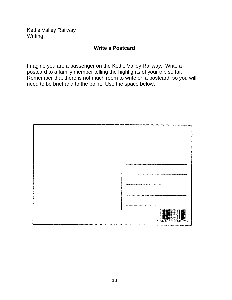Kettle Valley Railway Writing

#### **Write a Postcard**

Imagine you are a passenger on the Kettle Valley Railway. Write a postcard to a family member telling the highlights of your trip so far. Remember that there is not much room to write on a postcard, so you will need to be brief and to the point. Use the space below.

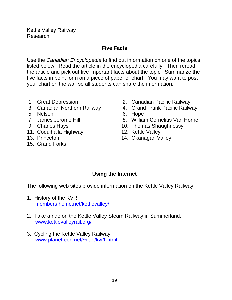Kettle Valley Railway Research

#### **Five Facts**

Use the Canadian Encyclopedia to find out information on one of the topics listed below. Read the article in the encyclopedia carefully. Then reread the article and pick out five important facts about the topic. Summarize the five facts in point form on a piece of paper or chart. You may want to post your chart on the wall so all students can share the information.

- 
- 
- 5. Nelson 6. Hope
- 
- 
- 11. Coquihalla Highway
- 
- 15. Grand Forks
- 1. Great Depression 2. Canadian Pacific Railway
- 3. Canadian Northern Railway 4. Grand Trunk Pacific Railway
	-
- 7. James Jerome Hill 8. William Cornelius Van Horne
- 9. Charles Hays 10. Thomas Shaughnessy<br>11. Coquihalla Highway 12. Kettle Valley
	-
- 13. Princeton 14. Okanagan Valley

#### **Using the Internet**

The following web sites provide information on the Kettle Valley Railway.

- 1. History of the KVR. members.home.net/kettlevalley/
- 2. Take a ride on the Kettle Valley Steam Railway in Summerland. www.kettlevalleyrail.org/
- 3. Cycling the Kettle Valley Railway. www.planet.eon.net/~dan/kvr1.html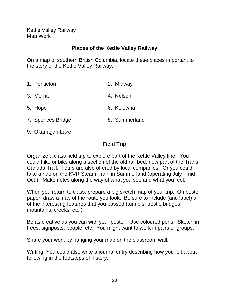Kettle Valley Railway Map Work

#### **Places of the Kettle Valley Railway**

On a map of southern British Columbia, locate these places important to the story of the Kettle Valley Railway.

| 1. Penticton      | 2. Midway     |
|-------------------|---------------|
| 3. Merritt        | 4. Nelson     |
| 5. Hope           | 6. Kelowna    |
| 7. Spences Bridge | 8. Summerland |

9. Okanagan Lake

#### **Field Trip**

Organize a class field trip to explore part of the Kettle Valley line. You could hike or bike along a section of the old rail bed, now part of the Trans Canada Trail. Tours are also offered by local companies. Or you could take a ride on the KVR Steam Train in Summerland (operating July - mid Oct.). Make notes along the way of what you see and what you feel.

When you return to class, prepare a big sketch map of your trip. On poster paper, draw a map of the route you took. Be sure to include (and label) all of the interesting features that you passed (tunnels, trestle bridges, mountains, creeks, etc.).

Be as creative as you can with your poster. Use coloured pens. Sketch in trees, signposts, people, etc. You might want to work in pairs or groups.

Share your work by hanging your map on the classroom wall.

Writing: You could also write a journal entry describing how you felt about following in the footsteps of history.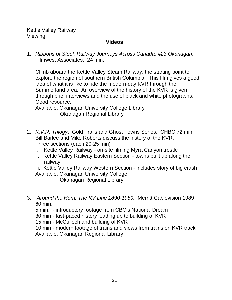Kettle Valley Railway Viewing

#### **Videos**

1. Ribbons of Steel: Railway Journeys Across Canada. #23 Okanagan. Filmwest Associates. 24 min.

Climb aboard the Kettle Valley Steam Railway, the starting point to explore the region of southern British Columbia. This film gives a good idea of what it is like to ride the modern-day KVR through the Summerland area. An overview of the history of the KVR is given through brief interviews and the use of black and white photographs. Good resource.

Available: Okanagan University College Library Okanagan Regional Library

- 2. K.V.R. Trilogy. Gold Trails and Ghost Towns Series. CHBC 72 min. Bill Barlee and Mike Roberts discuss the history of the KVR. Three sections (each 20-25 min)
	- i. Kettle Valley Railway on-site filming Myra Canyon trestle
	- ii. Kettle Valley Railway Eastern Section towns built up along the railway

iii. Kettle Valley Railway Western Section - includes story of big crash Available: Okanagan University College

Okanagan Regional Library

3. Around the Horn: The KV Line 1890-1989. Merritt Cablevision 1989 60 min.

5 min. - introductory footage from CBC's National Dream

30 min - fast-paced history leading up to building of KVR

15 min - McCulloch and building of KVR

10 min - modern footage of trains and views from trains on KVR track Available: Okanagan Regional Library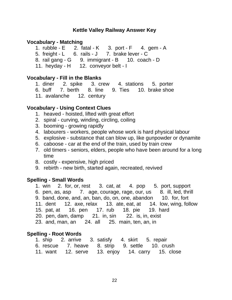#### <span id="page-25-0"></span>**Vocabulary - Matching**

1. rubble -  $E = 2$ . fatal - K  $= 3$ . port - F  $= 4$ . gem - A 5. freight - L 6. rails - J 7. brake lever - C 8. rail gang - G 9. immigrant - B 10. coach - D

11. heyday - H 12. conveyor belt - I

#### **Vocabulary - Fill in the Blanks**

1. diner 2. spike 3. crew 4. stations 5. porter

- 6. buff 7. berth 8. line 9. Ties 10. brake shoe
- 11. avalanche 12. century

#### **Vocabulary - Using Context Clues**

- 1. heaved hoisted, lifted with great effort
- 2. spiral curving, winding, circling, coiling
- 3. booming growing rapidly
- 4. labourers workers, people whose work is hard physical labour
- 5. explosive substance that can blow up, like gunpowder or dynamite
- 6. caboose car at the end of the train, used by train crew
- 7. old timers seniors, elders, people who have been around for a long time
- 8. costly expensive, high priced
- 9. rebirth new birth, started again, recreated, revived

#### **Spelling - Small Words**

- 1. win 2. for, or, rest 3. cat, at 4. pop 5. port, support
- 6. pen, as, asp 7. age, courage, rage, our, us 8. ill, led, thrill
- 9. band, done, and, an, ban, do, on, one, abandon 10. for, fort
- 11. dent 12. axe, relax 13. ate, eat, at 14. low, wing, follow
- 15. pat, at 16. pen 17. rub 18. pie 19. hard
- 20. pen, dam, damp 21. in, sin 22. is, in, exist

```
23. and, man, an 24. all 25. main, ten, an, in
```
#### **Spelling - Root Words**

| 1. ship 2. arrive 3. satisfy 4. skirt 5. repair  |  |  |  |  |  |  |
|--------------------------------------------------|--|--|--|--|--|--|
| 6. rescue 7. heave 8. strip 9. settle 10. crush  |  |  |  |  |  |  |
| 11. want 12. serve 13. enjoy 14. carry 15. close |  |  |  |  |  |  |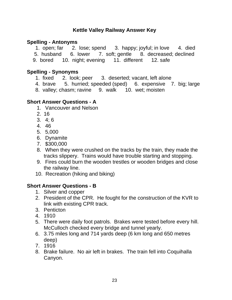#### **Spelling - Antonyms**

1. open; far 2. lose; spend 3. happy; joyful; in love 4. died

- 5. husband 6. lower 7. soft; gentle 8. decreased; declined
- 9. bored 10. night; evening 11. different 12. safe

#### **Spelling - Synonyms**

- 1. fixed 2. look; peer 3. deserted; vacant, left alone
- 4. brave 5. hurried; speeded (sped) 6. expensive 7. big; large
- 8. valley; chasm; ravine 9. walk 10. wet; moisten

#### **Short Answer Questions - A**

- 1. Vancouver and Nelson
- 2. 16
- 3. 4; 6
- 4. 46
- 5. 5,000
- 6. Dynamite
- 7. \$300,000
- 8. When they were crushed on the tracks by the train, they made the tracks slippery. Trains would have trouble starting and stopping.
- 9. Fires could burn the wooden trestles or wooden bridges and close the railway line.
- 10. Recreation (hiking and biking)

#### **Short Answer Questions - B**

- 1. Silver and copper
- 2. President of the CPR. He fought for the construction of the KVR to link with existing CPR track.
- 3. Penticton
- 4. 1910
- 5. There were daily foot patrols. Brakes were tested before every hill. McCulloch checked every bridge and tunnel yearly.
- 6. 3.75 miles long and 714 yards deep (6 km long and 650 metres deep)
- 7. 1916
- 8. Brake failure. No air left in brakes. The train fell into Coquihalla Canyon.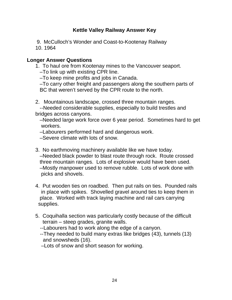- 9. McCulloch's Wonder and Coast-to-Kootenay Railway 10. 1964
- **Longer Answer Questions**
	- 1. To haul ore from Kootenay mines to the Vancouver seaport.
		- –To link up with existing CPR line.
		- –To keep mine profits and jobs in Canada.
		- –To carry other freight and passengers along the southern parts of BC that weren't served by the CPR route to the north.
	- 2. Mountainous landscape, crossed three mountain ranges.

 --Needed considerable supplies, especially to build trestles and bridges across canyons.

 –Needed large work force over 6 year period. Sometimes hard to get workers.

–Labourers performed hard and dangerous work.

–Severe climate with lots of snow.

- 3. No earthmoving machinery available like we have today. –Needed black powder to blast route through rock. Route crossed three mountain ranges. Lots of explosive would have been used. –Mostly manpower used to remove rubble. Lots of work done with picks and shovels.
- 4. Put wooden ties on roadbed. Then put rails on ties. Pounded rails in place with spikes. Shovelled gravel around ties to keep them in place. Worked with track laying machine and rail cars carrying supplies.
- 5. Coquihalla section was particularly costly because of the difficult terrain – steep grades, granite walls.
	- --Labourers had to work along the edge of a canyon.
	- --They needed to build many extras like bridges (43), tunnels (13) and snowsheds (16).
	- –Lots of snow and short season for working.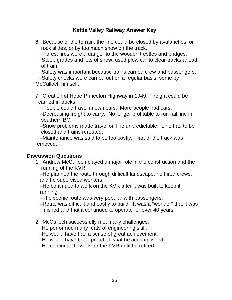- 6. Because of the terrain, the line could be closed by avalanches, or rock slides, or by too much snow on the track.
	- --Forest fires were a danger to the wooden trestles and bridges.
	- --Steep grades and lots of snow; used plow car to clear tracks ahead of train.

--Safety was important because trains carried crew and passengers.

 --Safety checks were carried out on a regular basis, some by McCulloch himself.

7. Creation of Hope-Princeton Highway in 1949. Freight could be carried in trucks.

--People could travel in own cars. More people had cars.

 –Decreasing freight to carry. No longer profitable to run rail line in southern BC.

 –Snow problems made travel on line unpredictable. Line had to be closed and trains rerouted.

 –Maintenance was said to be too costly. Part of the track was removed.

#### **Discussion Questions**

1. Andrew McCulloch played a major role in the construction and the running of the KVR.

 –He planned the route through difficult landscape, he hired crews, and he supervised workers.

 –He continued to work on the KVR after it was built to keep it running.

–The scenic route was very popular with passengers.

 –Route was difficult and costly to build. It was a "wonder" that it was finished and that it continued to operate for over 40 years.

2. McCulloch successfully met many challenges.

--He performed many feats of engineering skill.

- --He would have had a sense of great achievement.
- --He would have been proud of what he accomplished.

--He continued to work for the KVR until he retired.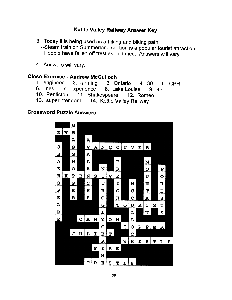3. Today it is being used as a hiking and biking path.

--Steam train on Summerland section is a popular tourist attraction.

--People have fallen off trestles and died. Answers will vary.

4. Answers will vary.

#### **Close Exercise - Andrew McCulloch**

- 1. engineer 2. farming 3. Ontario 4. 30 5. CPR
- 6. lines 7. experience 8. Lake Louise 9.46
- 10. Penticton 11. Shakespeare 12. Romeo
- 13. superintendent 14. Kettle Valley Railway

#### **Crossword Puzzle Answers**

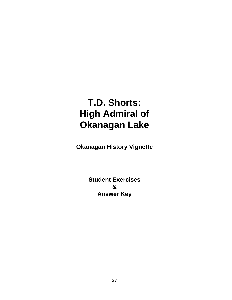### <span id="page-30-0"></span>**T.D. Shorts: High Admiral of Okanagan Lake**

**Okanagan History Vignette**

**Student Exercises & Answer Key**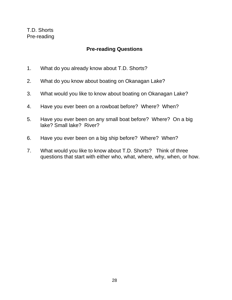#### **Pre-reading Questions**

- <span id="page-31-0"></span>1. What do you already know about T.D. Shorts?
- 2. What do you know about boating on Okanagan Lake?
- 3. What would you like to know about boating on Okanagan Lake?
- 4. Have you ever been on a rowboat before? Where? When?
- 5. Have you ever been on any small boat before? Where? On a big lake? Small lake? River?
- 6. Have you ever been on a big ship before? Where? When?
- 7. What would you like to know about T.D. Shorts? Think of three questions that start with either who, what, where, why, when, or how.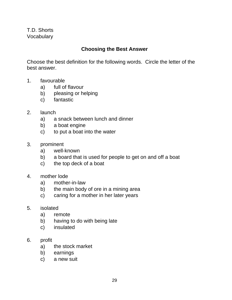#### **Choosing the Best Answer**

Choose the best definition for the following words. Circle the letter of the best answer.

- 1. favourable
	- a) full of flavour
	- b) pleasing or helping
	- c) fantastic
- 2. launch
	- a) a snack between lunch and dinner
	- b) a boat engine
	- c) to put a boat into the water
- 3. prominent
	- a) well-known
	- b) a board that is used for people to get on and off a boat
	- c) the top deck of a boat
- 4. mother lode
	- a) mother-in-law
	- b) the main body of ore in a mining area
	- c) caring for a mother in her later years
- 5. isolated
	- a) remote
	- b) having to do with being late
	- c) insulated
- 6. profit
	- a) the stock market
	- b) earnings
	- c) a new suit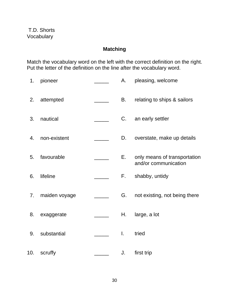### **Matching**

Match the vocabulary word on the left with the correct definition on the right. Put the letter of the definition on the line after the vocabulary word.

| 1.  | pioneer       | Α. | pleasing, welcome                                    |
|-----|---------------|----|------------------------------------------------------|
| 2.  | attempted     | В. | relating to ships & sailors                          |
| 3.  | nautical      | C. | an early settler                                     |
| 4.  | non-existent  | D. | overstate, make up details                           |
| 5.  | favourable    | Е. | only means of transportation<br>and/or communication |
| 6.  | lifeline      | F. | shabby, untidy                                       |
| 7.  | maiden voyage | G. | not existing, not being there                        |
| 8.  | exaggerate    | Н. | large, a lot                                         |
| 9.  | substantial   | I. | tried                                                |
| 10. | scruffy       | J. | first trip                                           |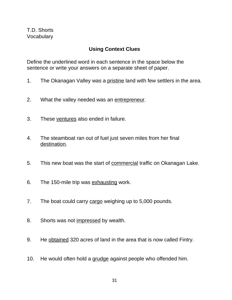#### **Using Context Clues**

Define the underlined word in each sentence in the space below the sentence or write your answers on a separate sheet of paper.

- 1. The Okanagan Valley was a pristine land with few settlers in the area.
- 2. What the valley needed was an entrepreneur.
- 3. These ventures also ended in failure.
- 4. The steamboat ran out of fuel just seven miles from her final destination.
- 5. This new boat was the start of commercial traffic on Okanagan Lake.
- 6. The 150-mile trip was exhausting work.
- 7. The boat could carry cargo weighing up to 5,000 pounds.
- 8. Shorts was not impressed by wealth.
- 9. He obtained 320 acres of land in the area that is now called Fintry.
- 10. He would often hold a grudge against people who offended him.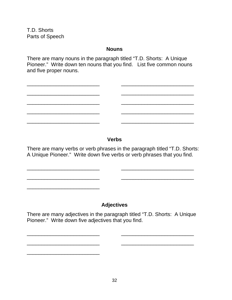T.D. Shorts Parts of Speech

\_\_\_\_\_\_\_\_\_\_\_\_\_\_\_\_\_\_\_\_\_\_\_\_\_

\_\_\_\_\_\_\_\_\_\_\_\_\_\_\_\_\_\_\_\_\_\_\_\_\_

#### **Nouns**

There are many nouns in the paragraph titled "T.D. Shorts: A Unique Pioneer." Write down ten nouns that you find. List five common nouns and five proper nouns.

\_\_\_\_\_\_\_\_\_\_\_\_\_\_\_\_\_\_\_\_\_\_\_\_\_ \_\_\_\_\_\_\_\_\_\_\_\_\_\_\_\_\_\_\_\_\_\_\_\_\_

#### **Verbs**

There are many verbs or verb phrases in the paragraph titled "T.D. Shorts: A Unique Pioneer." Write down five verbs or verb phrases that you find.

\_\_\_\_\_\_\_\_\_\_\_\_\_\_\_\_\_\_\_\_\_\_\_\_\_ \_\_\_\_\_\_\_\_\_\_\_\_\_\_\_\_\_\_\_\_\_\_\_\_\_

\_\_\_\_\_\_\_\_\_\_\_\_\_\_\_\_\_\_\_\_\_\_\_\_\_ \_\_\_\_\_\_\_\_\_\_\_\_\_\_\_\_\_\_\_\_\_\_\_\_\_

### **Adjectives**

There are many adjectives in the paragraph titled "T.D. Shorts: A Unique Pioneer." Write down five adjectives that you find.

\_\_\_\_\_\_\_\_\_\_\_\_\_\_\_\_\_\_\_\_\_\_\_\_\_ \_\_\_\_\_\_\_\_\_\_\_\_\_\_\_\_\_\_\_\_\_\_\_\_\_

\_\_\_\_\_\_\_\_\_\_\_\_\_\_\_\_\_\_\_\_\_\_\_\_\_ \_\_\_\_\_\_\_\_\_\_\_\_\_\_\_\_\_\_\_\_\_\_\_\_\_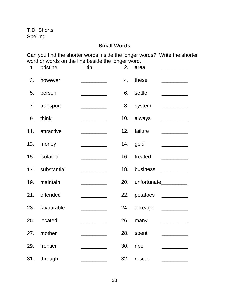T.D. Shorts Spelling

# **Small Words**

Can you find the shorter words inside the longer words? Write the shorter word or words on the line beside the longer word.

|     | 1. pristine     | $\frac{\text{tin}}{\text{t}}$                                                                                                                                                                                                                                                                                                                                                                                                                                                                                          |     | 2. area                                                                                                                                                                                                                                                                                                                                                                                                                                                                                                |
|-----|-----------------|------------------------------------------------------------------------------------------------------------------------------------------------------------------------------------------------------------------------------------------------------------------------------------------------------------------------------------------------------------------------------------------------------------------------------------------------------------------------------------------------------------------------|-----|--------------------------------------------------------------------------------------------------------------------------------------------------------------------------------------------------------------------------------------------------------------------------------------------------------------------------------------------------------------------------------------------------------------------------------------------------------------------------------------------------------|
| 3.  | however         | <u> 1990 - Johann Barnett, fransk politiker</u>                                                                                                                                                                                                                                                                                                                                                                                                                                                                        |     | 4. these                                                                                                                                                                                                                                                                                                                                                                                                                                                                                               |
| 5.  | person          | <u> 1990 - Johann Barbara, martin a</u>                                                                                                                                                                                                                                                                                                                                                                                                                                                                                |     | 6. settle                                                                                                                                                                                                                                                                                                                                                                                                                                                                                              |
| 7.  | transport       |                                                                                                                                                                                                                                                                                                                                                                                                                                                                                                                        |     | 8. system                                                                                                                                                                                                                                                                                                                                                                                                                                                                                              |
| 9.  | think           |                                                                                                                                                                                                                                                                                                                                                                                                                                                                                                                        |     | 10. always                                                                                                                                                                                                                                                                                                                                                                                                                                                                                             |
|     | 11. attractive  |                                                                                                                                                                                                                                                                                                                                                                                                                                                                                                                        | 12. | failure<br>$\begin{tabular}{c} \multicolumn{2}{c} {\textbf{1}}\\ \multicolumn{2}{c} {\textbf{2}}\\ \multicolumn{2}{c} {\textbf{3}}\\ \multicolumn{2}{c} {\textbf{4}}\\ \multicolumn{2}{c} {\textbf{5}}\\ \multicolumn{2}{c} {\textbf{6}}\\ \multicolumn{2}{c} {\textbf{6}}\\ \multicolumn{2}{c} {\textbf{7}}\\ \multicolumn{2}{c} {\textbf{8}}\\ \multicolumn{2}{c} {\textbf{9}}\\ \multicolumn{2}{c} {\textbf{1}}\\ \multicolumn{2}{c} {\textbf{1}}\\ \multicolumn{2}{c} {\textbf{1}}\\ \multicolumn$ |
|     | 13. money       |                                                                                                                                                                                                                                                                                                                                                                                                                                                                                                                        |     | 14. gold<br>$\overline{\phantom{a}}$                                                                                                                                                                                                                                                                                                                                                                                                                                                                   |
|     | 15. isolated    |                                                                                                                                                                                                                                                                                                                                                                                                                                                                                                                        | 16. | treated<br><u> 1980 - Jan Stein Stein Stein Stein Stein Stein Stein Stein Stein Stein Stein Stein Stein Stein Stein Stein S</u>                                                                                                                                                                                                                                                                                                                                                                        |
|     | 17. substantial |                                                                                                                                                                                                                                                                                                                                                                                                                                                                                                                        | 18. | business<br>$\overline{\phantom{a}}$                                                                                                                                                                                                                                                                                                                                                                                                                                                                   |
| 19. | maintain        | $\begin{tabular}{ccccc} \multicolumn{2}{c }{\textbf{\textcolor{blue}{\bf -}} } & \multicolumn{2}{c }{\textbf{\textcolor{blue}{\bf -}} }\\ \multicolumn{2}{c }{\textbf{\textcolor{blue}{\bf -}} } & \multicolumn{2}{c }{\textbf{\textcolor{blue}{\bf -}} } & \multicolumn{2}{c }{\textbf{\textcolor{blue}{\bf -}} }\\ \multicolumn{2}{c }{\textbf{\textcolor{blue}{\bf -}} } & \multicolumn{2}{c }{\textbf{\textcolor{blue}{\bf -}} } & \multicolumn{2}{c }{\textbf{\textcolor{blue}{\bf -}} }\\ \multicolumn{2}{c }{\$ | 20. | unfortunate__________                                                                                                                                                                                                                                                                                                                                                                                                                                                                                  |
| 21. | offended        |                                                                                                                                                                                                                                                                                                                                                                                                                                                                                                                        |     | 22. potatoes __________                                                                                                                                                                                                                                                                                                                                                                                                                                                                                |
|     | 23. favourable  |                                                                                                                                                                                                                                                                                                                                                                                                                                                                                                                        |     | 24. acreage                                                                                                                                                                                                                                                                                                                                                                                                                                                                                            |
|     | 25. located     |                                                                                                                                                                                                                                                                                                                                                                                                                                                                                                                        | 26. | many<br><u> De Carlos de Carlos de Ca</u>                                                                                                                                                                                                                                                                                                                                                                                                                                                              |
|     | 27. mother      |                                                                                                                                                                                                                                                                                                                                                                                                                                                                                                                        |     | 28. spent                                                                                                                                                                                                                                                                                                                                                                                                                                                                                              |
| 29. | frontier        |                                                                                                                                                                                                                                                                                                                                                                                                                                                                                                                        | 30. | ripe                                                                                                                                                                                                                                                                                                                                                                                                                                                                                                   |
| 31. | through         |                                                                                                                                                                                                                                                                                                                                                                                                                                                                                                                        | 32. | rescue                                                                                                                                                                                                                                                                                                                                                                                                                                                                                                 |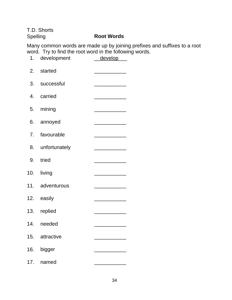T.D. Shorts

# Spelling **Root Words**

Many common words are made up by joining prefixes and suffixes to a root word. Try to find the root word in the following words.

|     | 1. development   | develop                                                                                                                |
|-----|------------------|------------------------------------------------------------------------------------------------------------------------|
|     | 2. started       |                                                                                                                        |
|     | 3. successful    |                                                                                                                        |
|     | 4. carried       | <u> 1989 - Johann John Harry Barbara, mars eta idazlea (</u>                                                           |
|     | 5. mining        |                                                                                                                        |
|     | 6. annoyed       | <u> Listen von der Stadt von der Stadt von der Stadt von der Stadt von der Stadt von der Stadt von der Stadt von d</u> |
|     | 7. favourable    |                                                                                                                        |
|     | 8. unfortunately |                                                                                                                        |
|     | 9. tried         |                                                                                                                        |
|     | 10. living       |                                                                                                                        |
|     | 11. adventurous  |                                                                                                                        |
|     | 12. easily       |                                                                                                                        |
|     | 13. replied      |                                                                                                                        |
|     | 14. needed       |                                                                                                                        |
|     | 15. attractive   |                                                                                                                        |
| 16. | bigger           |                                                                                                                        |
| 17. | named            |                                                                                                                        |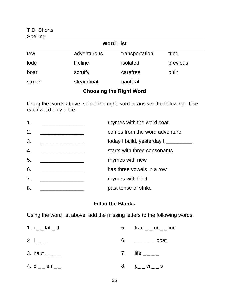#### T.D. Shorts Spelling

| <b>OPGIIII</b> IY       |             |                |          |  |  |
|-------------------------|-------------|----------------|----------|--|--|
| <b>Word List</b>        |             |                |          |  |  |
| few                     | adventurous | transportation | tried    |  |  |
| lode                    | lifeline    | isolated       | previous |  |  |
| boat                    | scruffy     | carefree       | built    |  |  |
| struck                  | steamboat   | nautical       |          |  |  |
| Choosing the Dight Word |             |                |          |  |  |

# **Choosing the Right Word**

Using the words above, select the right word to answer the following. Use each word only once.

| $\mathbf{1}$ .   | rhymes with the word coat     |
|------------------|-------------------------------|
| 2.               | comes from the word adventure |
| 3.               | today I build, yesterday I    |
| $\overline{4}$ . | starts with three consonants  |
| 5.               | rhymes with new               |
| 6.               | has three vowels in a row     |
| 7.               | rhymes with fried             |
| 8.               | past tense of strike          |

# **Fill in the Blanks**

Using the word list above, add the missing letters to the following words.

| 1. $i_{-}$ lat $_d$   | 5. $\text{tran}_{--}$ ort_ $\overline{\phantom{0}}$ ion |
|-----------------------|---------------------------------------------------------|
| 2. $I_{---}$          | 6. $\qquad \qquad - - - -$ boat                         |
| 3. naut $_{---}$      | 7. life $\_{---}$                                       |
| 4. $c_{-}$ efr $_{-}$ | 8. $p_{-}$ vi $=$ s                                     |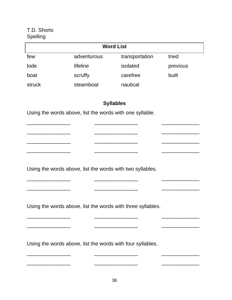# T.D. Shorts Spelling

| <b>Word List</b> |             |                |          |  |
|------------------|-------------|----------------|----------|--|
| few              | adventurous | transportation | tried    |  |
| lode             | lifeline    | isolated       | previous |  |
| boat             | scruffy     | carefree       | built    |  |
| struck           | steamboat   | nautical       |          |  |

# **Syllables**

\_\_\_\_\_\_\_\_\_\_\_\_\_\_\_ \_\_\_\_\_\_\_\_\_\_\_\_\_\_\_ \_\_\_\_\_\_\_\_\_\_\_\_\_

\_\_\_\_\_\_\_\_\_\_\_\_\_\_\_ \_\_\_\_\_\_\_\_\_\_\_\_\_\_\_ \_\_\_\_\_\_\_\_\_\_\_\_\_

\_\_\_\_\_\_\_\_\_\_\_\_\_\_\_ \_\_\_\_\_\_\_\_\_\_\_\_\_\_\_ \_\_\_\_\_\_\_\_\_\_\_\_\_

\_\_\_\_\_\_\_\_\_\_\_\_\_\_\_ \_\_\_\_\_\_\_\_\_\_\_\_\_\_\_ \_\_\_\_\_\_\_\_\_\_\_\_\_

\_\_\_\_\_\_\_\_\_\_\_\_\_\_\_ \_\_\_\_\_\_\_\_\_\_\_\_\_\_\_ \_\_\_\_\_\_\_\_\_\_\_\_\_

\_\_\_\_\_\_\_\_\_\_\_\_\_\_\_ \_\_\_\_\_\_\_\_\_\_\_\_\_\_\_ \_\_\_\_\_\_\_\_\_\_\_\_\_

\_\_\_\_\_\_\_\_\_\_\_\_\_\_\_ \_\_\_\_\_\_\_\_\_\_\_\_\_\_\_ \_\_\_\_\_\_\_\_\_\_\_\_\_

\_\_\_\_\_\_\_\_\_\_\_\_\_\_\_ \_\_\_\_\_\_\_\_\_\_\_\_\_\_\_ \_\_\_\_\_\_\_\_\_\_\_\_\_

\_\_\_\_\_\_\_\_\_\_\_\_\_\_\_ \_\_\_\_\_\_\_\_\_\_\_\_\_\_\_ \_\_\_\_\_\_\_\_\_\_\_\_\_

Using the words above, list the words with one syllable.

 $\frac{1}{2}$  , and the set of the set of the set of the set of the set of the set of the set of the set of the set of the set of the set of the set of the set of the set of the set of the set of the set of the set of the set

Using the words above, list the words with two syllables.

Using the words above, list the words with three syllables.

Using the words above, list the words with four syllables.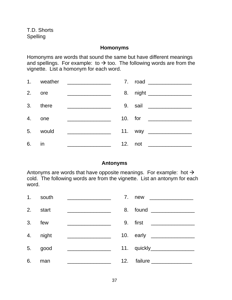#### **Homonyms**

Homonyms are words that sound the same but have different meanings and spellings. For example: to  $\rightarrow$  too. The following words are from the vignette. List a homonym for each word.

|    | 1. weather | <u> 1980 - Johann Stoff, fransk politik (d. 19</u>    |                       |
|----|------------|-------------------------------------------------------|-----------------------|
|    | 2. ore     | <u> 2002 - Jan James Barnett, mars et al. (2003)</u>  |                       |
|    | 3. there   | <u> 1980 - Jan Barbarat, manala</u> tar ang kalendar  | 9. sail _____________ |
|    | 4. one     |                                                       |                       |
|    | 5. would   |                                                       |                       |
| 6. | in in      | <u> 1986 - Johann Stoff, fransk politik (d. 1986)</u> | 12. not ____________  |

#### **Antonyms**

Antonyms are words that have opposite meanings. For example: hot  $\rightarrow$ cold. The following words are from the vignette. List an antonym for each word.

|        | 1. south | <u> 1989 - Johann Stein, mars an deutscher Stein und der Stein und der Stein und der Stein und der Stein und der</u> | 7. new __________      |
|--------|----------|----------------------------------------------------------------------------------------------------------------------|------------------------|
|        | 2. start |                                                                                                                      |                        |
| 3. few |          |                                                                                                                      | 9. first ________      |
|        | 4. night | <u> 1980 - Jan Barbarat, manala</u>                                                                                  |                        |
|        | 5. good  | <u> 2000 - Jan James James Barbara, martin d</u>                                                                     | 11. quickly___________ |
| 6.     | man      |                                                                                                                      |                        |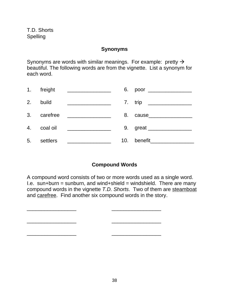#### **Synonyms**

Synonyms are words with similar meanings. For example: pretty  $\rightarrow$ beautiful. The following words are from the vignette. List a synonym for each word.

|    | 1. freight  | <u> 1980 - Johann John Stein, fransk politik (</u>     |     | 6. poor _______________         |
|----|-------------|--------------------------------------------------------|-----|---------------------------------|
|    | 2. build    |                                                        |     | 7. trip _______________         |
|    | 3. carefree | <u> 1980 - Jan Barnett, fransk politik (d. 1980)</u>   | 8.  | cause___________________        |
|    | 4. coal oil | <u> Liston de la contrata de la contrata de la con</u> |     |                                 |
| 5. | settlers    |                                                        | 10. | benefit <b>compared to the </b> |

# **Compound Words**

A compound word consists of two or more words used as a single word. I.e. sun+burn = sunburn, and wind+shield = windshield. There are many compound words in the vignette T.D. Shorts. Two of them are steamboat and carefree. Find another six compound words in the story.

\_\_\_\_\_\_\_\_\_\_\_\_\_\_\_\_\_ \_\_\_\_\_\_\_\_\_\_\_\_\_\_\_\_\_ \_\_\_\_\_\_\_\_\_\_\_\_\_\_\_\_\_ \_\_\_\_\_\_\_\_\_\_\_\_\_\_\_\_\_ \_\_\_\_\_\_\_\_\_\_\_\_\_\_\_\_\_ \_\_\_\_\_\_\_\_\_\_\_\_\_\_\_\_\_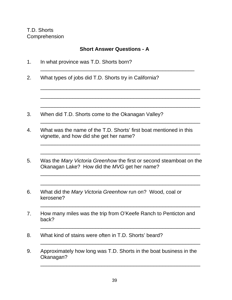Okanagan?

## **Short Answer Questions - A**

1. In what province was T.D. Shorts born? \_\_\_\_\_\_\_\_\_\_\_\_\_\_\_\_\_\_\_\_\_\_\_\_\_\_\_\_\_\_\_\_\_\_\_\_\_\_\_\_\_\_\_\_\_\_\_\_\_\_\_\_\_ 2. What types of jobs did T.D. Shorts try in California? \_\_\_\_\_\_\_\_\_\_\_\_\_\_\_\_\_\_\_\_\_\_\_\_\_\_\_\_\_\_\_\_\_\_\_\_\_\_\_\_\_\_\_\_\_\_\_\_\_\_\_\_\_\_\_  $\overline{\phantom{a}}$  ,  $\overline{\phantom{a}}$  ,  $\overline{\phantom{a}}$  ,  $\overline{\phantom{a}}$  ,  $\overline{\phantom{a}}$  ,  $\overline{\phantom{a}}$  ,  $\overline{\phantom{a}}$  ,  $\overline{\phantom{a}}$  ,  $\overline{\phantom{a}}$  ,  $\overline{\phantom{a}}$  ,  $\overline{\phantom{a}}$  ,  $\overline{\phantom{a}}$  ,  $\overline{\phantom{a}}$  ,  $\overline{\phantom{a}}$  ,  $\overline{\phantom{a}}$  ,  $\overline{\phantom{a}}$ \_\_\_\_\_\_\_\_\_\_\_\_\_\_\_\_\_\_\_\_\_\_\_\_\_\_\_\_\_\_\_\_\_\_\_\_\_\_\_\_\_\_\_\_\_\_\_\_\_\_\_\_\_\_\_ 3. When did T.D. Shorts come to the Okanagan Valley? \_\_\_\_\_\_\_\_\_\_\_\_\_\_\_\_\_\_\_\_\_\_\_\_\_\_\_\_\_\_\_\_\_\_\_\_\_\_\_\_\_\_\_\_\_\_\_\_\_\_\_\_\_\_\_ 4. What was the name of the T.D. Shorts' first boat mentioned in this vignette, and how did she get her name? \_\_\_\_\_\_\_\_\_\_\_\_\_\_\_\_\_\_\_\_\_\_\_\_\_\_\_\_\_\_\_\_\_\_\_\_\_\_\_\_\_\_\_\_\_\_\_\_\_\_\_\_\_\_\_ \_\_\_\_\_\_\_\_\_\_\_\_\_\_\_\_\_\_\_\_\_\_\_\_\_\_\_\_\_\_\_\_\_\_\_\_\_\_\_\_\_\_\_\_\_\_\_\_\_\_\_\_\_\_\_ 5. Was the Mary Victoria Greenhow the first or second steamboat on the Okanagan Lake? How did the MVG get her name? \_\_\_\_\_\_\_\_\_\_\_\_\_\_\_\_\_\_\_\_\_\_\_\_\_\_\_\_\_\_\_\_\_\_\_\_\_\_\_\_\_\_\_\_\_\_\_\_\_\_\_\_\_\_\_ \_\_\_\_\_\_\_\_\_\_\_\_\_\_\_\_\_\_\_\_\_\_\_\_\_\_\_\_\_\_\_\_\_\_\_\_\_\_\_\_\_\_\_\_\_\_\_\_\_\_\_\_\_\_\_ 6. What did the Mary Victoria Greenhow run on? Wood, coal or kerosene? \_\_\_\_\_\_\_\_\_\_\_\_\_\_\_\_\_\_\_\_\_\_\_\_\_\_\_\_\_\_\_\_\_\_\_\_\_\_\_\_\_\_\_\_\_\_\_\_\_\_\_\_\_\_\_ 7. How many miles was the trip from O'Keefe Ranch to Penticton and back? \_\_\_\_\_\_\_\_\_\_\_\_\_\_\_\_\_\_\_\_\_\_\_\_\_\_\_\_\_\_\_\_\_\_\_\_\_\_\_\_\_\_\_\_\_\_\_\_\_\_\_\_\_\_\_ 8. What kind of stains were often in T.D. Shorts' beard? \_\_\_\_\_\_\_\_\_\_\_\_\_\_\_\_\_\_\_\_\_\_\_\_\_\_\_\_\_\_\_\_\_\_\_\_\_\_\_\_\_\_\_\_\_\_\_\_\_\_\_\_\_\_\_ 9. Approximately how long was T.D. Shorts in the boat business in the

\_\_\_\_\_\_\_\_\_\_\_\_\_\_\_\_\_\_\_\_\_\_\_\_\_\_\_\_\_\_\_\_\_\_\_\_\_\_\_\_\_\_\_\_\_\_\_\_\_\_\_\_\_\_\_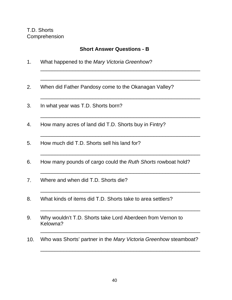# **Short Answer Questions - B**

\_\_\_\_\_\_\_\_\_\_\_\_\_\_\_\_\_\_\_\_\_\_\_\_\_\_\_\_\_\_\_\_\_\_\_\_\_\_\_\_\_\_\_\_\_\_\_\_\_\_\_\_\_\_\_

\_\_\_\_\_\_\_\_\_\_\_\_\_\_\_\_\_\_\_\_\_\_\_\_\_\_\_\_\_\_\_\_\_\_\_\_\_\_\_\_\_\_\_\_\_\_\_\_\_\_\_\_\_\_\_

\_\_\_\_\_\_\_\_\_\_\_\_\_\_\_\_\_\_\_\_\_\_\_\_\_\_\_\_\_\_\_\_\_\_\_\_\_\_\_\_\_\_\_\_\_\_\_\_\_\_\_\_\_\_\_

\_\_\_\_\_\_\_\_\_\_\_\_\_\_\_\_\_\_\_\_\_\_\_\_\_\_\_\_\_\_\_\_\_\_\_\_\_\_\_\_\_\_\_\_\_\_\_\_\_\_\_\_\_\_\_

\_\_\_\_\_\_\_\_\_\_\_\_\_\_\_\_\_\_\_\_\_\_\_\_\_\_\_\_\_\_\_\_\_\_\_\_\_\_\_\_\_\_\_\_\_\_\_\_\_\_\_\_\_\_\_

\_\_\_\_\_\_\_\_\_\_\_\_\_\_\_\_\_\_\_\_\_\_\_\_\_\_\_\_\_\_\_\_\_\_\_\_\_\_\_\_\_\_\_\_\_\_\_\_\_\_\_\_\_\_\_

\_\_\_\_\_\_\_\_\_\_\_\_\_\_\_\_\_\_\_\_\_\_\_\_\_\_\_\_\_\_\_\_\_\_\_\_\_\_\_\_\_\_\_\_\_\_\_\_\_\_\_\_\_\_\_

\_\_\_\_\_\_\_\_\_\_\_\_\_\_\_\_\_\_\_\_\_\_\_\_\_\_\_\_\_\_\_\_\_\_\_\_\_\_\_\_\_\_\_\_\_\_\_\_\_\_\_\_\_\_\_

\_\_\_\_\_\_\_\_\_\_\_\_\_\_\_\_\_\_\_\_\_\_\_\_\_\_\_\_\_\_\_\_\_\_\_\_\_\_\_\_\_\_\_\_\_\_\_\_\_\_\_\_\_\_\_

\_\_\_\_\_\_\_\_\_\_\_\_\_\_\_\_\_\_\_\_\_\_\_\_\_\_\_\_\_\_\_\_\_\_\_\_\_\_\_\_\_\_\_\_\_\_\_\_\_\_\_\_\_\_\_

\_\_\_\_\_\_\_\_\_\_\_\_\_\_\_\_\_\_\_\_\_\_\_\_\_\_\_\_\_\_\_\_\_\_\_\_\_\_\_\_\_\_\_\_\_\_\_\_\_\_\_\_\_\_\_

- 1. What happened to the Mary Victoria Greenhow?
- 2. When did Father Pandosy come to the Okanagan Valley?
- 3. In what year was T.D. Shorts born?
- 4. How many acres of land did T.D. Shorts buy in Fintry?
- 5. How much did T.D. Shorts sell his land for?
- 6. How many pounds of cargo could the Ruth Shorts rowboat hold?
- 7. Where and when did T.D. Shorts die?
- 8. What kinds of items did T.D. Shorts take to area settlers?
- 9. Why wouldn't T.D. Shorts take Lord Aberdeen from Vernon to Kelowna?
- 10. Who was Shorts' partner in the Mary Victoria Greenhow steamboat?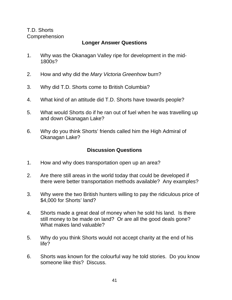# **Longer Answer Questions**

- 1. Why was the Okanagan Valley ripe for development in the mid-1800s?
- 2. How and why did the Mary Victoria Greenhow burn?
- 3. Why did T.D. Shorts come to British Columbia?
- 4. What kind of an attitude did T.D. Shorts have towards people?
- 5. What would Shorts do if he ran out of fuel when he was travelling up and down Okanagan Lake?
- 6. Why do you think Shorts' friends called him the High Admiral of Okanagan Lake?

# **Discussion Questions**

- 1. How and why does transportation open up an area?
- 2. Are there still areas in the world today that could be developed if there were better transportation methods available? Any examples?
- 3. Why were the two British hunters willing to pay the ridiculous price of \$4,000 for Shorts' land?
- 4. Shorts made a great deal of money when he sold his land. Is there still money to be made on land? Or are all the good deals gone? What makes land valuable?
- 5. Why do you think Shorts would not accept charity at the end of his life?
- 6. Shorts was known for the colourful way he told stories. Do you know someone like this? Discuss.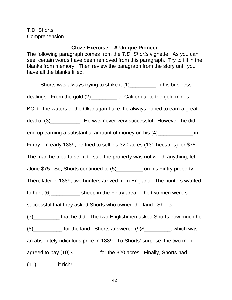# **Cloze Exercise – A Unique Pioneer**

The following paragraph comes from the T.D. Shorts vignette. As you can see, certain words have been removed from this paragraph. Try to fill in the blanks from memory. Then review the paragraph from the story until you have all the blanks filled.

Shorts was always trying to strike it (1)\_\_\_\_\_\_\_\_\_ in his business dealings. From the gold (2)\_\_\_\_\_\_\_\_\_ of California, to the gold mines of BC, to the waters of the Okanagan Lake, he always hoped to earn a great deal of  $(3)$ \_\_\_\_\_\_\_\_\_\_\_. He was never very successful. However, he did end up earning a substantial amount of money on his  $(4)$ \_\_\_\_\_\_\_\_\_\_\_\_\_\_\_\_\_ in Fintry. In early 1889, he tried to sell his 320 acres (130 hectares) for \$75. The man he tried to sell it to said the property was not worth anything, let alone \$75. So, Shorts continued to (5)\_\_\_\_\_\_\_\_\_ on his Fintry property. Then, later in 1889, two hunters arrived from England. The hunters wanted to hunt (6)\_\_\_\_\_\_\_\_\_\_ sheep in the Fintry area. The two men were so successful that they asked Shorts who owned the land. Shorts (7) that he did. The two Englishmen asked Shorts how much he  $(8)$  [8]  $(8)$  [60]  $(8)$  [60]  $(9)$  [60]  $(9)$  [60]  $(9)$  [60]  $(9)$  [60]  $(9)$  [60]  $(9)$  [60]  $(9)$  [60]  $(9)$   $(9)$   $(9)$   $(9)$   $(9)$   $(9)$   $(9)$   $(9)$   $(9)$   $(9)$   $(9)$   $(9)$   $(9)$   $(9)$   $(9)$   $(9)$   $(9)$   $(9)$   $(9)$ an absolutely ridiculous price in 1889. To Shorts' surprise, the two men agreed to pay (10)\$\_\_\_\_\_\_\_\_\_ for the 320 acres. Finally, Shorts had  $(11)$  it rich!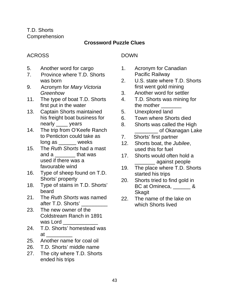# **Crossword Puzzle Clues**

# ACROSS

- 5. Another word for cargo
- 7. Province where T.D. Shorts was born
- 9. Acronym for Mary Victoria **Greenhow**
- 11. The type of boat T.D. Shorts first put in the water
- 13. Captain Shorts maintained his freight boat business for nearly \_\_\_\_ years
- 14. The trip from O'Keefe Ranch to Penticton could take as long as \_\_\_\_\_\_ weeks
- 15. The Ruth Shorts had a mast and a contract that was used if there was a favourable wind
- 16. Type of sheep found on T.D. Shorts' property
- 18. Type of stains in T.D. Shorts' beard
- 21. The Ruth Shorts was named after T.D. Shorts' \_\_\_\_\_\_\_\_\_
- 23. The new owner of the Coldstream Ranch in 1891 was Lord
- 24. T.D. Shorts' homestead was  $at$   $\qquad \qquad$
- 25. Another name for coal oil
- 26. T.D. Shorts' middle name
- 27. The city where T.D. Shorts ended his trips

# DOWN

- 1. Acronym for Canadian Pacific Railway
- 2. U.S. state where T.D. Shorts first went gold mining
- 3. Another word for settler
- 4. T.D. Shorts was mining for the mother
- 5. Unexplored land
- 6. Town where Shorts died
- 8. Shorts was called the High \_\_\_\_\_\_\_\_ of Okanagan Lake
- 7. Shorts' first partner
- 12. Shorts boat, the Jubilee, used this for fuel
- 17. Shorts would often hold a \_\_\_\_\_\_\_ against people
- 19. The place where T.D. Shorts started his trips
- 20. Shorts tried to find gold in BC at Omineca, and & **Skagit**
- 22. The name of the lake on which Shorts lived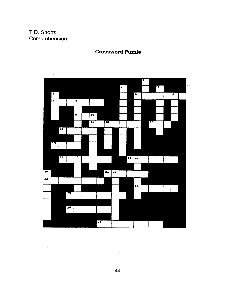

# **Crossword Puzzle**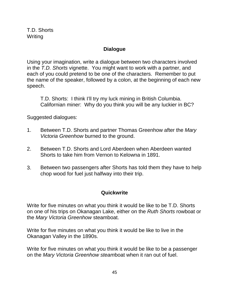## **Dialogue**

Using your imagination, write a dialogue between two characters involved in the T.D. Shorts vignette. You might want to work with a partner, and each of you could pretend to be one of the characters. Remember to put the name of the speaker, followed by a colon, at the beginning of each new speech.

T.D. Shorts: I think I'll try my luck mining in British Columbia. Californian miner: Why do you think you will be any luckier in BC?

Suggested dialogues:

- 1. Between T.D. Shorts and partner Thomas Greenhow after the Mary Victoria Greenhow burned to the ground.
- 2. Between T.D. Shorts and Lord Aberdeen when Aberdeen wanted Shorts to take him from Vernon to Kelowna in 1891.
- 3. Between two passengers after Shorts has told them they have to help chop wood for fuel just halfway into their trip.

## **Quickwrite**

Write for five minutes on what you think it would be like to be T.D. Shorts on one of his trips on Okanagan Lake, either on the Ruth Shorts rowboat or the Mary Victoria Greenhow steamboat.

Write for five minutes on what you think it would be like to live in the Okanagan Valley in the 1890s.

Write for five minutes on what you think it would be like to be a passenger on the Mary Victoria Greenhow steamboat when it ran out of fuel.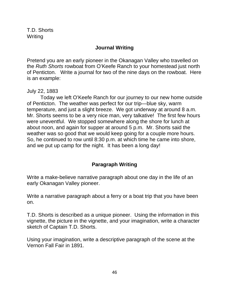## **Journal Writing**

Pretend you are an early pioneer in the Okanagan Valley who travelled on the Ruth Shorts rowboat from O'Keefe Ranch to your homestead just north of Penticton. Write a journal for two of the nine days on the rowboat. Here is an example:

July 22, 1883

Today we left O'Keefe Ranch for our journey to our new home outside of Penticton. The weather was perfect for our trip—blue sky, warm temperature, and just a slight breeze. We got underway at around 8 a.m. Mr. Shorts seems to be a very nice man, very talkative! The first few hours were uneventful. We stopped somewhere along the shore for lunch at about noon, and again for supper at around 5 p.m. Mr. Shorts said the weather was so good that we would keep going for a couple more hours. So, he continued to row until 8:30 p.m. at which time he came into shore, and we put up camp for the night. It has been a long day!

# **Paragraph Writing**

Write a make-believe narrative paragraph about one day in the life of an early Okanagan Valley pioneer.

Write a narrative paragraph about a ferry or a boat trip that you have been on.

T.D. Shorts is described as a unique pioneer. Using the information in this vignette, the picture in the vignette, and your imagination, write a character sketch of Captain T.D. Shorts.

Using your imagination, write a descriptive paragraph of the scene at the Vernon Fall Fair in 1891.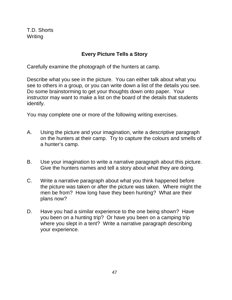T.D. Shorts Writing

# **Every Picture Tells a Story**

Carefully examine the photograph of the hunters at camp.

Describe what you see in the picture. You can either talk about what you see to others in a group, or you can write down a list of the details you see. Do some brainstorming to get your thoughts down onto paper. Your instructor may want to make a list on the board of the details that students identify.

You may complete one or more of the following writing exercises.

- A. Using the picture and your imagination, write a descriptive paragraph on the hunters at their camp. Try to capture the colours and smells of a hunter's camp.
- B. Use your imagination to write a narrative paragraph about this picture. Give the hunters names and tell a story about what they are doing.
- C. Write a narrative paragraph about what you think happened before the picture was taken or after the picture was taken. Where might the men be from? How long have they been hunting? What are their plans now?
- D. Have you had a similar experience to the one being shown? Have you been on a hunting trip? Or have you been on a camping trip where you slept in a tent? Write a narrative paragraph describing your experience.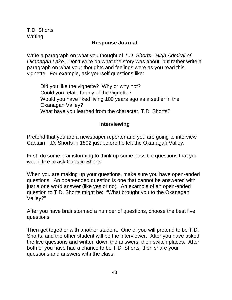T.D. Shorts **Writing** 

## **Response Journal**

Write a paragraph on what you thought of T.D. Shorts: High Admiral of Okanagan Lake. Don't write on what the story was about, but rather write a paragraph on what your thoughts and feelings were as you read this vignette. For example, ask yourself questions like:

Did you like the vignette? Why or why not? Could you relate to any of the vignette? Would you have liked living 100 years ago as a settler in the Okanagan Valley? What have you learned from the character, T.D. Shorts?

#### **Interviewing**

Pretend that you are a newspaper reporter and you are going to interview Captain T.D. Shorts in 1892 just before he left the Okanagan Valley.

First, do some brainstorming to think up some possible questions that you would like to ask Captain Shorts.

When you are making up your questions, make sure you have open-ended questions. An open-ended question is one that cannot be answered with just a one word answer (like yes or no). An example of an open-ended question to T.D. Shorts might be: "What brought you to the Okanagan Valley?"

After you have brainstormed a number of questions, choose the best five questions.

Then get together with another student. One of you will pretend to be T.D. Shorts, and the other student will be the interviewer. After you have asked the five questions and written down the answers, then switch places. After both of you have had a chance to be T.D. Shorts, then share your questions and answers with the class.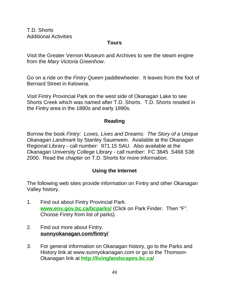T.D. Shorts Additional Activities

#### **Tours**

Visit the Greater Vernon Museum and Archives to see the steam engine from the Mary Victoria Greenhow.

Go on a ride on the Fintry Queen paddlewheeler. It leaves from the foot of Bernard Street in Kelowna.

Visit Fintry Provincial Park on the west side of Okanagan Lake to see Shorts Creek which was named after T.D. Shorts. T.D. Shorts resided in the Fintry area in the 1880s and early 1890s.

## **Reading**

Borrow the book Fintry: Loves, Lives and Dreams: The Story of a Unique Okanagan Landmark by Stanley Sauerwein. Available at the Okanagan Regional Library - call number: 971.15 SAU. Also available at the Okanagan University College Library - call number: FC 3845 .S468 S38 2000. Read the chapter on T.D. Shorts for more information.

# **Using the Internet**

The following web sites provide information on Fintry and other Okanagan Valley history.

- 1. Find out about Fintry Provincial Park. **www.env.gov.bc.ca/bcparks/** (Click on Park Finder. Then "F". Choose Fintry from list of parks).
- 2. Find out more about Fintry. **sunnyokanagan.com/fintry/**
- 3. For general information on Okanagan history, go to the Parks and History link at www.sunnyokanagan.com or go to the Thomson-Okanagan link at **http://livinglandscapes.bc.ca**/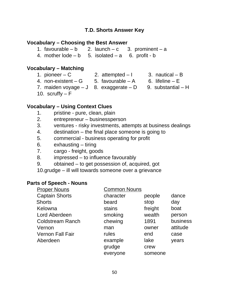#### **Vocabulary – Choosing the Best Answer**

- 1. favourable b 2. launch c 3. prominent a
- 4. mother  $\text{Iode} \text{b} = 5$ . isolated  $-\text{a} = 6$ . profit b

## **Vocabulary – Matching**

- 
- 
- 1. pioneer C 2. attempted I 3. nautical B<br>4. non-existent G 5. favourable A 6. lifeline E 4. non-existent – G  $= 5.$  favourable – A
	-
- 
- 7. maiden voyage  $-J$  8. exaggerate  $-D$  9. substantial  $-H$ 
	- -

- 10. scruffy  $F$ 
	-

# **Vocabulary – Using Context Clues**

- 1. pristine pure, clean, plain
- 2. entrepreneur businessperson
- 3. ventures risky investments, attempts at business dealings
- 4. destination the final place someone is going to
- 5. commercial business operating for profit
- 6. exhausting tiring
- 7. cargo freight, goods
- 8. impressed to influence favourably
- 9. obtained to get possession of, acquired, got
- 10.grudge ill will towards someone over a grievance

#### **Parts of Speech - Nouns**

| <b>Proper Nouns</b>     | <b>Common Nouns</b> |         |          |
|-------------------------|---------------------|---------|----------|
| <b>Captain Shorts</b>   | character           | people  | dance    |
| <b>Shorts</b>           | beard               | stop    | day      |
| Kelowna                 | stains              | freight | boat     |
| Lord Aberdeen           | smoking             | wealth  | person   |
| <b>Coldstream Ranch</b> | chewing             | 1891    | business |
| Vernon                  | man                 | owner   | attitude |
| <b>Vernon Fall Fair</b> | rules               | end     | case     |
| Aberdeen                | example             | lake    | years    |
|                         | grudge              | crew    |          |
|                         | everyone            | someone |          |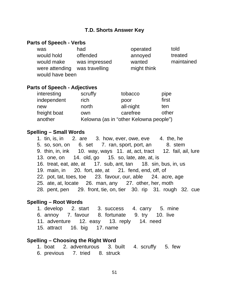#### **Parts of Speech - Verbs**

| was                                             | had                             | operated              | told       |
|-------------------------------------------------|---------------------------------|-----------------------|------------|
| would hold                                      | offended                        | annoyed               | treated    |
| would make<br>were attending<br>would have been | was impressed<br>was travelling | wanted<br>might think | maintained |

#### **Parts of Speech - Adjectives**

| interesting  | scruffy                                | tobacco   | pipe  |  |
|--------------|----------------------------------------|-----------|-------|--|
| independent  | rich                                   | poor      | first |  |
| new          | north                                  | all-night | ten   |  |
| freight boat | own                                    | carefree  | other |  |
| another      | Kelowna (as in "other Kelowna people") |           |       |  |

#### **Spelling – Small Words**

1. tin, is, in 2. are 3. how, ever, owe, eve 4. the, he 5. so, son, on 6. set 7. ran, sport, port, an 8. stem 9. thin, in, ink 10. way, ways 11. at, act, tract 12. fail, ail, lure 13. one, on 14. old, go 15. so, late, ate, at, is 16. treat, eat, ate, at 17. sub, ant, tan 18. sin, bus, in, us 19. main, in 20. fort, ate, at 21. fend, end, off, of 22. pot, tat, toes, toe 23. favour, our, able 24. acre, age 25. ate, at, locate 26. man, any 27. other, her, moth 28. pent, pen 29. front, tie, on, tier 30. rip 31. rough 32. cue

#### **Spelling – Root Words**

1. develop 2. start 3. success 4. carry 5. mine 6. annoy 7. favour 8. fortunate 9. try 10. live 11. adventure 12. easy 13. reply 14. need 15. attract 16. big 17. name

#### **Spelling – Choosing the Right Word**

- 1. boat 2. adventurous 3. built 4. scruffy 5. few
- 6. previous 7. tried 8. struck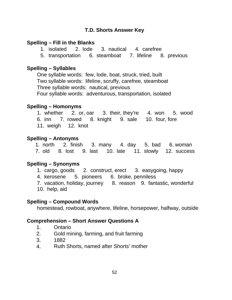#### **Spelling – Fill in the Blanks**

- 1. isolated 2. lode 3. nautical 4. carefree
- 5. transportation 6. steamboat 7. lifeline 8. previous

#### **Spelling – Syllables**

One syllable words: few, lode, boat, struck, tried, built Two syllable words: lifeline, scruffy, carefree, steamboat Three syllable words: nautical, previous Four syllable words: adventurous, transportation, isolated

#### **Spelling – Homonyms**

1. whether 2. or, oar 3. their, they're 4. won 5. wood 6. inn 7. rowed 8. knight 9. sale 10. four, fore 11. weigh 12. knot

#### **Spelling – Antonyms**

1. north 2. finish 3. many 4. day 5. bad 6. woman 7. old 8. lost 9. last 10. late 11. slowly 12. success

#### **Spelling – Synonyms**

- 1. cargo, goods 2. construct, erect 3. easygoing, happy
- 4. kerosene 5. pioneers 6. broke, penniless
- 7. vacation, holiday, journey 8. reason 9. fantastic, wonderful
- 10. help, aid

#### **Spelling – Compound Words**

homestead, rowboat, anywhere, lifeline, horsepower, halfway, outside

## **Comprehension – Short Answer Questions A**

- 1. Ontario
- 2. Gold mining, farming, and fruit farming
- 3. 1882
- 4. Ruth Shorts, named after Shorts' mother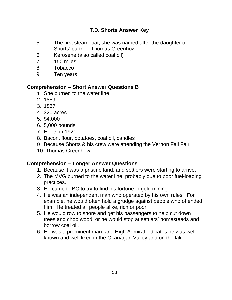- 5. The first steamboat; she was named after the daughter of Shorts' partner, Thomas Greenhow
- 6. Kerosene (also called coal oil)
- 7. 150 miles
- 8. Tobacco
- 9. Ten years

# **Comprehension – Short Answer Questions B**

- 1. She burned to the water line
- 2. 1859
- 3. 1837
- 4. 320 acres
- 5. \$4,000
- 6. 5,000 pounds
- 7. Hope, in 1921
- 8. Bacon, flour, potatoes, coal oil, candles
- 9. Because Shorts & his crew were attending the Vernon Fall Fair.
- 10. Thomas Greenhow

## **Comprehension – Longer Answer Questions**

- 1. Because it was a pristine land, and settlers were starting to arrive.
- 2. The MVG burned to the water line, probably due to poor fuel-loading practices.
- 3. He came to BC to try to find his fortune in gold mining.
- 4. He was an independent man who operated by his own rules. For example, he would often hold a grudge against people who offended him. He treated all people alike, rich or poor.
- 5. He would row to shore and get his passengers to help cut down trees and chop wood, or he would stop at settlers' homesteads and borrow coal oil.
- 6. He was a prominent man, and High Admiral indicates he was well known and well liked in the Okanagan Valley and on the lake.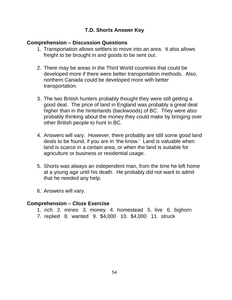#### **Comprehension – Discussion Questions**

- 1. Transportation allows settlers to move into an area. It also allows freight to be brought in and goods to be sent out.
- 2. There may be areas in the Third World countries that could be developed more if there were better transportation methods. Also, northern Canada could be developed more with better transportation.
- 3. The two British hunters probably thought they were still getting a good deal. The price of land in England was probably a great deal higher than in the hinterlands (backwoods) of BC. They were also probably thinking about the money they could make by bringing over other British people to hunt in BC.
- 4. Answers will vary. However, there probably are still some good land deals to be found, if you are in 'the know.' Land is valuable when land is scarce in a certain area, or when the land is suitable for agriculture or business or residential usage.
- 5. Shorts was always an independent man, from the time he left home at a young age until his death. He probably did not want to admit that he needed any help.
- 6. Answers will vary.

#### **Comprehension – Cloze Exercise**

- 1. rich 2. mines 3. money 4. homestead 5. live 6. bighorn
- 7. replied 8. wanted 9. \$4,000 10. \$4,000 11. struck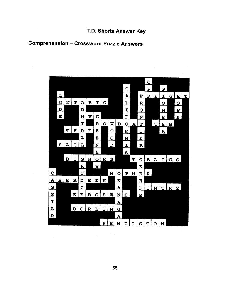# **Comprehension - Crossword Puzzle Answers**

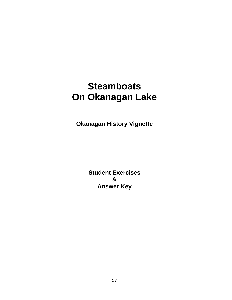# **Steamboats On Okanagan Lake**

**Okanagan History Vignette**

**Student Exercises & Answer Key**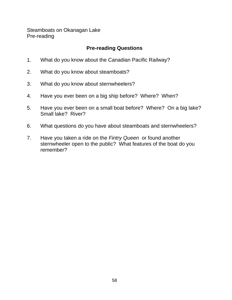Steamboats on Okanagan Lake Pre-reading

# **Pre-reading Questions**

- 1. What do you know about the Canadian Pacific Railway?
- 2. What do you know about steamboats?
- 3. What do you know about sternwheelers?
- 4. Have you ever been on a big ship before? Where? When?
- 5. Have you ever been on a small boat before? Where? On a big lake? Small lake? River?
- 6. What questions do you have about steamboats and sternwheelers?
- 7. Have you taken a ride on the Fintry Queen or found another sternwheeler open to the public? What features of the boat do you remember?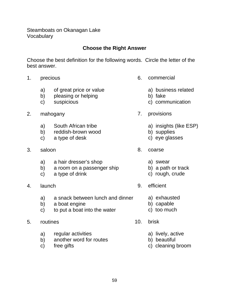Steamboats on Okanagan Lake **Vocabulary** 

# **Choose the Right Answer**

Choose the best definition for the following words. Circle the letter of the best answer.

- - a) of great price or value a) business related
	- b) pleasing or helping b) fake
	-
- 2. mahogany 7. provisions
	- a) South African tribe a) insights (like ESP)
	- b) reddish-brown wood b) supplies
	- c) a type of desk c) eye glasses
- 3. saloon 8. coarse
	- a) a hair dresser's shop a a) swear
	- b) a room on a passenger ship b) a path or track
	- c) a type of drink c) c) rough, crude
- 4. launch 9. efficient
	- a) a snack between lunch and dinner a) exhausted
	- b) a boat engine b) capable
	- c) to put a boat into the water c) too much
- 5. routines 10. brisk
	- a) regular activities and a lively, active
	- b) another word for routes b) beautiful
	-
- 1. precious 6. commercial
	-
	-
	- c) suspicious c) communication
		- -
			-
			-
		- -
			-
			-
		- -
			-
			-
		- -
			-
	- c) free gifts c) cleaning broom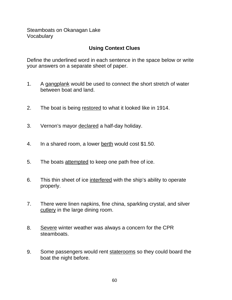Steamboats on Okanagan Lake Vocabulary

# **Using Context Clues**

Define the underlined word in each sentence in the space below or write your answers on a separate sheet of paper.

- 1. A gangplank would be used to connect the short stretch of water between boat and land.
- 2. The boat is being restored to what it looked like in 1914.
- 3. Vernon's mayor declared a half-day holiday.
- 4. In a shared room, a lower berth would cost \$1.50.
- 5. The boats attempted to keep one path free of ice.
- 6. This thin sheet of ice interfered with the ship's ability to operate properly.
- 7. There were linen napkins, fine china, sparkling crystal, and silver cutlery in the large dining room.
- 8. Severe winter weather was always a concern for the CPR steamboats.
- 9. Some passengers would rent staterooms so they could board the boat the night before.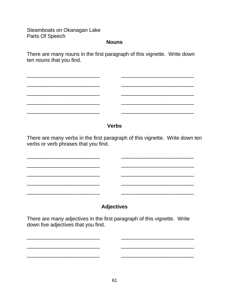Steamboats on Okanagan Lake Parts Of Speech

\_\_\_\_\_\_\_\_\_\_\_\_\_\_\_\_\_\_\_\_\_\_\_\_\_ \_\_\_\_\_\_\_\_\_\_\_\_\_\_\_\_\_\_\_\_\_\_\_\_\_

\_\_\_\_\_\_\_\_\_\_\_\_\_\_\_\_\_\_\_\_\_\_\_\_\_ \_\_\_\_\_\_\_\_\_\_\_\_\_\_\_\_\_\_\_\_\_\_\_\_\_

 $\mathcal{L}_\text{max} = \mathcal{L}_\text{max} = \mathcal{L}_\text{max} = \mathcal{L}_\text{max} = \mathcal{L}_\text{max} = \mathcal{L}_\text{max} = \mathcal{L}_\text{max} = \mathcal{L}_\text{max} = \mathcal{L}_\text{max} = \mathcal{L}_\text{max} = \mathcal{L}_\text{max} = \mathcal{L}_\text{max} = \mathcal{L}_\text{max} = \mathcal{L}_\text{max} = \mathcal{L}_\text{max} = \mathcal{L}_\text{max} = \mathcal{L}_\text{max} = \mathcal{L}_\text{max} = \mathcal{$ 

#### **Nouns**

There are many nouns in the first paragraph of this vignette. Write down ten nouns that you find.

\_\_\_\_\_\_\_\_\_\_\_\_\_\_\_\_\_\_\_\_\_\_\_\_\_ \_\_\_\_\_\_\_\_\_\_\_\_\_\_\_\_\_\_\_\_\_\_\_\_\_

\_\_\_\_\_\_\_\_\_\_\_\_\_\_\_\_\_\_\_\_\_\_\_\_\_ \_\_\_\_\_\_\_\_\_\_\_\_\_\_\_\_\_\_\_\_\_\_\_\_\_

\_\_\_\_\_\_\_\_\_\_\_\_\_\_\_\_\_\_\_\_\_\_\_\_\_ \_\_\_\_\_\_\_\_\_\_\_\_\_\_\_\_\_\_\_\_\_\_\_\_\_

\_\_\_\_\_\_\_\_\_\_\_\_\_\_\_\_\_\_\_\_\_\_\_\_\_ \_\_\_\_\_\_\_\_\_\_\_\_\_\_\_\_\_\_\_\_\_\_\_\_\_

# **Verbs**

There are many verbs in the first paragraph of this vignette. Write down ten verbs or verb phrases that you find.

\_\_\_\_\_\_\_\_\_\_\_\_\_\_\_\_\_\_\_\_\_\_\_\_\_ \_\_\_\_\_\_\_\_\_\_\_\_\_\_\_\_\_\_\_\_\_\_\_\_\_

\_\_\_\_\_\_\_\_\_\_\_\_\_\_\_\_\_\_\_\_\_\_\_\_\_ \_\_\_\_\_\_\_\_\_\_\_\_\_\_\_\_\_\_\_\_\_\_\_\_\_

\_\_\_\_\_\_\_\_\_\_\_\_\_\_\_\_\_\_\_\_\_\_\_\_\_ \_\_\_\_\_\_\_\_\_\_\_\_\_\_\_\_\_\_\_\_\_\_\_\_\_

**Adjectives**

There are many adjectives in the first paragraph of this vignette. Write down five adjectives that you find.

\_\_\_\_\_\_\_\_\_\_\_\_\_\_\_\_\_\_\_\_\_\_\_\_\_ \_\_\_\_\_\_\_\_\_\_\_\_\_\_\_\_\_\_\_\_\_\_\_\_\_

\_\_\_\_\_\_\_\_\_\_\_\_\_\_\_\_\_\_\_\_\_\_\_\_\_ \_\_\_\_\_\_\_\_\_\_\_\_\_\_\_\_\_\_\_\_\_\_\_\_\_

\_\_\_\_\_\_\_\_\_\_\_\_\_\_\_\_\_\_\_\_\_\_\_\_\_ \_\_\_\_\_\_\_\_\_\_\_\_\_\_\_\_\_\_\_\_\_\_\_\_\_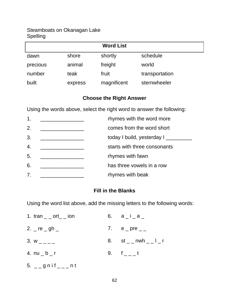| <b>Word List</b> |         |             |                |  |
|------------------|---------|-------------|----------------|--|
| dawn             | shore   | shortly     | schedule       |  |
| precious         | animal  | freight     | world          |  |
| number           | teak    | fruit       | transportation |  |
| built            | express | magnificent | sternwheeler   |  |

# **Choose the Right Answer**

Using the words above, select the right word to answer the following:

| $\mathbf 1$ .    | rhymes with the word more     |
|------------------|-------------------------------|
| 2.               | comes from the word short     |
| 3.               | today I build, yesterday I __ |
| $\overline{4}$ . | starts with three consonants  |
| 5.               | rhymes with fawn              |
| 6.               | has three vowels in a row     |
| 7.               | rhymes with beak              |

# **Fill in the Blanks**

Using the word list above, add the missing letters to the following words:

| 1. tran $\_\_$ ort $\_\_$ ion                                                          | 6. $a_i_a = a_1$        |
|----------------------------------------------------------------------------------------|-------------------------|
| 2. $\mathsf{e}_{\mathsf{p}}$ re $\mathsf{e}_{\mathsf{p}}$ gh $\mathsf{e}_{\mathsf{p}}$ | 7. $e_{pre_{-}}$        |
| 3. $W_{---}$                                                                           | 8. st _ _ nwh _ _ l _ r |
| 4. $nu_b$                                                                              | 9. $f_{--}$ t           |

5.  $\angle$  \_ g n i f  $\angle$  \_  $\angle$  n t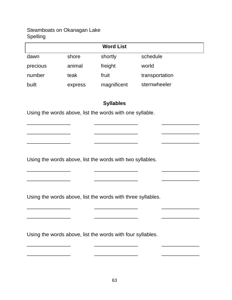| <b>Word List</b> |         |             |                |
|------------------|---------|-------------|----------------|
| dawn             | shore   | shortly     | schedule       |
| precious         | animal  | freight     | world          |
| number           | teak    | fruit       | transportation |
| built            | express | magnificent | sternwheeler   |

# **Syllables**

\_\_\_\_\_\_\_\_\_\_\_\_\_\_\_ \_\_\_\_\_\_\_\_\_\_\_\_\_\_\_ \_\_\_\_\_\_\_\_\_\_\_\_\_

\_\_\_\_\_\_\_\_\_\_\_\_\_\_\_ \_\_\_\_\_\_\_\_\_\_\_\_\_\_\_ \_\_\_\_\_\_\_\_\_\_\_\_\_

\_\_\_\_\_\_\_\_\_\_\_\_\_\_\_ \_\_\_\_\_\_\_\_\_\_\_\_\_\_\_ \_\_\_\_\_\_\_\_\_\_\_\_\_

\_\_\_\_\_\_\_\_\_\_\_\_\_\_\_ \_\_\_\_\_\_\_\_\_\_\_\_\_\_\_ \_\_\_\_\_\_\_\_\_\_\_\_\_

\_\_\_\_\_\_\_\_\_\_\_\_\_\_\_ \_\_\_\_\_\_\_\_\_\_\_\_\_\_\_ \_\_\_\_\_\_\_\_\_\_\_\_\_

\_\_\_\_\_\_\_\_\_\_\_\_\_\_\_ \_\_\_\_\_\_\_\_\_\_\_\_\_\_\_ \_\_\_\_\_\_\_\_\_\_\_\_\_

\_\_\_\_\_\_\_\_\_\_\_\_\_\_\_ \_\_\_\_\_\_\_\_\_\_\_\_\_\_\_ \_\_\_\_\_\_\_\_\_\_\_\_\_

\_\_\_\_\_\_\_\_\_\_\_\_\_\_\_ \_\_\_\_\_\_\_\_\_\_\_\_\_\_\_ \_\_\_\_\_\_\_\_\_\_\_\_\_

 $\overline{\phantom{a}}$  , and the set of the set of the set of the set of the set of the set of the set of the set of the set of the set of the set of the set of the set of the set of the set of the set of the set of the set of the s

Using the words above, list the words with one syllable.

Using the words above, list the words with two syllables.

Using the words above, list the words with three syllables.

Using the words above, list the words with four syllables.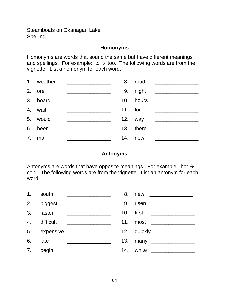#### **Homonyms**

Homonyms are words that sound the same but have different meanings and spellings. For example: to  $\rightarrow$  too. The following words are from the vignette. List a homonym for each word.

| 1. | weather  | 8.        | road      |  |
|----|----------|-----------|-----------|--|
|    | 2. ore   |           | 9. night  |  |
|    | 3. board |           | 10. hours |  |
|    | 4. wait  | $11.$ for |           |  |
| 5. | would    |           | 12. way   |  |
| 6. | been     |           | 13. there |  |
|    | 7. mail  | 14.       | new       |  |

#### **Antonyms**

Antonyms are words that have opposite meanings. For example: hot  $\rightarrow$ cold. The following words are from the vignette. List an antonym for each word.

| 1 <sub>1</sub> | south        |                                                                                                                      | 8. | new __________________       |
|----------------|--------------|----------------------------------------------------------------------------------------------------------------------|----|------------------------------|
|                | 2. biggest   |                                                                                                                      | 9. | risen ______________         |
| 3.             | faster       | <u> 1980 - Jan Samuel Barbara, poeta poeta poeta poeta poeta poeta poeta poeta poeta poeta poeta poeta poeta poe</u> |    |                              |
|                | 4. difficult | <u> 1980 - Jan Barbara Barbara, manazar a</u>                                                                        |    | 11. most __________          |
|                |              | 5. expensive <b>contained</b>                                                                                        |    | 12. quickly_________________ |
| 6.             | late         |                                                                                                                      |    |                              |
| 7.             | begin        |                                                                                                                      |    | 14. white _____________      |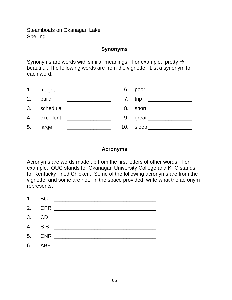#### **Synonyms**

Synonyms are words with similar meanings. For example: pretty  $\rightarrow$ beautiful. The following words are from the vignette. List a synonym for each word.

|    | 1. freight  | <u> 1989 - Johann Barbara, martin a</u>    | 6. poor _____________     |
|----|-------------|--------------------------------------------|---------------------------|
| 2. | build       | <u> 1989 - Johann Barbara, martin a</u>    | 7. trip _______           |
|    | 3. schedule | <u> 1990 - Johann Barn, mars ann an t-</u> |                           |
|    |             | 4. excellent ________________              | 9. great ______________   |
| 5. | large       |                                            | 10. sleep _______________ |

#### **Acronyms**

Acronyms are words made up from the first letters of other words. For example: OUC stands for Okanagan University College and KFC stands for Kentucky Fried Chicken. Some of the following acronyms are from the vignette, and some are not. In the space provided, write what the acronym represents.

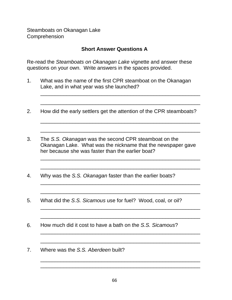## **Short Answer Questions A**

Re-read the Steamboats on Okanagan Lake vignette and answer these questions on your own. Write answers in the spaces provided.

- 1. What was the name of the first CPR steamboat on the Okanagan Lake, and in what year was she launched?
- 2. How did the early settlers get the attention of the CPR steamboats?

\_\_\_\_\_\_\_\_\_\_\_\_\_\_\_\_\_\_\_\_\_\_\_\_\_\_\_\_\_\_\_\_\_\_\_\_\_\_\_\_\_\_\_\_\_\_\_\_\_\_\_\_\_\_\_

\_\_\_\_\_\_\_\_\_\_\_\_\_\_\_\_\_\_\_\_\_\_\_\_\_\_\_\_\_\_\_\_\_\_\_\_\_\_\_\_\_\_\_\_\_\_\_\_\_\_\_\_\_\_\_

\_\_\_\_\_\_\_\_\_\_\_\_\_\_\_\_\_\_\_\_\_\_\_\_\_\_\_\_\_\_\_\_\_\_\_\_\_\_\_\_\_\_\_\_\_\_\_\_\_\_\_\_\_\_\_

\_\_\_\_\_\_\_\_\_\_\_\_\_\_\_\_\_\_\_\_\_\_\_\_\_\_\_\_\_\_\_\_\_\_\_\_\_\_\_\_\_\_\_\_\_\_\_\_\_\_\_\_\_\_\_

\_\_\_\_\_\_\_\_\_\_\_\_\_\_\_\_\_\_\_\_\_\_\_\_\_\_\_\_\_\_\_\_\_\_\_\_\_\_\_\_\_\_\_\_\_\_\_\_\_\_\_\_\_\_\_

\_\_\_\_\_\_\_\_\_\_\_\_\_\_\_\_\_\_\_\_\_\_\_\_\_\_\_\_\_\_\_\_\_\_\_\_\_\_\_\_\_\_\_\_\_\_\_\_\_\_\_\_\_\_\_

\_\_\_\_\_\_\_\_\_\_\_\_\_\_\_\_\_\_\_\_\_\_\_\_\_\_\_\_\_\_\_\_\_\_\_\_\_\_\_\_\_\_\_\_\_\_\_\_\_\_\_\_\_\_\_

\_\_\_\_\_\_\_\_\_\_\_\_\_\_\_\_\_\_\_\_\_\_\_\_\_\_\_\_\_\_\_\_\_\_\_\_\_\_\_\_\_\_\_\_\_\_\_\_\_\_\_\_\_\_\_

\_\_\_\_\_\_\_\_\_\_\_\_\_\_\_\_\_\_\_\_\_\_\_\_\_\_\_\_\_\_\_\_\_\_\_\_\_\_\_\_\_\_\_\_\_\_\_\_\_\_\_\_\_\_\_

\_\_\_\_\_\_\_\_\_\_\_\_\_\_\_\_\_\_\_\_\_\_\_\_\_\_\_\_\_\_\_\_\_\_\_\_\_\_\_\_\_\_\_\_\_\_\_\_\_\_\_\_\_\_\_

\_\_\_\_\_\_\_\_\_\_\_\_\_\_\_\_\_\_\_\_\_\_\_\_\_\_\_\_\_\_\_\_\_\_\_\_\_\_\_\_\_\_\_\_\_\_\_\_\_\_\_\_\_\_\_

\_\_\_\_\_\_\_\_\_\_\_\_\_\_\_\_\_\_\_\_\_\_\_\_\_\_\_\_\_\_\_\_\_\_\_\_\_\_\_\_\_\_\_\_\_\_\_\_\_\_\_\_\_\_\_

\_\_\_\_\_\_\_\_\_\_\_\_\_\_\_\_\_\_\_\_\_\_\_\_\_\_\_\_\_\_\_\_\_\_\_\_\_\_\_\_\_\_\_\_\_\_\_\_\_\_\_\_\_\_\_ \_\_\_\_\_\_\_\_\_\_\_\_\_\_\_\_\_\_\_\_\_\_\_\_\_\_\_\_\_\_\_\_\_\_\_\_\_\_\_\_\_\_\_\_\_\_\_\_\_\_\_\_\_\_\_

- 3. The S.S. Okanagan was the second CPR steamboat on the Okanagan Lake. What was the nickname that the newspaper gave her because she was faster than the earlier boat?
- 4. Why was the S.S. Okanagan faster than the earlier boats?
- 5. What did the S.S. Sicamous use for fuel? Wood, coal, or oil?
- 6. How much did it cost to have a bath on the S.S. Sicamous?
- 7. Where was the S.S. Aberdeen built?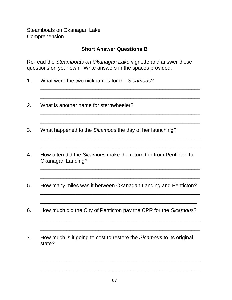## **Short Answer Questions B**

\_\_\_\_\_\_\_\_\_\_\_\_\_\_\_\_\_\_\_\_\_\_\_\_\_\_\_\_\_\_\_\_\_\_\_\_\_\_\_\_\_\_\_\_\_\_\_\_\_\_\_\_\_\_\_

\_\_\_\_\_\_\_\_\_\_\_\_\_\_\_\_\_\_\_\_\_\_\_\_\_\_\_\_\_\_\_\_\_\_\_\_\_\_\_\_\_\_\_\_\_\_\_\_\_\_\_\_\_\_\_

\_\_\_\_\_\_\_\_\_\_\_\_\_\_\_\_\_\_\_\_\_\_\_\_\_\_\_\_\_\_\_\_\_\_\_\_\_\_\_\_\_\_\_\_\_\_\_\_\_\_\_\_\_\_\_

\_\_\_\_\_\_\_\_\_\_\_\_\_\_\_\_\_\_\_\_\_\_\_\_\_\_\_\_\_\_\_\_\_\_\_\_\_\_\_\_\_\_\_\_\_\_\_\_\_\_\_\_\_\_\_

\_\_\_\_\_\_\_\_\_\_\_\_\_\_\_\_\_\_\_\_\_\_\_\_\_\_\_\_\_\_\_\_\_\_\_\_\_\_\_\_\_\_\_\_\_\_\_\_\_\_\_\_\_\_\_

\_\_\_\_\_\_\_\_\_\_\_\_\_\_\_\_\_\_\_\_\_\_\_\_\_\_\_\_\_\_\_\_\_\_\_\_\_\_\_\_\_\_\_\_\_\_\_\_\_\_\_\_\_\_\_

\_\_\_\_\_\_\_\_\_\_\_\_\_\_\_\_\_\_\_\_\_\_\_\_\_\_\_\_\_\_\_\_\_\_\_\_\_\_\_\_\_\_\_\_\_\_\_\_\_\_\_\_\_\_\_

\_\_\_\_\_\_\_\_\_\_\_\_\_\_\_\_\_\_\_\_\_\_\_\_\_\_\_\_\_\_\_\_\_\_\_\_\_\_\_\_\_\_\_\_\_\_\_\_\_\_\_\_\_\_\_

\_\_\_\_\_\_\_\_\_\_\_\_\_\_\_\_\_\_\_\_\_\_\_\_\_\_\_\_\_\_\_\_\_\_\_\_\_\_\_\_\_\_\_\_\_\_\_\_\_\_\_\_\_\_

\_\_\_\_\_\_\_\_\_\_\_\_\_\_\_\_\_\_\_\_\_\_\_\_\_\_\_\_\_\_\_\_\_\_\_\_\_\_\_\_\_\_\_\_\_\_\_\_\_\_\_\_\_\_\_

\_\_\_\_\_\_\_\_\_\_\_\_\_\_\_\_\_\_\_\_\_\_\_\_\_\_\_\_\_\_\_\_\_\_\_\_\_\_\_\_\_\_\_\_\_\_\_\_\_\_\_\_\_\_\_

\_\_\_\_\_\_\_\_\_\_\_\_\_\_\_\_\_\_\_\_\_\_\_\_\_\_\_\_\_\_\_\_\_\_\_\_\_\_\_\_\_\_\_\_\_\_\_\_\_\_\_\_\_\_\_

\_\_\_\_\_\_\_\_\_\_\_\_\_\_\_\_\_\_\_\_\_\_\_\_\_\_\_\_\_\_\_\_\_\_\_\_\_\_\_\_\_\_\_\_\_\_\_\_\_\_\_\_\_\_\_

\_\_\_\_\_\_\_\_\_\_\_\_\_\_\_\_\_\_\_\_\_\_\_\_\_\_\_\_\_\_\_\_\_\_\_\_\_\_\_\_\_\_\_\_\_\_\_\_\_\_\_\_\_\_\_

Re-read the Steamboats on Okanagan Lake vignette and answer these questions on your own. Write answers in the spaces provided.

- 1. What were the two nicknames for the Sicamous?
- 2. What is another name for sternwheeler?
- 3. What happened to the Sicamous the day of her launching?
- 4. How often did the Sicamous make the return trip from Penticton to Okanagan Landing?
- 5. How many miles was it between Okanagan Landing and Penticton?
- 6. How much did the City of Penticton pay the CPR for the Sicamous?
- 7. How much is it going to cost to restore the Sicamous to its original state?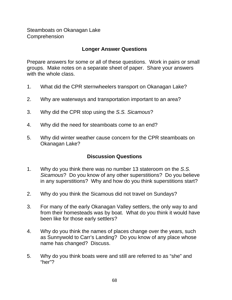## **Longer Answer Questions**

Prepare answers for some or all of these questions. Work in pairs or small groups. Make notes on a separate sheet of paper. Share your answers with the whole class.

- 1. What did the CPR sternwheelers transport on Okanagan Lake?
- 2. Why are waterways and transportation important to an area?
- 3. Why did the CPR stop using the S.S. Sicamous?
- 4. Why did the need for steamboats come to an end?
- 5. Why did winter weather cause concern for the CPR steamboats on Okanagan Lake?

## **Discussion Questions**

- 1. Why do you think there was no number 13 stateroom on the S.S. Sicamous? Do you know of any other superstitions? Do you believe in any superstitions? Why and how do you think superstitions start?
- 2. Why do you think the Sicamous did not travel on Sundays?
- 3. For many of the early Okanagan Valley settlers, the only way to and from their homesteads was by boat. What do you think it would have been like for those early settlers?
- 4. Why do you think the names of places change over the years, such as Sunnywold to Carr's Landing? Do you know of any place whose name has changed? Discuss.
- 5. Why do you think boats were and still are referred to as "she" and "her"?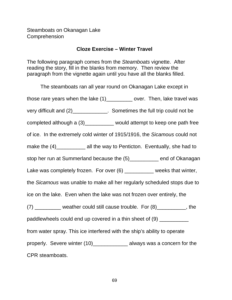#### **Cloze Exercise – Winter Travel**

The following paragraph comes from the Steamboats vignette. After reading the story, fill in the blanks from memory. Then review the paragraph from the vignette again until you have all the blanks filled.

The steamboats ran all year round on Okanagan Lake except in those rare years when the lake (1)\_\_\_\_\_\_\_\_\_ over. Then, lake travel was very difficult and (2)\_\_\_\_\_\_\_\_\_\_\_\_. Sometimes the full trip could not be completed although a (3)\_\_\_\_\_\_\_\_\_\_ would attempt to keep one path free of ice. In the extremely cold winter of 1915/1916, the Sicamous could not make the (4)\_\_\_\_\_\_\_\_\_\_\_\_ all the way to Penticton. Eventually, she had to stop her run at Summerland because the (5)\_\_\_\_\_\_\_\_\_\_ end of Okanagan Lake was completely frozen. For over (6) \_\_\_\_\_\_\_\_\_\_ weeks that winter, the Sicamous was unable to make all her regularly scheduled stops due to ice on the lake. Even when the lake was not frozen over entirely, the (7) \_\_\_\_\_\_\_\_\_ weather could still cause trouble. For (8)\_\_\_\_\_\_\_\_\_\_, the paddlewheels could end up covered in a thin sheet of (9) \_\_\_\_\_\_\_\_\_ from water spray. This ice interfered with the ship's ability to operate properly. Severe winter (10)\_\_\_\_\_\_\_\_\_\_\_\_\_ always was a concern for the CPR steamboats.

69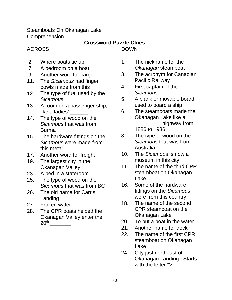Steamboats On Okanagan Lake Comprehension

# **Crossword Puzzle Clues**

DOWN

# ACROSS

- 2. Where boats tie up
- 7. A bedroom on a boat
- 9. Another word for cargo
- 11. The Sicamous had finger bowls made from this
- 12. The type of fuel used by the **Sicamous**
- 13. A room on a passenger ship, like a ladies' \_\_\_\_\_
- 14. The type of wood on the Sicamous that was from Burma
- 15. The hardware fittings on the Sicamous were made from this metal
- 17. Another word for freight
- 19. The largest city in the Okanagan Valley
- 23. A bed in a stateroom
- 25. The type of wood on the Sicamous that was from BC
- 26. The old name for Carr's Landing
- 27. Frozen water
- 28. The CPR boats helped the Okanagan Valley enter the  $20^{\text{th}}$
- 1. The nickname for the Okanagan steamboat
- 3. The acronym for Canadian Pacific Railway
- 4. First captain of the **Sicamous**
- 5. A plank or movable board used to board a ship
- 6. The steamboats made the Okanagan Lake like a \_\_\_\_\_\_\_\_\_ highway from 1886 to 1936
- 8. The type of wood on the Sicamous that was from Australia
- 10. The Sicamous is now a museum in this city
- 11. The name of the third CPR steamboat on Okanagan Lake
- 16. Some of the hardware fittings on the Sicamous were from this country
- 18. The name of the second CPR steamboat on the Okanagan Lake
- 20. To put a boat in the water
- 21. Another name for dock
- 22. The name of the first CPR steamboat on Okanagan Lake
- 24. City just northeast of Okanagan Landing. Starts with the letter "V"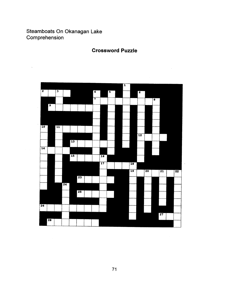# Steamboats On Okanagan Lake Comprehension

#### **Crossword Puzzle**

 $\bar{\mathcal{A}}$ 

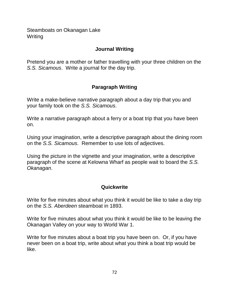Steamboats on Okanagan Lake **Writing** 

#### **Journal Writing**

Pretend you are a mother or father travelling with your three children on the S.S. Sicamous. Write a journal for the day trip.

# **Paragraph Writing**

Write a make-believe narrative paragraph about a day trip that you and your family took on the S.S. Sicamous.

Write a narrative paragraph about a ferry or a boat trip that you have been on.

Using your imagination, write a descriptive paragraph about the dining room on the S.S. Sicamous. Remember to use lots of adjectives.

Using the picture in the vignette and your imagination, write a descriptive paragraph of the scene at Kelowna Wharf as people wait to board the S.S. Okanagan.

# **Quickwrite**

Write for five minutes about what you think it would be like to take a day trip on the S.S. Aberdeen steamboat in 1893.

Write for five minutes about what you think it would be like to be leaving the Okanagan Valley on your way to World War 1.

Write for five minutes about a boat trip you have been on. Or, if you have never been on a boat trip, write about what you think a boat trip would be like.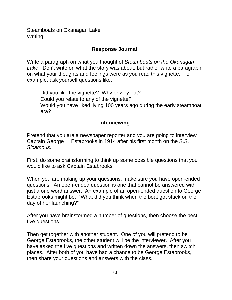Steamboats on Okanagan Lake **Writing** 

#### **Response Journal**

Write a paragraph on what you thought of Steamboats on the Okanagan Lake. Don't write on what the story was about, but rather write a paragraph on what your thoughts and feelings were as you read this vignette. For example, ask yourself questions like:

Did you like the vignette? Why or why not? Could you relate to any of the vignette? Would you have liked living 100 years ago during the early steamboat era?

# **Interviewing**

Pretend that you are a newspaper reporter and you are going to interview Captain George L. Estabrooks in 1914 after his first month on the S.S. Sicamous.

First, do some brainstorming to think up some possible questions that you would like to ask Captain Estabrooks.

When you are making up your questions, make sure you have open-ended questions. An open-ended question is one that cannot be answered with just a one word answer. An example of an open-ended question to George Estabrooks might be: "What did you think when the boat got stuck on the day of her launching?"

After you have brainstormed a number of questions, then choose the best five questions.

Then get together with another student. One of you will pretend to be George Estabrooks, the other student will be the interviewer. After you have asked the five questions and written down the answers, then switch places. After both of you have had a chance to be George Estabrooks, then share your questions and answers with the class.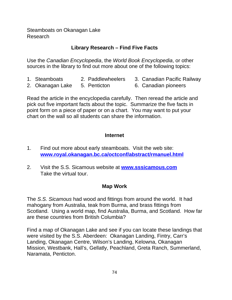Steamboats on Okanagan Lake Research

# **Library Research – Find Five Facts**

Use the Canadian Encyclopedia, the World Book Encyclopedia, or other sources in the library to find out more about one of the following topics:

- 
- 1. Steamboats 2. Paddlewheelers 3. Canadian Pacific Railway
- 2. Okanagan Lake 5. Penticton 6. Canadian pioneers
	-

Read the article in the encyclopedia carefully. Then reread the article and pick out five important facts about the topic. Summarize the five facts in point form on a piece of paper or on a chart. You may want to put your chart on the wall so all students can share the information.

#### **Internet**

- 1. Find out more about early steamboats. Visit the web site: **www.royal.okanagan.bc.ca/octconf/abstract/rmanuel.html**
- 2. Visit the S.S. Sicamous website at **www.sssicamous.com** Take the virtual tour.

#### **Map Work**

The S.S. Sicamous had wood and fittings from around the world. It had mahogany from Australia, teak from Burma, and brass fittings from Scotland. Using a world map, find Australia, Burma, and Scotland. How far are these countries from British Columbia?

Find a map of Okanagan Lake and see if you can locate these landings that were visited by the S.S. Aberdeen: Okanagan Landing, Fintry, Carr's Landing, Okanagan Centre, Wilson's Landing, Kelowna, Okanagan Mission, Westbank, Hall's, Gellatly, Peachland, Greta Ranch, Summerland, Naramata, Penticton.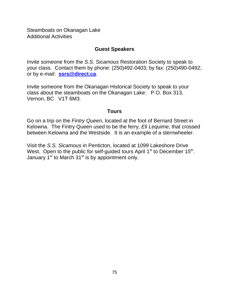Steamboats on Okanagan Lake Additional Activities

#### **Guest Speakers**

Invite someone from the S.S. Sicamous Restoration Society to speak to your class. Contact them by phone: (250)492-0403; by fax: (250)490-0492; or by e-mail: **ssrs@direct.ca**.

Invite someone from the Okanagan Historical Society to speak to your class about the steamboats on the Okanagan Lake: P.O. Box 313, Vernon, BC V1T 6M3.

#### **Tours**

Go on a trip on the Fintry Queen, located at the foot of Bernard Street in Kelowna. The Fintry Queen used to be the ferry, Eli Lequime, that crossed between Kelowna and the Westside. It is an example of a sternwheeler.

Visit the S.S. Sicamous in Penticton, located at 1099 Lakeshore Drive West. Open to the public for self-guided tours April  $1<sup>st</sup>$  to December  $15<sup>th</sup>$ . January  $1<sup>st</sup>$  to March  $31<sup>st</sup>$  is by appointment only.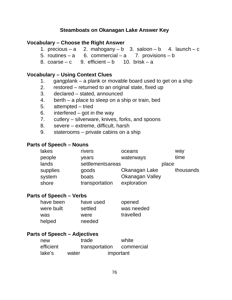#### **Vocabulary – Choose the Right Answer**

- 1. precious a 2. mahogany b 3. saloon b 4. launch c
- 5. routines a 6. commercial a 7. provisions b
- 8. coarse c 9. efficient b 10. brisk a

#### **Vocabulary – Using Context Clues**

- 1. gangplank a plank or movable board used to get on a ship
- 2. restored returned to an original state, fixed up
- 3. declared stated, announced
- 4. berth a place to sleep on a ship or train, bed
- 5. attempted tried
- 6. interfered got in the way
- 7. cutlery silverware, knives, forks, and spoons
- 8. severe extreme, difficult, harsh
- 9. staterooms private cabins on a ship

#### **Parts of Speech – Nouns**

| lakes    | rivers           | oceans                 |       | way       |
|----------|------------------|------------------------|-------|-----------|
| people   | years            | waterways              |       | time      |
| lands    | settlementsareas |                        | place |           |
| supplies | goods            | Okanagan Lake          |       | thousands |
| system   | boats            | <b>Okanagan Valley</b> |       |           |
| shore    | transportation   | exploration            |       |           |

## **Parts of Speech – Verbs**

| have been  | have used | opened     |
|------------|-----------|------------|
| were built | settled   | was needed |
| was        | were      | travelled  |
| helped     | needed    |            |

#### **Parts of Speech – Adjectives**

| new       | trade |                | white      |
|-----------|-------|----------------|------------|
| efficient |       | transportation | commercial |
| lake's    | water |                | important  |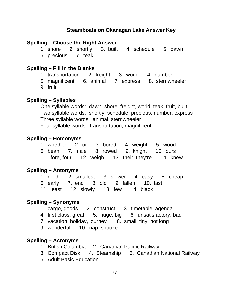#### **Spelling – Choose the Right Answer**

1. shore 2. shortly 3. built 4. schedule 5. dawn 6. precious 7. teak

#### **Spelling – Fill in the Blanks**

- 1. transportation 2. freight 3. world 4. number
- 5. magnificent 6. animal 7. express 8. sternwheeler
- 9. fruit

#### **Spelling – Syllables**

One syllable words: dawn, shore, freight, world, teak, fruit, built Two syllable words: shortly, schedule, precious, number, express Three syllable words: animal, sternwheeler Four syllable words: transportation, magnificent

#### **Spelling – Homonyms**

|  |  | 1. whether 2. or 3. bored 4. weight 5. wood          |  |
|--|--|------------------------------------------------------|--|
|  |  | 6. bean 7. male 8. rowed 9. knight 10. ours          |  |
|  |  | 11. fore, four 12. weigh 13. their, they're 14. knew |  |

#### **Spelling – Antonyms**

1. north 2. smallest 3. slower 4. easy 5. cheap 6. early 7. end 8. old 9. fallen 10. last 11. least 12. slowly 13. few 14. black

#### **Spelling – Synonyms**

- 1. cargo, goods 2. construct 3. timetable, agenda
- 4. first class, great 5. huge, big 6. unsatisfactory, bad
- 7. vacation, holiday, journey 8. small, tiny, not long
- 9. wonderful 10. nap, snooze

#### **Spelling – Acronyms**

- 1. British Columbia 2. Canadian Pacific Railway
- 3. Compact Disk 4. Steamship 5. Canadian National Railway
- 6. Adult Basic Education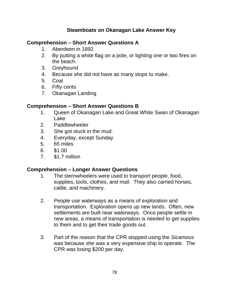#### **Comprehension – Short Answer Questions A**

- 1. Aberdeen in 1892
- 2. By putting a white flag on a pole, or lighting one or two fires on the beach.
- 3. Greyhound
- 4. Because she did not have as many stops to make.
- 5. Coal
- 6. Fifty cents
- 7. Okanagan Landing

#### **Comprehension – Short Answer Questions B**

- 1. Queen of Okanagan Lake and Great White Swan of Okanagan Lake
- 2. Paddlewheeler
- 3. She got stuck in the mud.
- 4. Everyday, except Sunday
- 5. 65 miles
- 6. \$1.00
- 7. \$1.7 million

#### **Comprehension – Longer Answer Questions**

- 1. The sternwheelers were used to transport people, food, supplies, tools, clothes, and mail. They also carried horses, cattle, and machinery.
- 2. People use waterways as a means of exploration and transportation. Exploration opens up new lands. Often, new settlements are built near waterways. Once people settle in new areas, a means of transportation is needed to get supplies to them and to get their trade goods out.
- 3. Part of the reason that the CPR stopped using the Sicamous was because she was a very expensive ship to operate. The CPR was losing \$200 per day.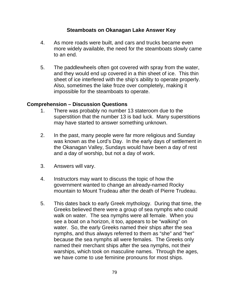- 4. As more roads were built, and cars and trucks became even more widely available, the need for the steamboats slowly came to an end.
- 5. The paddlewheels often got covered with spray from the water, and they would end up covered in a thin sheet of ice. This thin sheet of ice interfered with the ship's ability to operate properly. Also, sometimes the lake froze over completely, making it impossible for the steamboats to operate.

#### **Comprehension – Discussion Questions**

- 1. There was probably no number 13 stateroom due to the superstition that the number 13 is bad luck. Many superstitions may have started to answer something unknown.
- 2. In the past, many people were far more religious and Sunday was known as the Lord's Day. In the early days of settlement in the Okanagan Valley, Sundays would have been a day of rest and a day of worship, but not a day of work.
- 3. Answers will vary.
- 4. Instructors may want to discuss the topic of how the government wanted to change an already-named Rocky mountain to Mount Trudeau after the death of Pierre Trudeau.
- 5. This dates back to early Greek mythology. During that time, the Greeks believed there were a group of sea nymphs who could walk on water. The sea nymphs were all female. When you see a boat on a horizon, it too, appears to be "walking" on water. So, the early Greeks named their ships after the sea nymphs, and thus always referred to them as "she" and "her" because the sea nymphs all were females. The Greeks only named their merchant ships after the sea nymphs, not their warships, which took on masculine names. Through the ages, we have come to use feminine pronouns for most ships.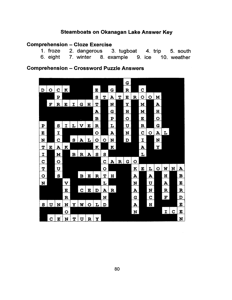#### **Comprehension - Cloze Exercise**

|  | 1. froze 2. dangerous                            | 3. tugboat 4. trip 5. south |  |  |
|--|--------------------------------------------------|-----------------------------|--|--|
|  | 6. eight 7. winter 8. example 9. ice 10. weather |                             |  |  |

#### **Comprehension - Crossword Puzzle Answers**

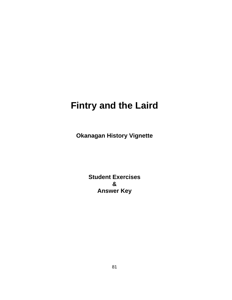# **Fintry and the Laird**

**Okanagan History Vignette**

**Student Exercises & Answer Key**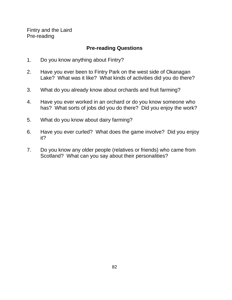Fintry and the Laird Pre-reading

# **Pre-reading Questions**

- 1. Do you know anything about Fintry?
- 2. Have you ever been to Fintry Park on the west side of Okanagan Lake? What was it like? What kinds of activities did you do there?
- 3. What do you already know about orchards and fruit farming?
- 4. Have you ever worked in an orchard or do you know someone who has? What sorts of jobs did you do there? Did you enjoy the work?
- 5. What do you know about dairy farming?
- 6. Have you ever curled? What does the game involve? Did you enjoy it?
- 7. Do you know any older people (relatives or friends) who came from Scotland? What can you say about their personalities?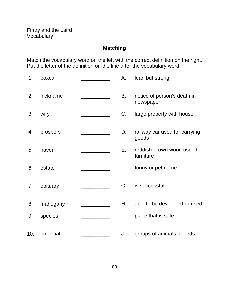# **Matching**

Match the vocabulary word on the left with the correct definition on the right. Put the letter of the definition on the line after the vocabulary word.

| 1.  | boxcar    | А.        | lean but strong                          |
|-----|-----------|-----------|------------------------------------------|
| 2.  | nickname  | <b>B.</b> | notice of person's death in<br>newspaper |
| 3.  | wiry      | C.        | large property with house                |
| 4.  | prospers  | D.        | railway car used for carrying<br>goods   |
| 5.  | haven     | Е.        | reddish-brown wood used for<br>furniture |
| 6.  | estate    | F.        | funny or pet name                        |
| 7.  | obituary  | G.        | is successful                            |
| 8.  | mahogany  | Η.        | able to be developed or used             |
| 9.  | species   | I.        | place that is safe                       |
| 10. | potential | J.        | groups of animals or birds               |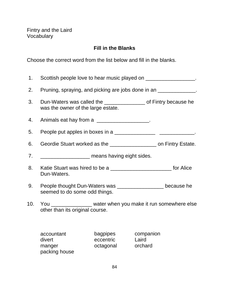Fintry and the Laird Vocabulary

# **Fill in the Blanks**

Choose the correct word from the list below and fill in the blanks.

| 1.  | Scottish people love to hear music played on ___________________.                                        |                                                    |                    |  |
|-----|----------------------------------------------------------------------------------------------------------|----------------------------------------------------|--------------------|--|
| 2.  | Pruning, spraying, and picking are jobs done in an _______________.                                      |                                                    |                    |  |
| 3.  | Dun-Waters was called the ___________________ of Fintry because he<br>was the owner of the large estate. |                                                    |                    |  |
| 4.  | Animals eat hay from a                                                                                   |                                                    |                    |  |
| 5.  |                                                                                                          |                                                    |                    |  |
| 6.  | Geordie Stuart worked as the _____________________ on Fintry Estate.                                     |                                                    |                    |  |
| 7.  |                                                                                                          | ________________________ means having eight sides. |                    |  |
| 8.  | Dun-Waters.                                                                                              |                                                    |                    |  |
| 9.  | People thought Dun-Waters was ___________________ because he<br>seemed to do some odd things.            |                                                    |                    |  |
| 10. | You _________________ water when you make it run somewhere else<br>other than its original course.       |                                                    |                    |  |
|     | accountant<br>divert                                                                                     | bagpipes<br>eccentric                              | companion<br>Laird |  |

manger octagonal orchard

packing house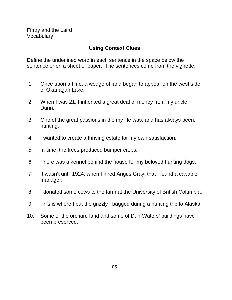# **Using Context Clues**

Define the underlined word in each sentence in the space below the sentence or on a sheet of paper. The sentences come from the vignette.

- 1. Once upon a time, a wedge of land began to appear on the west side of Okanagan Lake.
- 2. When I was 21, I inherited a great deal of money from my uncle Dunn.
- 3. One of the great passions in the my life was, and has always been, hunting.
- 4. I wanted to create a thriving estate for my own satisfaction.
- 5. In time, the trees produced bumper crops.
- 6. There was a kennel behind the house for my beloved hunting dogs.
- 7. It wasn't until 1924, when I hired Angus Gray, that I found a capable manager.
- 8. I donated some cows to the farm at the University of British Columbia.
- 9. This is where I put the grizzly I bagged during a hunting trip to Alaska.
- 10. Some of the orchard land and some of Dun-Waters' buildings have been preserved.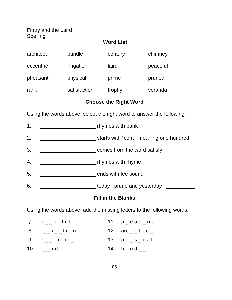Fintry and the Laird Spelling

#### **Word List**

| architect | bundle       | century | chimney  |
|-----------|--------------|---------|----------|
| eccentric | irrigation   | laird   | peaceful |
| pheasant  | physical     | prime   | pruned   |
| rank      | satisfaction | trophy  | veranda  |

# **Choose the Right Word**

Using the words above, select the right word to answer the following.

| 1. | rhymes with bank                        |
|----|-----------------------------------------|
| 2. | starts with "cent", meaning one hundred |
| 3. | comes from the word satisfy             |
| 4. | rhymes with rhyme                       |
| 5. | ends with fee sound                     |
| 6. | today I prune and yesterday I           |

#### **Fill in the Blanks**

Using the words above, add the missing letters to the following words.

| 7. p__ceful               | 11. $p$ eas nt            |
|---------------------------|---------------------------|
| 8. $i_{-i}$ $i_{-i}$ tion | 12. $arc_{-}$ tec $_{-}$  |
| $9.$ $e$ $ e$ $ntri$      | 13. $ph_s$ <sub>cal</sub> |
| 10. $I_{--}$ rd           | 14. $b$ und $_{--}$       |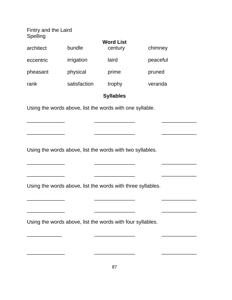| Fintry and the Laird<br>Spelling |              |                                                             |          |  |
|----------------------------------|--------------|-------------------------------------------------------------|----------|--|
| architect                        | bundle       | <b>Word List</b><br>century                                 | chimney  |  |
|                                  |              |                                                             |          |  |
| eccentric                        | irrigation   | laird                                                       | peaceful |  |
| pheasant                         | physical     | prime                                                       | pruned   |  |
| rank                             | satisfaction | trophy                                                      | veranda  |  |
|                                  |              | <b>Syllables</b>                                            |          |  |
|                                  |              | Using the words above, list the words with one syllable.    |          |  |
|                                  |              |                                                             |          |  |
|                                  |              |                                                             |          |  |
|                                  |              |                                                             |          |  |
|                                  |              | Using the words above, list the words with two syllables.   |          |  |
|                                  |              |                                                             |          |  |
|                                  |              |                                                             |          |  |
|                                  |              | Using the words above, list the words with three syllables. |          |  |
|                                  |              |                                                             |          |  |
|                                  |              |                                                             |          |  |
|                                  |              | Using the words above, list the words with four syllables.  |          |  |
|                                  |              |                                                             |          |  |
|                                  |              |                                                             |          |  |
|                                  |              |                                                             |          |  |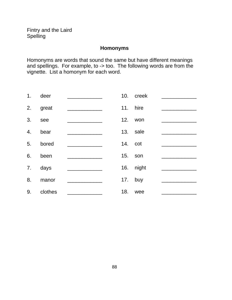## **Homonyms**

Homonyms are words that sound the same but have different meanings and spellings. For example, to -> too. The following words are from the vignette. List a homonym for each word.

| 1.               | deer    |         | 10. creek |  |
|------------------|---------|---------|-----------|--|
| 2.               | great   |         | 11. hire  |  |
| 3.               | see     |         | 12. won   |  |
| $\overline{4}$ . | bear    |         | 13. sale  |  |
| 5.               | bored   | 14. cot |           |  |
| 6.               | been    | 15.     | son       |  |
| 7.               | days    |         | 16. night |  |
| 8.               | manor   | 17.     | buy       |  |
| 9.               | clothes | 18.     | wee       |  |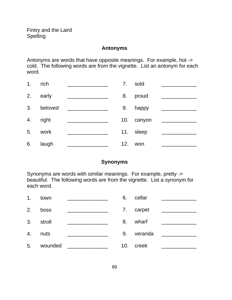Fintry and the Laird Spelling

#### **Antonyms**

Antonyms are words that have opposite meanings. For example, hot -> cold. The following words are from the vignette. List an antonym for each word.

| 1. | rich    | 7.  | sold       |  |
|----|---------|-----|------------|--|
| 2. | early   | 8.  | proud      |  |
| 3. | beloved | 9.  | happy      |  |
| 4. | right   |     | 10. canyon |  |
| 5. | work    |     | 11. sleep  |  |
| 6. | laugh   | 12. | won        |  |

#### **Synonyms**

Synonyms are words with similar meanings. For example, pretty -> beautiful. The following words are from the vignette. List a synonym for each word.

| 1. | town    | 6.  | cellar  |  |
|----|---------|-----|---------|--|
| 2. | boss    | 7.  | carpet  |  |
| 3. | stroll  | 8.  | wharf   |  |
| 4. | nuts    | 9.  | veranda |  |
| 5. | wounded | 10. | creek   |  |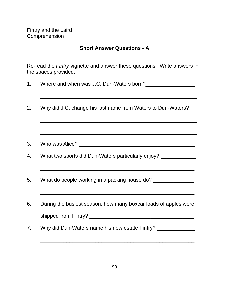Fintry and the Laird Comprehension

#### **Short Answer Questions - A**

Re-read the Fintry vignette and answer these questions. Write answers in the spaces provided.

| Where and when was J.C. Dun-Waters born? |  |  |  |  |  |
|------------------------------------------|--|--|--|--|--|
|------------------------------------------|--|--|--|--|--|

 $\mathcal{L}_\text{max}$  , and the set of the set of the set of the set of the set of the set of the set of the set of the set of the set of the set of the set of the set of the set of the set of the set of the set of the set of the

\_\_\_\_\_\_\_\_\_\_\_\_\_\_\_\_\_\_\_\_\_\_\_\_\_\_\_\_\_\_\_\_\_\_\_\_\_\_\_\_\_\_\_\_\_\_\_\_\_\_\_\_\_\_

\_\_\_\_\_\_\_\_\_\_\_\_\_\_\_\_\_\_\_\_\_\_\_\_\_\_\_\_\_\_\_\_\_\_\_\_\_\_\_\_\_\_\_\_\_\_\_\_\_\_\_\_\_\_

- 2. Why did J.C. change his last name from Waters to Dun-Waters?
- 3. Who was Alice? \_\_\_\_\_\_\_\_\_\_\_\_\_\_\_\_\_\_\_\_\_\_\_\_\_\_\_\_\_\_\_\_\_\_\_\_\_\_\_\_
- 4. What two sports did Dun-Waters particularly enjoy? \_\_\_\_\_\_\_\_\_\_\_\_\_

\_\_\_\_\_\_\_\_\_\_\_\_\_\_\_\_\_\_\_\_\_\_\_\_\_\_\_\_\_\_\_\_\_\_\_\_\_\_\_\_\_\_\_\_\_\_\_\_\_\_\_\_\_

\_\_\_\_\_\_\_\_\_\_\_\_\_\_\_\_\_\_\_\_\_\_\_\_\_\_\_\_\_\_\_\_\_\_\_\_\_\_\_\_\_\_\_\_\_\_\_\_\_\_\_\_\_

- 5. What do people working in a packing house do?
- 6. During the busiest season, how many boxcar loads of apples were shipped from Fintry? \_\_\_\_\_\_\_\_\_\_\_\_\_\_\_\_\_\_\_\_\_\_\_\_\_\_\_\_\_\_\_\_\_\_\_\_
- 7. Why did Dun-Waters name his new estate Fintry? \_\_\_\_\_\_\_\_\_\_\_\_\_\_

\_\_\_\_\_\_\_\_\_\_\_\_\_\_\_\_\_\_\_\_\_\_\_\_\_\_\_\_\_\_\_\_\_\_\_\_\_\_\_\_\_\_\_\_\_\_\_\_\_\_\_\_\_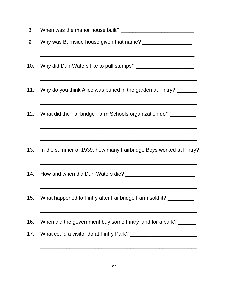8. When was the manor house built? \_\_\_\_\_\_\_\_\_\_\_\_\_\_\_\_\_\_\_\_\_\_\_\_\_ 9. Why was Burnside house given that name? \_\_\_\_\_\_\_\_\_\_\_\_\_\_\_\_\_ \_\_\_\_\_\_\_\_\_\_\_\_\_\_\_\_\_\_\_\_\_\_\_\_\_\_\_\_\_\_\_\_\_\_\_\_\_\_\_\_\_\_\_\_\_\_\_\_\_\_\_\_\_ 10. Why did Dun-Waters like to pull stumps? \_\_\_\_\_\_\_\_\_\_\_\_\_\_\_\_\_\_\_\_ \_\_\_\_\_\_\_\_\_\_\_\_\_\_\_\_\_\_\_\_\_\_\_\_\_\_\_\_\_\_\_\_\_\_\_\_\_\_\_\_\_\_\_\_\_\_\_\_\_\_\_\_\_\_ 11. Why do you think Alice was buried in the garden at Fintry? \_\_\_\_\_\_\_ \_\_\_\_\_\_\_\_\_\_\_\_\_\_\_\_\_\_\_\_\_\_\_\_\_\_\_\_\_\_\_\_\_\_\_\_\_\_\_\_\_\_\_\_\_\_\_\_\_\_\_\_\_\_ 12. What did the Fairbridge Farm Schools organization do? \_\_\_\_\_\_\_\_\_\_\_\_\_\_\_\_\_\_\_\_\_\_\_\_\_\_\_\_\_\_\_\_\_\_\_\_\_\_\_\_\_\_\_\_\_\_\_\_\_\_\_\_\_\_ \_\_\_\_\_\_\_\_\_\_\_\_\_\_\_\_\_\_\_\_\_\_\_\_\_\_\_\_\_\_\_\_\_\_\_\_\_\_\_\_\_\_\_\_\_\_\_\_\_\_\_\_\_\_ 13. In the summer of 1939, how many Fairbridge Boys worked at Fintry? \_\_\_\_\_\_\_\_\_\_\_\_\_\_\_\_\_\_\_\_\_\_\_\_\_\_\_\_\_\_\_\_\_\_\_\_\_\_\_\_\_\_\_\_\_\_\_\_\_\_\_\_\_\_ 14. How and when did Dun-Waters die? **We are all the manufature of the state of the state of the state of the state of the state of the state of the state of the state of the state of the state of the state of the state of** \_\_\_\_\_\_\_\_\_\_\_\_\_\_\_\_\_\_\_\_\_\_\_\_\_\_\_\_\_\_\_\_\_\_\_\_\_\_\_\_\_\_\_\_\_\_\_\_\_\_\_\_\_\_ 15. What happened to Fintry after Fairbridge Farm sold it? \_\_\_\_\_\_\_\_\_ \_\_\_\_\_\_\_\_\_\_\_\_\_\_\_\_\_\_\_\_\_\_\_\_\_\_\_\_\_\_\_\_\_\_\_\_\_\_\_\_\_\_\_\_\_\_\_\_\_\_\_\_\_\_ 16. When did the government buy some Fintry land for a park? 17. What could a visitor do at Fintry Park? \_\_\_\_\_\_\_\_\_\_\_\_\_\_\_\_\_\_\_\_\_\_\_\_\_\_\_\_\_\_\_\_\_\_\_\_\_\_\_\_\_\_\_\_\_\_\_\_\_\_\_\_\_\_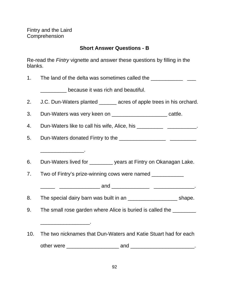Fintry and the Laird **Comprehension** 

\_\_\_\_\_\_\_\_\_\_\_\_\_\_\_.

\_\_\_\_\_\_\_\_\_\_\_\_\_\_\_\_\_.

# **Short Answer Questions - B**

Re-read the Fintry vignette and answer these questions by filling in the blanks.

1. The land of the delta was sometimes called the \_\_\_\_\_\_\_\_\_\_\_\_\_\_\_\_\_\_\_\_\_\_\_\_\_\_\_\_\_\_

\_\_\_\_\_\_\_\_\_ because it was rich and beautiful.

- 2. J.C. Dun-Waters planted acres of apple trees in his orchard.
- 3. Dun-Waters was very keen on \_\_\_\_\_\_\_\_\_\_\_\_\_\_\_\_\_\_\_\_\_\_\_\_ cattle.

4. Dun-Waters like to call his wife, Alice, his \_\_\_\_\_\_\_\_\_\_\_\_\_\_\_\_\_\_\_\_\_\_\_.

- 5. Dun-Waters donated Fintry to the **confirmation**  $\frac{1}{2}$
- 6. Dun-Waters lived for \_\_\_\_\_\_\_\_ years at Fintry on Okanagan Lake.
- 7. Two of Fintry's prize-winning cows were named

- 8. The special dairy barn was built in an \_\_\_\_\_\_\_\_\_\_\_\_\_\_\_\_\_\_\_\_\_\_\_\_\_\_ shape.
- 9. The small rose garden where Alice is buried is called the \_\_\_\_\_\_\_\_
- 10. The two nicknames that Dun-Waters and Katie Stuart had for each other were \_\_\_\_\_\_\_\_\_\_\_\_\_\_\_\_\_\_ and \_\_\_\_\_\_\_\_\_\_\_\_\_\_\_\_\_\_\_\_\_\_.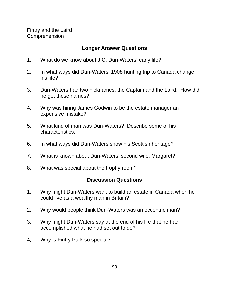Fintry and the Laird **Comprehension** 

#### **Longer Answer Questions**

- 1. What do we know about J.C. Dun-Waters' early life?
- 2. In what ways did Dun-Waters' 1908 hunting trip to Canada change his life?
- 3. Dun-Waters had two nicknames, the Captain and the Laird. How did he get these names?
- 4. Why was hiring James Godwin to be the estate manager an expensive mistake?
- 5. What kind of man was Dun-Waters? Describe some of his characteristics.
- 6. In what ways did Dun-Waters show his Scottish heritage?
- 7. What is known about Dun-Waters' second wife, Margaret?
- 8. What was special about the trophy room?

#### **Discussion Questions**

- 1. Why might Dun-Waters want to build an estate in Canada when he could live as a wealthy man in Britain?
- 2. Why would people think Dun-Waters was an eccentric man?
- 3. Why might Dun-Waters say at the end of his life that he had accomplished what he had set out to do?
- 4. Why is Fintry Park so special?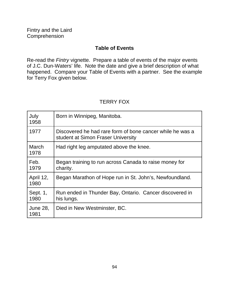# **Table of Events**

Re-read the Fintry vignette. Prepare a table of events of the major events of J.C. Dun-Waters' life. Note the date and give a brief description of what happened. Compare your Table of Events with a partner. See the example for Terry Fox given below.

# TERRY FOX

| July<br>1958            | Born in Winnipeg, Manitoba.                                                                     |
|-------------------------|-------------------------------------------------------------------------------------------------|
| 1977                    | Discovered he had rare form of bone cancer while he was a<br>student at Simon Fraser University |
| March<br>1978           | Had right leg amputated above the knee.                                                         |
| Feb.<br>1979            | Began training to run across Canada to raise money for<br>charity.                              |
| April 12,<br>1980       | Began Marathon of Hope run in St. John's, Newfoundland.                                         |
| Sept. 1,<br>1980        | Run ended in Thunder Bay, Ontario. Cancer discovered in<br>his lungs.                           |
| <b>June 28,</b><br>1981 | Died in New Westminster, BC.                                                                    |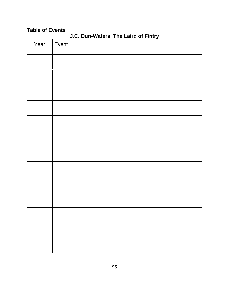## **Table of Events**

| Year | .<br>.<br>Event |
|------|-----------------|
|      |                 |
|      |                 |
|      |                 |
|      |                 |
|      |                 |
|      |                 |
|      |                 |
|      |                 |
|      |                 |
|      |                 |
|      |                 |
|      |                 |
|      |                 |
|      |                 |

**J.C. Dun-Waters, The Laird of Fintry**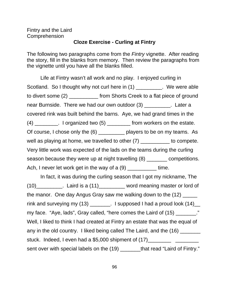#### Fintry and the Laird **Comprehension**

#### **Cloze Exercise - Curling at Fintry**

The following two paragraphs come from the *Fintry* vignette. After reading the story, fill in the blanks from memory. Then review the paragraphs from the vignette until you have all the blanks filled.

Life at Fintry wasn't all work and no play. I enjoyed curling in Scotland. So I thought why not curl here in (1) We were able to divert some (2) \_\_\_\_\_\_\_\_\_\_ from Shorts Creek to a flat piece of ground near Burnside. There we had our own outdoor (3) \_\_\_\_\_\_\_\_\_. Later a covered rink was built behind the barns. Aye, we had grand times in the  $(4)$  \_\_\_\_\_\_\_. I organized two  $(5)$  \_\_\_\_\_\_\_\_\_ from workers on the estate. Of course, I chose only the (6) players to be on my teams. As well as playing at home, we travelled to other (7) \_\_\_\_\_\_\_\_\_\_ to compete. Very little work was expected of the lads on the teams during the curling season because they were up at night travelling (8) competitions. Ach, I never let work get in the way of a (9) \_\_\_\_\_\_\_\_\_\_\_ time.

In fact, it was during the curling season that I got my nickname, The (10)\_\_\_\_\_\_\_\_\_. Laird is a (11)\_\_\_\_\_\_\_\_\_ word meaning master or lord of the manor. One day Angus Gray saw me walking down to the  $(12)$ rink and surveying my  $(13)$  \_\_\_\_\_\_\_. I supposed I had a proud look  $(14)$ \_\_ my face. "Aye, lads", Gray called, "here comes the Laird of (15) \_\_\_\_\_\_\_\_." Well, I liked to think I had created at Fintry an estate that was the equal of any in the old country. I liked being called The Laird, and the (16) \_\_\_\_\_\_\_ stuck. Indeed, I even had a \$5,000 shipment of (17)\_\_\_\_\_\_\_\_ \_\_\_\_\_\_\_\_ sent over with special labels on the (19) \_\_\_\_\_\_\_that read "Laird of Fintry."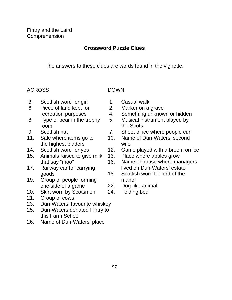# **Crossword Puzzle Clues**

The answers to these clues are words found in the vignette.

# ACROSS DOWN

- 3. Scottish word for girl 1. Casual walk
- 6. Piece of land kept for 2. Marker on a grave
- room the Scots
- 
- the highest bidders wife
- 
- 15. Animals raised to give milk 13. Place where apples grow
- 
- 19. Group of people forming manor one side of a game 22. Dog-like animal
- 20. Skirt worn by Scotsmen 24. Folding bed
- 21. Group of cows
- 23. Dun-Waters' favourite whiskey
- 25. Dun-Waters donated Fintry to this Farm School
- 26. Name of Dun-Waters' place
- 
- 
- recreation purposes 4. Something unknown or hidden
- 8. Type of bear in the trophy 5. Musical instrument played by
- 9. Scottish hat 7. Sheet of ice where people curl
- 11. Sale where items go to 10. Name of Dun-Waters' second
- 14. Scottish word for yes 12. Game played with a broom on ice
	-
- that say "moo" 16. Name of house where managers 17. Railway car for carrying lived on Dun-Waters' estate
	- goods 18. Scottish word for lord of the
		-
		-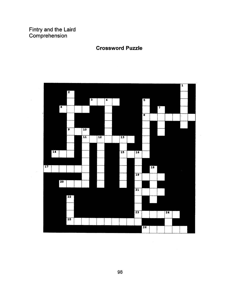Fintry and the Laird<br>Comprehension

#### **Crossword Puzzle**

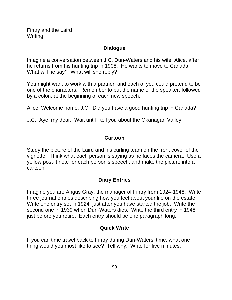Fintry and the Laird Writing

#### **Dialogue**

Imagine a conversation between J.C. Dun-Waters and his wife, Alice, after he returns from his hunting trip in 1908. He wants to move to Canada. What will he say? What will she reply?

You might want to work with a partner, and each of you could pretend to be one of the characters. Remember to put the name of the speaker, followed by a colon, at the beginning of each new speech.

Alice: Welcome home, J.C. Did you have a good hunting trip in Canada?

J.C.: Aye, my dear. Wait until I tell you about the Okanagan Valley.

# **Cartoon**

Study the picture of the Laird and his curling team on the front cover of the vignette. Think what each person is saying as he faces the camera. Use a yellow post-it note for each person's speech, and make the picture into a cartoon.

# **Diary Entries**

Imagine you are Angus Gray, the manager of Fintry from 1924-1948. Write three journal entries describing how you feel about your life on the estate. Write one entry set in 1924, just after you have started the job. Write the second one in 1939 when Dun-Waters dies. Write the third entry in 1948 just before you retire. Each entry should be one paragraph long.

# **Quick Write**

If you can time travel back to Fintry during Dun-Waters' time, what one thing would you most like to see? Tell why. Write for five minutes.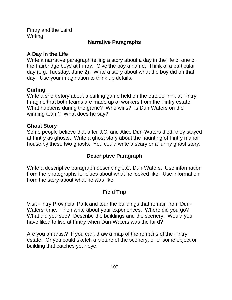Fintry and the Laird **Writing** 

# **Narrative Paragraphs**

# **A Day in the Life**

Write a narrative paragraph telling a story about a day in the life of one of the Fairbridge boys at Fintry. Give the boy a name. Think of a particular day (e.g. Tuesday, June 2). Write a story about what the boy did on that day. Use your imagination to think up details.

# **Curling**

Write a short story about a curling game held on the outdoor rink at Fintry. Imagine that both teams are made up of workers from the Fintry estate. What happens during the game? Who wins? Is Dun-Waters on the winning team? What does he say?

#### **Ghost Story**

Some people believe that after J.C. and Alice Dun-Waters died, they stayed at Fintry as ghosts. Write a ghost story about the haunting of Fintry manor house by these two ghosts. You could write a scary or a funny ghost story.

# **Descriptive Paragraph**

Write a descriptive paragraph describing J.C. Dun-Waters. Use information from the photographs for clues about what he looked like. Use information from the story about what he was like.

# **Field Trip**

Visit Fintry Provincial Park and tour the buildings that remain from Dun-Waters' time. Then write about your experiences. Where did you go? What did you see? Describe the buildings and the scenery. Would you have liked to live at Fintry when Dun-Waters was the laird?

Are you an artist? If you can, draw a map of the remains of the Fintry estate. Or you could sketch a picture of the scenery, or of some object or building that catches your eye.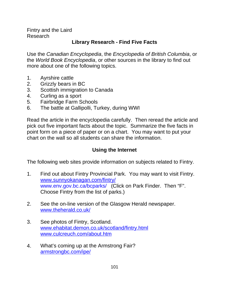Fintry and the Laird Research

# **Library Research - Find Five Facts**

Use the Canadian Encyclopedia, the Encyclopedia of British Columbia, or the World Book Encyclopedia, or other sources in the library to find out more about one of the following topics.

- 1. Ayrshire cattle
- 2. Grizzly bears in BC
- 3. Scottish immigration to Canada
- 4. Curling as a sport
- 5. Fairbridge Farm Schools
- 6. The battle at Gallipolli, Turkey, during WWI

Read the article in the encyclopedia carefully. Then reread the article and pick out five important facts about the topic. Summarize the five facts in point form on a piece of paper or on a chart. You may want to put your chart on the wall so all students can share the information.

# **Using the Internet**

The following web sites provide information on subjects related to Fintry.

- 1. Find out about Fintry Provincial Park. You may want to visit Fintry. www.sunnyokanagan.com/fintry/ www.env.gov.bc.ca/bcparks/ (Click on Park Finder. Then "F". Choose Fintry from the list of parks.)
- 2. See the on-line version of the Glasgow Herald newspaper. www.theherald.co.uk/
- 3. See photos of Fintry, Scotland. www.ehabitat.demon.co.uk/scotland/fintry.html www.culcreuch.com/about.htm
- 4. What's coming up at the Armstrong Fair? armstrongbc.com/ipe/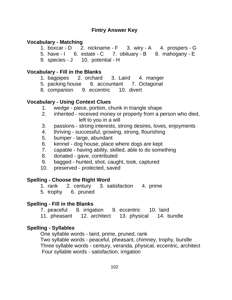#### **Vocabulary - Matching**

- 1. boxcar D 2. nickname F 3. wiry A 4. prospers G
- 5. have I 6. estate C 7. obituary B 8. mahogany E
- 9. species J 10. potential H

#### **Vocabulary - Fill in the Blanks**

- 1. bagpipes 2. orchard 3. Laird 4. manger
- 5. packing house 6. accountant 7. Octagonal
- 8. companion 9. eccentric 10. divert

# **Vocabulary - Using Context Clues**

- 1. wedge piece, portion, chunk in triangle shape
- 2. inherited received money or property from a person who died, left to you in a will
- 3. passions strong interests, strong desires, loves, enjoyments
- 4. thriving successful, growing, strong, flourishing
- 5. bumper large, abundant
- 6. kennel dog house, place where dogs are kept
- 7. capable having ability, skilled, able to do something
- 8. donated gave, contributed
- 9. bagged hunted, shot, caught, took, captured
- 10. preserved protected, saved

#### **Spelling - Choose the Right Word**

- 1. rank 2. century 3. satisfaction 4. prime
- 5. trophy 6. pruned

#### **Spelling - Fill in the Blanks**

- 7. peaceful 8. irrigation 9. eccentric 10. laird
- 11. pheasant 12. architect 13. physical 14. bundle

#### **Spelling - Syllables**

One syllable words - laird, prime, pruned, rank Two syllable words - peaceful, pheasant, chimney, trophy, bundle Three syllable words - century, veranda, physical, eccentric, architect Four syllable words - satisfaction, irrigation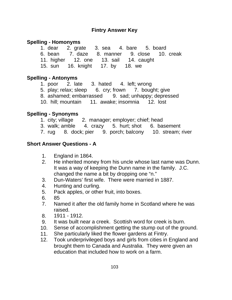# **Spelling - Homonyms**

|  |                                  | 1. dear 2. grate 3. sea 4. bare 5. board             |  |
|--|----------------------------------|------------------------------------------------------|--|
|  |                                  | 6. bean - 7. daze - 8. manner - 9. close - 10. creak |  |
|  |                                  | 11. higher 12. one 13. sail 14. caught               |  |
|  | 15. sun 16. knight 17. by 18. we |                                                      |  |

# **Spelling - Antonyms**

- 1. poor 2. late 3. hated 4. left; wrong
- 5. play; relax; sleep 6. cry; frown 7. bought; give
- 8. ashamed; embarrassed 9. sad; unhappy; depressed
- 10. hill; mountain 11. awake; insomnia 12. lost

# **Spelling - Synonyms**

- 1. city; village 2. manager; employer; chief; head
- 3. walk; amble 4. crazy 5. hurt; shot 6. basement
- 7. rug 8. dock; pier 9. porch; balcony 10. stream; river

# **Short Answer Questions - A**

- 1. England in 1864.
- 2. He inherited money from his uncle whose last name was Dunn. It was a way of keeping the Dunn name in the family. J.C. changed the name a bit by dropping one "n."
- 3. Dun-Waters' first wife. There were married in 1887.
- 4. Hunting and curling.
- 5. Pack apples, or other fruit, into boxes.
- 6. 85
- 7. Named it after the old family home in Scotland where he was raised.
- 8. 1911 1912.
- 9. It was built near a creek. Scottish word for creek is burn.
- 10. Sense of accomplishment getting the stump out of the ground.
- 11. She particularly liked the flower gardens at Fintry.
- 12. Took underprivileged boys and girls from cities in England and brought them to Canada and Australia. They were given an education that included how to work on a farm.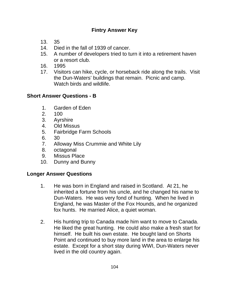- 13. 35
- 14. Died in the fall of 1939 of cancer.
- 15. A number of developers tried to turn it into a retirement haven or a resort club.
- 16. 1995
- 17. Visitors can hike, cycle, or horseback ride along the trails. Visit the Dun-Waters' buildings that remain. Picnic and camp. Watch birds and wildlife

# **Short Answer Questions - B**

- 1. Garden of Eden
- 2. 100
- 3. Ayrshire
- 4. Old Missus
- 5. Fairbridge Farm Schools
- 6. 30
- 7. Alloway Miss Crummie and White Lily
- 8. octagonal
- 9. Missus Place
- 10. Dunny and Bunny

# **Longer Answer Questions**

- 1. He was born in England and raised in Scotland. At 21, he inherited a fortune from his uncle, and he changed his name to Dun-Waters. He was very fond of hunting. When he lived in England, he was Master of the Fox Hounds, and he organized fox hunts. He married Alice, a quiet woman.
- 2. His hunting trip to Canada made him want to move to Canada. He liked the great hunting. He could also make a fresh start for himself. He built his own estate. He bought land on Shorts Point and continued to buy more land in the area to enlarge his estate. Except for a short stay during WWI, Dun-Waters never lived in the old country again.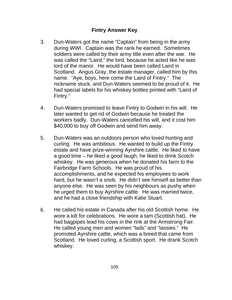- 3. Dun-Waters got the name "Captain" from being in the army during WWI. Captain was the rank he earned. Sometimes soldiers were called by their army title even after the war. He was called the "Laird," the lord, because he acted like he was lord of the manor. He would have been called Laird in Scotland. Angus Gray, the estate manager, called him by this name. "Aye, boys, here come the Laird of Fintry." The nickname stuck, and Dun-Waters seemed to be proud of it. He had special labels for his whiskey bottles printed with "Laird of Fintry."
- 4. Dun-Waters promised to leave Fintry to Godwin in his will. He later wanted to get rid of Godwin because he treated the workers badly. Dun-Waters cancelled his will, and it cost him \$40,000 to buy off Godwin and send him away.
- 5. Dun-Waters was an outdoors person who loved hunting and curling. He was ambitious. He wanted to build up the Fintry estate and have prize-winning Ayrshire cattle. He liked to have a good time – he liked a good laugh, he liked to drink Scotch whiskey. He was generous when he donated his farm to the Fairbridge Farm Schools. He was proud of his accomplishments, and he expected his employees to work hard, but he wasn't a snob. He didn't see himself as better than anyone else. He was seen by his neighbours as pushy when he urged them to buy Ayrshire cattle. He was married twice, and he had a close friendship with Katie Stuart.
- 6. He called his estate in Canada after his old Scottish home. He wore a kilt for celebrations. He wore a tam (Scottish hat). He had bagpipes lead his cows in the rink at the Armstrong Fair. He called young men and women "lads" and "lassies." He promoted Ayrshire cattle, which was a breed that came from Scotland. He loved curling, a Scottish sport. He drank Scotch whiskey.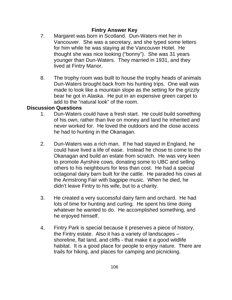## **Fintry Answer Key**

- 7. Margaret was born in Scotland. Dun-Waters met her in Vancouver. She was a secretary, and she typed some letters for him while he was staying at the Vancouver Hotel. He thought she was nice looking ("bonny"). She was 31 years younger than Dun-Waters. They married in 1931, and they lived at Fintry Manor.
- 8. The trophy room was built to house the trophy heads of animals Dun-Waters brought back from his hunting trips. One wall was made to look like a mountain slope as the setting for the grizzly bear he got in Alaska. He put in an expensive green carpet to add to the "natural look" of the room.

#### **Discussion Questions**

- 1. Dun-Waters could have a fresh start. He could build something of his own, rather than live on money and land he inherited and never worked for. He loved the outdoors and the close access he had to hunting in the Okanagan.
- 2. Dun-Waters was a rich man. If he had stayed in England, he could have lived a life of ease. Instead he chose to come to the Okanagan and build an estate from scratch. He was very keen to promote Ayrshire cows, donating some to UBC and selling others to his neighbours for less than cost. He had a special octagonal dairy barn built for the cattle. He paraded his cows at the Armstrong Fair with bagpipe music. When he died, he didn't leave Fintry to his wife, but to a charity.
- 3. He created a very successful dairy farm and orchard. He had lots of time for hunting and curling. He spent his time doing whatever he wanted to do. He accomplished something, and he enjoyed himself.
- 4. Fintry Park is special because it preserves a piece of history, the Fintry estate. Also it has a variety of landscapes – shoreline, flat land, and cliffs - that make it a good wildlife habitat. It is a good place for people to enjoy nature. There are trails for hiking, and places for camping and picnicking.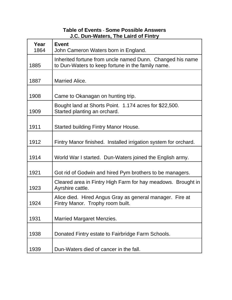## **Table of Events** - **Some Possible Answers J.C. Dun-Waters, The Laird of Fintry**

| Year<br>1864 | <b>Event</b><br>John Cameron Waters born in England.                                                           |
|--------------|----------------------------------------------------------------------------------------------------------------|
| 1885         | Inherited fortune from uncle named Dunn. Changed his name<br>to Dun-Waters to keep fortune in the family name. |
| 1887         | <b>Married Alice.</b>                                                                                          |
| 1908         | Came to Okanagan on hunting trip.                                                                              |
| 1909         | Bought land at Shorts Point. 1.174 acres for \$22,500.<br>Started planting an orchard.                         |
| 1911         | <b>Started building Fintry Manor House.</b>                                                                    |
| 1912         | Fintry Manor finished. Installed irrigation system for orchard.                                                |
| 1914         | World War I started. Dun-Waters joined the English army.                                                       |
| 1921         | Got rid of Godwin and hired Pym brothers to be managers.                                                       |
| 1923         | Cleared area in Fintry High Farm for hay meadows. Brought in<br>Ayrshire cattle.                               |
| 1924         | Alice died. Hired Angus Gray as general manager. Fire at<br>Fintry Manor. Trophy room built.                   |
| 1931         | <b>Married Margaret Menzies.</b>                                                                               |
| 1938         | Donated Fintry estate to Fairbridge Farm Schools.                                                              |
| 1939         | Dun-Waters died of cancer in the fall.                                                                         |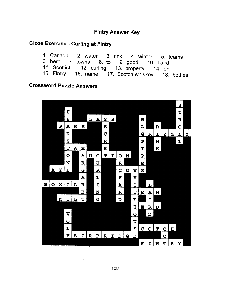#### **Fintry Answer Key**

#### **Cloze Exercise - Curling at Fintry**

1. Canada 2. water 3. rink 4. winter 5. teams 6. best 7. towns 8. to 9. good 10. Laird 11. Scottish 12. curling 13. property 14. on 15. Fintry 16. name 17. Scotch whiskey 18. bottles

#### **Crossword Puzzle Answers**

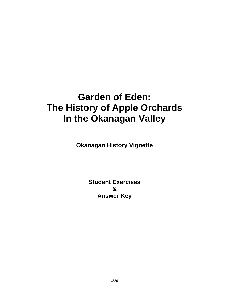# **Garden of Eden: The History of Apple Orchards In the Okanagan Valley**

**Okanagan History Vignette**

**Student Exercises & Answer Key**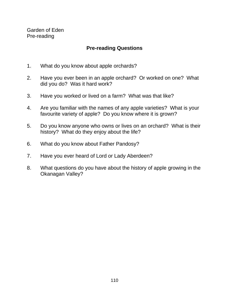Garden of Eden Pre-reading

## **Pre-reading Questions**

- 1. What do you know about apple orchards?
- 2. Have you ever been in an apple orchard? Or worked on one? What did you do? Was it hard work?
- 3. Have you worked or lived on a farm? What was that like?
- 4. Are you familiar with the names of any apple varieties? What is your favourite variety of apple? Do you know where it is grown?
- 5. Do you know anyone who owns or lives on an orchard? What is their history? What do they enjoy about the life?
- 6. What do you know about Father Pandosy?
- 7. Have you ever heard of Lord or Lady Aberdeen?
- 8. What questions do you have about the history of apple growing in the Okanagan Valley?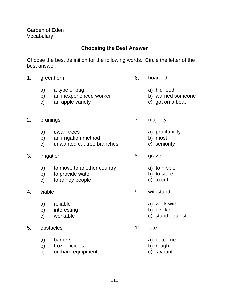## **Choosing the Best Answer**

Choose the best definition for the following words. Circle the letter of the best answer.

- 1. greenhorn 6. boarded
	- a) a type of bug a series and hid food
	- b) an inexperienced worker b) warned someone
	- c) an apple variety c) got on a boat
- 2. prunings 2. and 2. majority
	- a) dwarf trees a) profitability
	- b) an irrigation method b) most
	- c) unwanted cut tree branches c) seniority
- 3. irrigation 8. graze
	- a) to move to another country a) to nibble
	- b) to provide water b) to stare
	- c) to annoy people c) to cut
- - a) reliable a) work with
	- b) interesting b) dislike
	-
- 5. obstacles 10. fate
	- a) barriers a) outcome
	- b) frozen icicles b) rough
	- c) orchard equipment c) favourite
- -
	-
	-
- -
	-
	-
- -
	-
	-
- 4. viable 9. withstand
	-
	-
	- c) workable c) stand against
		- -
			-
			-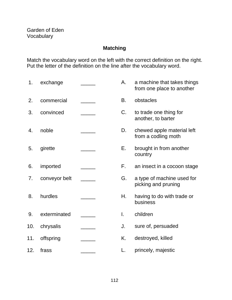# **Matching**

Match the vocabulary word on the left with the correct definition on the right. Put the letter of the definition on the line after the vocabulary word.

| 1.  | exchange      | А. | a machine that takes things<br>from one place to another |
|-----|---------------|----|----------------------------------------------------------|
| 2.  | commercial    | В. | obstacles                                                |
| 3.  | convinced     | C. | to trade one thing for<br>another, to barter             |
| 4.  | noble         | D. | chewed apple material left<br>from a codling moth        |
| 5.  | girette       | Е. | brought in from another<br>country                       |
| 6.  | imported      | F. | an insect in a cocoon stage                              |
| 7.  | conveyor belt | G. | a type of machine used for<br>picking and pruning        |
| 8.  | hurdles       | Η. | having to do with trade or<br>business                   |
| 9.  | exterminated  | I. | children                                                 |
| 10. | chrysalis     | J. | sure of, persuaded                                       |
| 11. | offspring     | K. | destroyed, killed                                        |
| 12. | frass         |    | princely, majestic                                       |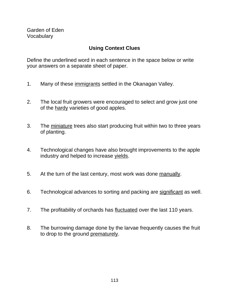## **Using Context Clues**

Define the underlined word in each sentence in the space below or write your answers on a separate sheet of paper.

- 1. Many of these immigrants settled in the Okanagan Valley.
- 2. The local fruit growers were encouraged to select and grow just one of the hardy varieties of good apples.
- 3. The miniature trees also start producing fruit within two to three years of planting.
- 4. Technological changes have also brought improvements to the apple industry and helped to increase yields.
- 5. At the turn of the last century, most work was done manually.
- 6. Technological advances to sorting and packing are significant as well.
- 7. The profitability of orchards has fluctuated over the last 110 years.
- 8. The burrowing damage done by the larvae frequently causes the fruit to drop to the ground prematurely.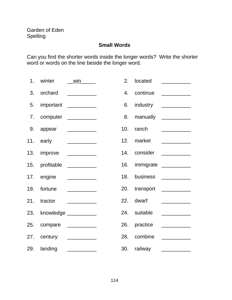## **Small Words**

Can you find the shorter words inside the longer words? Write the shorter word or words on the line beside the longer word.

| 1. winter   | win                          | 2.             | located      |                              |
|-------------|------------------------------|----------------|--------------|------------------------------|
|             | 3. orchard __________        | $\mathbf{4}$ . |              | continue ___________         |
|             | 5. important __________      | 6.             |              | industry ___________         |
|             | 7. computer _________        | 8.             |              | manually ___________         |
|             | 9. appear __________         | 10.            |              | ranch $\qquad \qquad \qquad$ |
|             | 11. early ___________        | 12.            |              | market __________            |
|             | 13. improve __________       |                |              | 14. consider __________      |
|             | 15. profitable ___________   |                |              | 16. immigrate __________     |
|             | 17. engine ___________       | 18.            |              | business __________          |
| 19. fortune |                              |                |              | 20. transport _________      |
|             | 21. tractor ___________      | 22.            | dwarf        |                              |
|             | 23. knowledge ___________    |                | 24. suitable |                              |
|             | 25. compare ___________      |                |              | 26. practice _________       |
|             | 27. century <u>_________</u> | 28.            | combine      |                              |
|             | 29. landing ___________      |                |              | 30. railway __________       |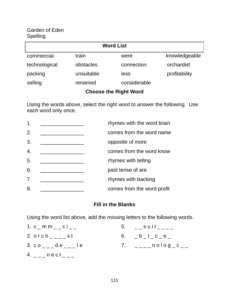#### Garden of Eden Spelling

| <b>Word List</b>             |            |              |               |
|------------------------------|------------|--------------|---------------|
| commercial                   | train      | were         | knowledgeable |
| technological                | obstacles  | connection   | orchardist    |
| packing                      | unsuitable | less         | profitability |
| selling                      | renamed    | considerable |               |
| <b>Choose the Right Word</b> |            |              |               |

Using the words above, select the right word to answer the following. Use each word only once.

| 1.               | rhymes with the word brain |
|------------------|----------------------------|
| 2.               | comes from the word name   |
| 3.               | opposite of more           |
| $\overline{4}$ . | comes from the word know   |
| 5.               | rhymes with telling        |
| 6.               | past tense of are          |
| 7.               | rhymes with backing        |
| 8.               | comes from the word profit |

## **Fill in the Blanks**

Using the word list above, add the missing letters to the following words.

| 1. $c_{m}$ m m $_{m}$ $_{m}$ $_{m}$ $_{m}$ $_{m}$ $_{m}$  | 5. $\angle$ suit $\angle$ |
|-----------------------------------------------------------|---------------------------|
| 2. $orch$ <sub><math>---</math></sub> st                  | 6. $-b_t_c = b_c$         |
| 3. $co_{---}$ de $---$ le                                 | 7. _____nolog_c__         |
| 4. $\angle$ _ $\angle$ n e c t $\angle$ $\angle$ $\angle$ |                           |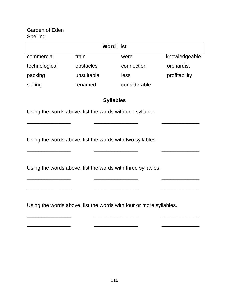## Garden of Eden Spelling

| <b>Word List</b> |            |              |               |  |
|------------------|------------|--------------|---------------|--|
| commercial       | train      | were         | knowledgeable |  |
| technological    | obstacles  | connection   | orchardist    |  |
| packing          | unsuitable | less         | profitability |  |
| selling          | renamed    | considerable |               |  |

#### **Syllables**

\_\_\_\_\_\_\_\_\_\_\_\_\_\_\_ \_\_\_\_\_\_\_\_\_\_\_\_\_\_\_ \_\_\_\_\_\_\_\_\_\_\_\_\_

\_\_\_\_\_\_\_\_\_\_\_\_\_\_\_ \_\_\_\_\_\_\_\_\_\_\_\_\_\_\_ \_\_\_\_\_\_\_\_\_\_\_\_\_

\_\_\_\_\_\_\_\_\_\_\_\_\_\_\_ \_\_\_\_\_\_\_\_\_\_\_\_\_\_\_ \_\_\_\_\_\_\_\_\_\_\_\_\_

\_\_\_\_\_\_\_\_\_\_\_\_\_\_\_ \_\_\_\_\_\_\_\_\_\_\_\_\_\_\_ \_\_\_\_\_\_\_\_\_\_\_\_\_

 $\overline{\phantom{a}}$  , and the contract of the contract of the contract of  $\overline{\phantom{a}}$ 

Using the words above, list the words with one syllable.

Using the words above, list the words with two syllables.

Using the words above, list the words with three syllables.

\_\_\_\_\_\_\_\_\_\_\_\_\_\_\_ \_\_\_\_\_\_\_\_\_\_\_\_\_\_\_ \_\_\_\_\_\_\_\_\_\_\_\_\_

Using the words above, list the words with four or more syllables.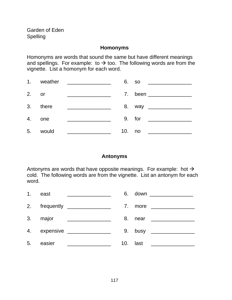#### **Homonyms**

Homonyms are words that sound the same but have different meanings and spellings. For example: to  $\rightarrow$  too. The following words are from the vignette. List a homonym for each word.

|         | 1. weather |                                                         |        | 6. so  |                                                                                       |
|---------|------------|---------------------------------------------------------|--------|--------|---------------------------------------------------------------------------------------|
| $2.$ or |            | <u> 1980 - Andrea Andrew Maria (h. 1980).</u>           |        |        | 7. been ________                                                                      |
|         | 3. there   | <u> 1980 - Jan Samuel Barbara, martin eta politikar</u> |        |        |                                                                                       |
|         | 4. one     | <u> Alexandria (m. 1958)</u>                            |        | 9. for |                                                                                       |
| 5.      | would      | <u> 1980 - Johann Barn, mars ann an t-A</u>             | 10. no |        | $\mathcal{L}^{\text{max}}_{\text{max}}$ , and $\mathcal{L}^{\text{max}}_{\text{max}}$ |

#### **Antonyms**

Antonyms are words that have opposite meanings. For example: hot  $\rightarrow$ cold. The following words are from the vignette. List an antonym for each word.

|    | 1. east  | <u> 1989 - Johann Barbara, martin amerikan ba</u> |          | 6. down __________________                     |
|----|----------|---------------------------------------------------|----------|------------------------------------------------|
|    |          | 2. frequently ________________                    |          |                                                |
|    | 3. major |                                                   |          |                                                |
|    |          | 4. expensive ________________                     |          |                                                |
| 5. | easier   |                                                   | 10. last | <u> 1980 - Andrea State Barbara, poeta esp</u> |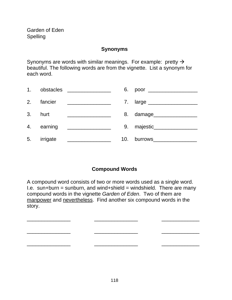#### **Synonyms**

Synonyms are words with similar meanings. For example: pretty  $\rightarrow$ beautiful. The following words are from the vignette. List a synonym for each word.

| 1. |            | obstacles ________________                                                                                           |     | 6. poor ________________      |
|----|------------|----------------------------------------------------------------------------------------------------------------------|-----|-------------------------------|
|    | 2. fancier | <u> 1980 - Jan Stein Stein Stein Stein Stein Stein Stein Stein Stein Stein Stein Stein Stein Stein Stein Stein S</u> |     | 7. large ____________________ |
|    | 3. hurt    | <u> 2002 - Jan James James Barnett, filosof eta alderdi</u>                                                          |     | 8. damage___________          |
|    | 4. earning | <u> 1990 - John Barn Barn, mars a</u>                                                                                |     | 9. majestic__________         |
| 5. | irrigate   |                                                                                                                      | 10. | burrows__________             |

# **Compound Words**

A compound word consists of two or more words used as a single word. I.e. sun+burn = sunburn, and wind+shield = windshield. There are many compound words in the vignette Garden of Eden. Two of them are manpower and nevertheless. Find another six compound words in the story.

\_\_\_\_\_\_\_\_\_\_\_\_\_\_\_ \_\_\_\_\_\_\_\_\_\_\_\_\_\_\_ \_\_\_\_\_\_\_\_\_\_\_\_\_ \_\_\_\_\_\_\_\_\_\_\_\_\_\_\_ \_\_\_\_\_\_\_\_\_\_\_\_\_\_\_ \_\_\_\_\_\_\_\_\_\_\_\_\_ \_\_\_\_\_\_\_\_\_\_\_\_\_\_\_ \_\_\_\_\_\_\_\_\_\_\_\_\_\_\_ \_\_\_\_\_\_\_\_\_\_\_\_\_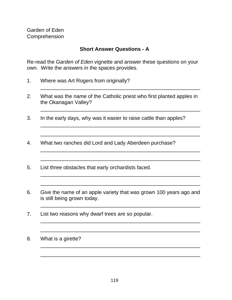#### **Short Answer Questions - A**

Re-read the Garden of Eden vignette and answer these questions on your own. Write the answers in the spaces provides.

- 1. Where was Art Rogers from originally?
- 2. What was the name of the Catholic priest who first planted apples in the Okanagan Valley?

\_\_\_\_\_\_\_\_\_\_\_\_\_\_\_\_\_\_\_\_\_\_\_\_\_\_\_\_\_\_\_\_\_\_\_\_\_\_\_\_\_\_\_\_\_\_\_\_\_\_\_\_\_\_\_

\_\_\_\_\_\_\_\_\_\_\_\_\_\_\_\_\_\_\_\_\_\_\_\_\_\_\_\_\_\_\_\_\_\_\_\_\_\_\_\_\_\_\_\_\_\_\_\_\_\_\_\_\_\_\_

\_\_\_\_\_\_\_\_\_\_\_\_\_\_\_\_\_\_\_\_\_\_\_\_\_\_\_\_\_\_\_\_\_\_\_\_\_\_\_\_\_\_\_\_\_\_\_\_\_\_\_\_\_\_\_

\_\_\_\_\_\_\_\_\_\_\_\_\_\_\_\_\_\_\_\_\_\_\_\_\_\_\_\_\_\_\_\_\_\_\_\_\_\_\_\_\_\_\_\_\_\_\_\_\_\_\_\_\_\_\_

\_\_\_\_\_\_\_\_\_\_\_\_\_\_\_\_\_\_\_\_\_\_\_\_\_\_\_\_\_\_\_\_\_\_\_\_\_\_\_\_\_\_\_\_\_\_\_\_\_\_\_\_\_\_\_

\_\_\_\_\_\_\_\_\_\_\_\_\_\_\_\_\_\_\_\_\_\_\_\_\_\_\_\_\_\_\_\_\_\_\_\_\_\_\_\_\_\_\_\_\_\_\_\_\_\_\_\_\_\_\_

\_\_\_\_\_\_\_\_\_\_\_\_\_\_\_\_\_\_\_\_\_\_\_\_\_\_\_\_\_\_\_\_\_\_\_\_\_\_\_\_\_\_\_\_\_\_\_\_\_\_\_\_\_\_\_

\_\_\_\_\_\_\_\_\_\_\_\_\_\_\_\_\_\_\_\_\_\_\_\_\_\_\_\_\_\_\_\_\_\_\_\_\_\_\_\_\_\_\_\_\_\_\_\_\_\_\_\_\_\_\_

\_\_\_\_\_\_\_\_\_\_\_\_\_\_\_\_\_\_\_\_\_\_\_\_\_\_\_\_\_\_\_\_\_\_\_\_\_\_\_\_\_\_\_\_\_\_\_\_\_\_\_\_\_\_\_

\_\_\_\_\_\_\_\_\_\_\_\_\_\_\_\_\_\_\_\_\_\_\_\_\_\_\_\_\_\_\_\_\_\_\_\_\_\_\_\_\_\_\_\_\_\_\_\_\_\_\_\_\_\_\_

\_\_\_\_\_\_\_\_\_\_\_\_\_\_\_\_\_\_\_\_\_\_\_\_\_\_\_\_\_\_\_\_\_\_\_\_\_\_\_\_\_\_\_\_\_\_\_\_\_\_\_\_\_\_\_

\_\_\_\_\_\_\_\_\_\_\_\_\_\_\_\_\_\_\_\_\_\_\_\_\_\_\_\_\_\_\_\_\_\_\_\_\_\_\_\_\_\_\_\_\_\_\_\_\_\_\_\_\_\_\_

\_\_\_\_\_\_\_\_\_\_\_\_\_\_\_\_\_\_\_\_\_\_\_\_\_\_\_\_\_\_\_\_\_\_\_\_\_\_\_\_\_\_\_\_\_\_\_\_\_\_\_\_\_\_\_

- 3. In the early days, why was it easier to raise cattle than apples?
- 4. What two ranches did Lord and Lady Aberdeen purchase?
- 5. List three obstacles that early orchardists faced.
- 6. Give the name of an apple variety that was grown 100 years ago and is still being grown today.
- 7. List two reasons why dwarf trees are so popular.
- 8. What is a girette?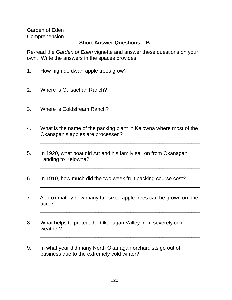#### **Short Answer Questions – B**

Re-read the Garden of Eden vignette and answer these questions on your own. Write the answers in the spaces provides.

\_\_\_\_\_\_\_\_\_\_\_\_\_\_\_\_\_\_\_\_\_\_\_\_\_\_\_\_\_\_\_\_\_\_\_\_\_\_\_\_\_\_\_\_\_\_\_\_\_\_\_\_\_\_\_

\_\_\_\_\_\_\_\_\_\_\_\_\_\_\_\_\_\_\_\_\_\_\_\_\_\_\_\_\_\_\_\_\_\_\_\_\_\_\_\_\_\_\_\_\_\_\_\_\_\_\_\_\_\_\_

\_\_\_\_\_\_\_\_\_\_\_\_\_\_\_\_\_\_\_\_\_\_\_\_\_\_\_\_\_\_\_\_\_\_\_\_\_\_\_\_\_\_\_\_\_\_\_\_\_\_\_\_\_\_\_

\_\_\_\_\_\_\_\_\_\_\_\_\_\_\_\_\_\_\_\_\_\_\_\_\_\_\_\_\_\_\_\_\_\_\_\_\_\_\_\_\_\_\_\_\_\_\_\_\_\_\_\_\_\_\_

\_\_\_\_\_\_\_\_\_\_\_\_\_\_\_\_\_\_\_\_\_\_\_\_\_\_\_\_\_\_\_\_\_\_\_\_\_\_\_\_\_\_\_\_\_\_\_\_\_\_\_\_\_\_\_

\_\_\_\_\_\_\_\_\_\_\_\_\_\_\_\_\_\_\_\_\_\_\_\_\_\_\_\_\_\_\_\_\_\_\_\_\_\_\_\_\_\_\_\_\_\_\_\_\_\_\_\_\_\_\_

\_\_\_\_\_\_\_\_\_\_\_\_\_\_\_\_\_\_\_\_\_\_\_\_\_\_\_\_\_\_\_\_\_\_\_\_\_\_\_\_\_\_\_\_\_\_\_\_\_\_\_\_\_\_\_

\_\_\_\_\_\_\_\_\_\_\_\_\_\_\_\_\_\_\_\_\_\_\_\_\_\_\_\_\_\_\_\_\_\_\_\_\_\_\_\_\_\_\_\_\_\_\_\_\_\_\_\_\_\_\_

\_\_\_\_\_\_\_\_\_\_\_\_\_\_\_\_\_\_\_\_\_\_\_\_\_\_\_\_\_\_\_\_\_\_\_\_\_\_\_\_\_\_\_\_\_\_\_\_\_\_\_\_\_\_\_

- 1. How high do dwarf apple trees grow?
- 2. Where is Guisachan Ranch?
- 3. Where is Coldstream Ranch?
- 4. What is the name of the packing plant in Kelowna where most of the Okanagan's apples are processed?
- 5. In 1920, what boat did Art and his family sail on from Okanagan Landing to Kelowna?
- 6. In 1910, how much did the two week fruit packing course cost?
- 7. Approximately how many full-sized apple trees can be grown on one acre?
- 8. What helps to protect the Okanagan Valley from severely cold weather?
- 9. In what year did many North Okanagan orchardists go out of business due to the extremely cold winter?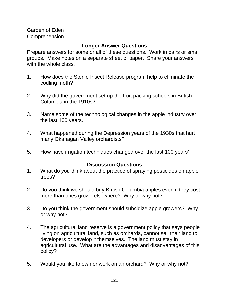## **Longer Answer Questions**

Prepare answers for some or all of these questions. Work in pairs or small groups. Make notes on a separate sheet of paper. Share your answers with the whole class.

- 1. How does the Sterile Insect Release program help to eliminate the codling moth?
- 2. Why did the government set up the fruit packing schools in British Columbia in the 1910s?
- 3. Name some of the technological changes in the apple industry over the last 100 years.
- 4. What happened during the Depression years of the 1930s that hurt many Okanagan Valley orchardists?
- 5. How have irrigation techniques changed over the last 100 years?

#### **Discussion Questions**

- 1. What do you think about the practice of spraying pesticides on apple trees?
- 2. Do you think we should buy British Columbia apples even if they cost more than ones grown elsewhere? Why or why not?
- 3. Do you think the government should subsidize apple growers? Why or why not?
- 4. The agricultural land reserve is a government policy that says people living on agricultural land, such as orchards, cannot sell their land to developers or develop it themselves. The land must stay in agricultural use. What are the advantages and disadvantages of this policy?
- 5. Would you like to own or work on an orchard? Why or why not?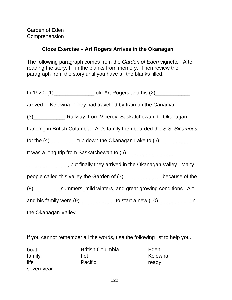## **Cloze Exercise – Art Rogers Arrives in the Okanagan**

The following paragraph comes from the Garden of Eden vignette. After reading the story, fill in the blanks from memory. Then review the paragraph from the story until you have all the blanks filled.

| In 1920, (1)____________________ old Art Rogers and his (2)_______________                                     |  |  |  |  |
|----------------------------------------------------------------------------------------------------------------|--|--|--|--|
| arrived in Kelowna. They had travelled by train on the Canadian                                                |  |  |  |  |
| (3) Railway from Viceroy, Saskatchewan, to Okanagan                                                            |  |  |  |  |
| Landing in British Columbia. Art's family then boarded the S.S. Sicamous                                       |  |  |  |  |
| for the $(4)$ ____________ trip down the Okanagan Lake to $(5)$ _______________.                               |  |  |  |  |
| It was a long trip from Saskatchewan to (6) [11] Masseum Manuscondity was a long trip from Saskatchewan to (6) |  |  |  |  |
| ________________, but finally they arrived in the Okanagan Valley. Many                                        |  |  |  |  |
| people called this valley the Garden of (7) ______________ because of the                                      |  |  |  |  |
| (8) __________ summers, mild winters, and great growing conditions. Art                                        |  |  |  |  |
| and his family were $(9)$ _______________ to start a new $(10)$ ______________ in                              |  |  |  |  |
| the Okanagan Valley.                                                                                           |  |  |  |  |

If you cannot remember all the words, use the following list to help you.

| boat       | <b>British Columbia</b> | Eden    |
|------------|-------------------------|---------|
| family     | hot                     | Kelowna |
| life       | <b>Pacific</b>          | ready   |
| seven-year |                         |         |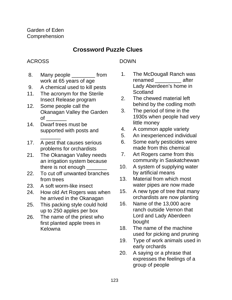# **Crossword Puzzle Clues**

# ACROSS

- 8. Many people from work at 65 years of age
- 9. A chemical used to kill pests
- 11. The acronym for the Sterile Insect Release program
- 12. Some people call the Okanagan Valley the Garden  $\circ$ f $\qquad$
- 14. Dwarf trees must be supported with posts and

 $\overline{\phantom{a}}$ 

- 17. A pest that causes serious problems for orchardists
- 21. The Okanagan Valley needs an irrigation system because there is not enough \_
- 22. To cut off unwanted branches from trees
- 23. A soft worm-like insect
- 24. How old Art Rogers was when he arrived in the Okanagan
- 25. This packing style could hold up to 250 apples per box
- 26. The name of the priest who first planted apple trees in Kelowna

# DOWN

- 1. The McDougall Ranch was renamed after Lady Aberdeen's home in **Scotland**
- 2. The chewed material left behind by the codling moth
- 3. The period of time in the 1930s when people had very little money
- 4. A common apple variety
- 5. An inexperienced individual
- 6. Some early pesticides were made from this chemical
- 7. Art Rogers came from this community in Saskatchewan
- 10. A system of supplying water by artificial means
- 13. Material from which most water pipes are now made
- 15. A new type of tree that many orchardists are now planting
- 16. Name of the 13,000 acre ranch outside Vernon that Lord and Lady Aberdeen bought
- 18. The name of the machine used for picking and pruning
- 19. Type of work animals used in early orchards
- 20. A saying or a phrase that expresses the feelings of a group of people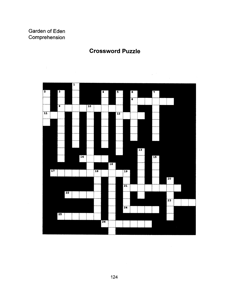$\overline{1}$ 



# **Crossword Puzzle**

124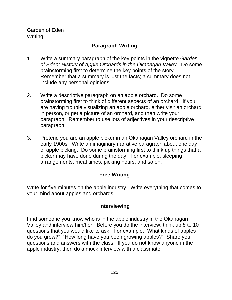Garden of Eden Writing

## **Paragraph Writing**

- 1. Write a summary paragraph of the key points in the vignette Garden of Eden: History of Apple Orchards in the Okanagan Valley. Do some brainstorming first to determine the key points of the story. Remember that a summary is just the facts; a summary does not include any personal opinions.
- 2. Write a descriptive paragraph on an apple orchard. Do some brainstorming first to think of different aspects of an orchard. If you are having trouble visualizing an apple orchard, either visit an orchard in person, or get a picture of an orchard, and then write your paragraph. Remember to use lots of adjectives in your descriptive paragraph.
- 3. Pretend you are an apple picker in an Okanagan Valley orchard in the early 1900s. Write an imaginary narrative paragraph about one day of apple picking. Do some brainstorming first to think up things that a picker may have done during the day. For example, sleeping arrangements, meal times, picking hours, and so on.

#### **Free Writing**

Write for five minutes on the apple industry. Write everything that comes to your mind about apples and orchards.

#### **Interviewing**

Find someone you know who is in the apple industry in the Okanagan Valley and interview him/her. Before you do the interview, think up 8 to 10 questions that you would like to ask. For example, "What kinds of apples do you grow?" "How long have you been growing apples?" Share your questions and answers with the class. If you do not know anyone in the apple industry, then do a mock interview with a classmate.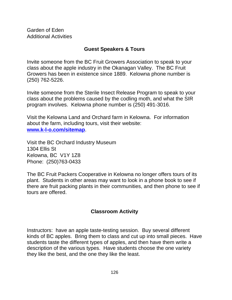Garden of Eden Additional Activities

#### **Guest Speakers & Tours**

Invite someone from the BC Fruit Growers Association to speak to your class about the apple industry in the Okanagan Valley. The BC Fruit Growers has been in existence since 1889. Kelowna phone number is (250) 762-5226.

Invite someone from the Sterile Insect Release Program to speak to your class about the problems caused by the codling moth, and what the SIR program involves. Kelowna phone number is (250) 491-3016.

Visit the Kelowna Land and Orchard farm in Kelowna. For information about the farm, including tours, visit their website: **www.k-l-o.com/sitemap**.

Visit the BC Orchard Industry Museum 1304 Ellis St Kelowna, BC V1Y 1Z8 Phone: (250)763-0433

The BC Fruit Packers Cooperative in Kelowna no longer offers tours of its plant. Students in other areas may want to look in a phone book to see if there are fruit packing plants in their communities, and then phone to see if tours are offered.

#### **Classroom Activity**

Instructors: have an apple taste-testing session. Buy several different kinds of BC apples. Bring them to class and cut up into small pieces. Have students taste the different types of apples, and then have them write a description of the various types. Have students choose the one variety they like the best, and the one they like the least.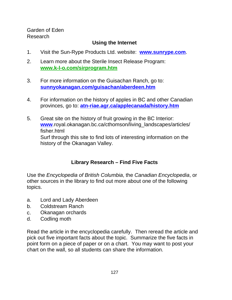Garden of Eden Research

## **Using the Internet**

- 1. Visit the Sun-Rype Products Ltd. website: **www.sunrype.com**.
- 2. Learn more about the Sterile Insect Release Program: **www.k-l-o.com/sirprogram.htm**
- 3. For more information on the Guisachan Ranch, go to: **sunnyokanagan.com/guisachan/aberdeen.htm**
- 4. For information on the history of apples in BC and other Canadian provinces, go to: **atn-riae.agr.ca/applecanada/history.htm**
- 5. Great site on the history of fruit growing in the BC Interior: **www**.royal.okanagan.bc.ca/cthomson/living\_landscapes/articles/ fisher.html Surf through this site to find lots of interesting information on the history of the Okanagan Valley.

# **Library Research – Find Five Facts**

Use the Encyclopedia of British Columbia, the Canadian Encyclopedia, or other sources in the library to find out more about one of the following topics.

- a. Lord and Lady Aberdeen
- b. Coldstream Ranch
- c. Okanagan orchards
- d. Codling moth

Read the article in the encyclopedia carefully. Then reread the article and pick out five important facts about the topic. Summarize the five facts in point form on a piece of paper or on a chart. You may want to post your chart on the wall, so all students can share the information.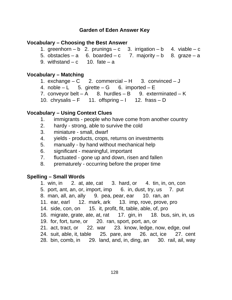#### **Vocabulary – Choosing the Best Answer**

- 1. greenhorn b 2. prunings c 3. irrigation b 4. viable c
- 5. obstacles a 6. boarded c 7. majority b 8. graze a
- 9. withstand  $-c$  10. fate  $-a$

#### **Vocabulary – Matching**

- 1. exchange  $C$  2. commercial H 3. convinced J
- 4. noble  $-L = 5$ . girette G 6. imported E
- 7. conveyor belt  $-A$  8. hurdles  $-B$  9. exterminated  $-K$

10. chrysalis –  $F = 11$ . offspring – I 12. frass – D

#### **Vocabulary – Using Context Clues**

- 1. immigrants people who have come from another country
- 2. hardy strong, able to survive the cold
- 3. miniature small, dwarf
- 4. yields products, crops, returns on investments
- 5. manually by hand without mechanical help
- 6. significant meaningful, important
- 7. fluctuated gone up and down, risen and fallen
- 8. prematurely occurring before the proper time

#### **Spelling – Small Words**

- 1. win, in 2. at, ate, cat 3. hard, or 4. tin, in, on, con
- 5. port, ant, an, or, import, imp 6. in, dust, try, us 7. put
- 8. man, all, an, ally 9. pea, pear, ear 10. ran, an
- 11. ear, earl 12. mark, ark 13. imp, rove, prove, pro
- 14. side, con, on 15. it, profit, fit, table, able, of, pro
- 16. migrate, grate, ate, at, rat 17. gin, in 18. bus, sin, in, us
- 19. for, fort, tune, or 20. ran, sport, port, an, or
- 21. act, tract, or 22. war 23. know, ledge, now, edge, owl
- 24. suit, able, it, table 25. pare, are 26. act, ice 27. cent
- 28. bin, comb, in 29. land, and, in, ding, an 30. rail, ail, way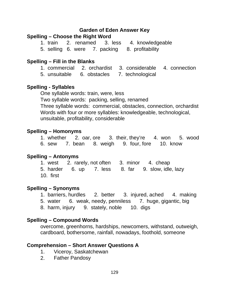#### **Spelling – Choose the Right Word**

1. train 2. renamed 3. less 4. knowledgeable 5. selling 6. were 7. packing 8. profitability

#### **Spelling – Fill in the Blanks**

1. commercial 2. orchardist 3. considerable 4. connection

5. unsuitable 6. obstacles 7. technological

#### **Spelling - Syllables**

One syllable words: train, were, less Two syllable words: packing, selling, renamed Three syllable words: commercial, obstacles, connection, orchardist Words with four or more syllables: knowledgeable, technological, unsuitable, profitability, considerable

#### **Spelling – Homonyms**

1. whether 2. oar, ore 3. their, they're 4. won 5. wood 6. sew 7. bean 8. weigh 9. four, fore 10. know

#### **Spelling – Antonyms**

1. west 2. rarely, not often 3. minor 4. cheap 5. harder 6. up 7. less 8. far 9. slow, idle, lazy 10. first

#### **Spelling – Synonyms**

1. barriers, hurdles 2. better 3. injured, ached 4. making 5. water 6. weak, needy, penniless 7. huge, gigantic, big 8. harm, injury 9. stately, noble 10. digs

#### **Spelling – Compound Words**

overcome, greenhorns, hardships, newcomers, withstand, outweigh, cardboard, bothersome, rainfall, nowadays, foothold, someone

#### **Comprehension – Short Answer Questions A**

- 1. Viceroy, Saskatchewan
- 2. Father Pandosy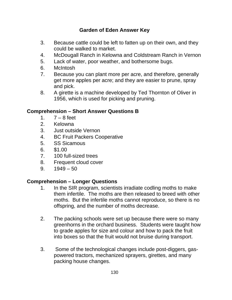- 3. Because cattle could be left to fatten up on their own, and they could be walked to market.
- 4. McDougall Ranch in Kelowna and Coldstream Ranch in Vernon
- 5. Lack of water, poor weather, and bothersome bugs.
- 6. McIntosh
- 7. Because you can plant more per acre, and therefore, generally get more apples per acre; and they are easier to prune, spray and pick.
- 8. A girette is a machine developed by Ted Thornton of Oliver in 1956, which is used for picking and pruning.

## **Comprehension – Short Answer Questions B**

- 1.  $7 8$  feet
- 2. Kelowna
- 3. Just outside Vernon
- 4. BC Fruit Packers Cooperative
- 5. SS Sicamous
- 6. \$1.00
- 7. 100 full-sized trees
- 8. Frequent cloud cover
- 9.  $1949 50$

## **Comprehension – Longer Questions**

- 1. In the SIR program, scientists irradiate codling moths to make them infertile. The moths are then released to breed with other moths. But the infertile moths cannot reproduce, so there is no offspring, and the number of moths decrease.
- 2. The packing schools were set up because there were so many greenhorns in the orchard business. Students were taught how to grade apples for size and colour and how to pack the fruit into boxes so that the fruit would not bruise during transport.
- 3. Some of the technological changes include post-diggers, gaspowered tractors, mechanized sprayers, girettes, and many packing house changes.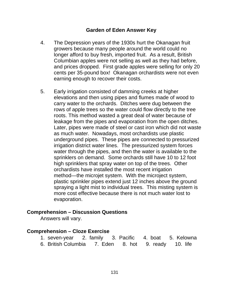- 4. The Depression years of the 1930s hurt the Okanagan fruit growers because many people around the world could no longer afford to buy fresh, imported fruit. As a result, British Columbian apples were not selling as well as they had before, and prices dropped. First grade apples were selling for only 20 cents per 35-pound box! Okanagan orchardists were not even earning enough to recover their costs.
- 5. Early irrigation consisted of damming creeks at higher elevations and then using pipes and flumes made of wood to carry water to the orchards. Ditches were dug between the rows of apple trees so the water could flow directly to the tree roots. This method wasted a great deal of water because of leakage from the pipes and evaporation from the open ditches. Later, pipes were made of steel or cast iron which did not waste as much water. Nowadays, most orchardists use plastic underground pipes. These pipes are connected to pressurized irrigation district water lines. The pressurized system forces water through the pipes, and then the water is available to the sprinklers on demand. Some orchards still have 10 to 12 foot high sprinklers that spray water on top of the trees. Other orchardists have installed the most recent irrigation method—the microjet system. With the microject system, plastic sprinkler pipes extend just 12 inches above the ground spraying a light mist to individual trees. This misting system is more cost effective because there is not much water lost to evaporation.

#### **Comprehension – Discussion Questions**

Answers will vary.

#### **Comprehension – Cloze Exercise**

| 1. seven-year 2. family 3. Pacific 4. boat 5. Kelowna |  |  |  |  |  |
|-------------------------------------------------------|--|--|--|--|--|
| 6. British Columbia 7. Eden 8. hot 9. ready 10. life  |  |  |  |  |  |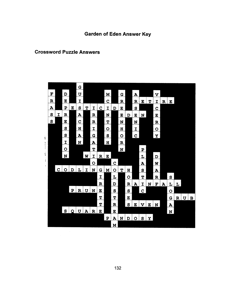#### **Crossword Puzzle Answers**

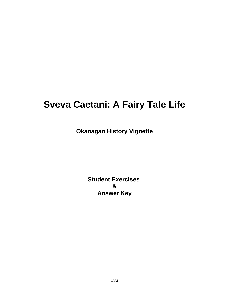# **Sveva Caetani: A Fairy Tale Life**

**Okanagan History Vignette**

**Student Exercises & Answer Key**

133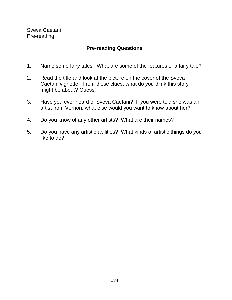Sveva Caetani Pre-reading

## **Pre-reading Questions**

- 1. Name some fairy tales. What are some of the features of a fairy tale?
- 2. Read the title and look at the picture on the cover of the Sveva Caetani vignette. From these clues, what do you think this story might be about? Guess!
- 3. Have you ever heard of Sveva Caetani? If you were told she was an artist from Vernon, what else would you want to know about her?
- 4. Do you know of any other artists? What are their names?
- 5. Do you have any artistic abilities? What kinds of artistic things do you like to do?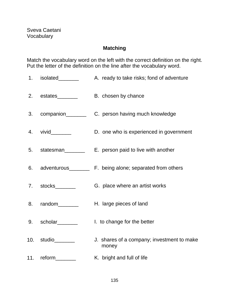## **Matching**

Match the vocabulary word on the left with the correct definition on the right. Put the letter of the definition on the line after the vocabulary word.

- 1. isolated\_\_\_\_\_\_\_ A. ready to take risks; fond of adventure
- 2. estates\_\_\_\_\_\_\_\_ B. chosen by chance
- 3. companion C. person having much knowledge
- 4. vivid D. one who is experienced in government
- 5. statesman\_\_\_\_\_\_\_\_\_ E. person paid to live with another
- 6. adventurous\_\_\_\_\_\_\_ F. being alone; separated from others
- 7. stocks\_\_\_\_\_\_\_ G. place where an artist works
- 8. random H. large pieces of land
- 9. scholar\_\_\_\_\_\_\_ I. to change for the better
- 10. studio\_\_\_\_\_\_\_ J. shares of a company; investment to make money
- 11. reform\_\_\_\_\_\_\_\_ K. bright and full of life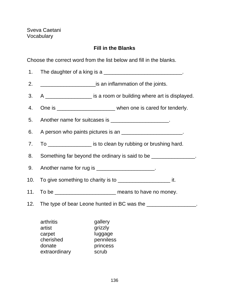Sveva Caetani Vocabulary

## **Fill in the Blanks**

Choose the correct word from the list below and fill in the blanks.

|     | 1. The daughter of a king is a _________________________________.                        |  |  |  |  |
|-----|------------------------------------------------------------------------------------------|--|--|--|--|
| 2.  | <u>________________________</u> is an inflammation of the joints.                        |  |  |  |  |
| 3.  | A ____________________ is a room or building where art is displayed.                     |  |  |  |  |
| 4.  |                                                                                          |  |  |  |  |
| 5.  | Another name for suitcases is ______________________.                                    |  |  |  |  |
| 6.  | A person who paints pictures is an ________________________.                             |  |  |  |  |
| 7.  | To __________________ is to clean by rubbing or brushing hard.                           |  |  |  |  |
| 8.  | Something far beyond the ordinary is said to be ________________.                        |  |  |  |  |
| 9.  | Another name for rug is __________________________.                                      |  |  |  |  |
| 10. | To give something to charity is to ________________________________ it.                  |  |  |  |  |
|     | 11. To be ________________________________ means to have no money.                       |  |  |  |  |
| 12. | The type of bear Leone hunted in BC was the __________________.                          |  |  |  |  |
|     | arthritis<br>gallery<br>artist<br>grizzly<br>luggage<br>carpet<br>cherished<br>penniless |  |  |  |  |

donate princess<br>extraordinary scrub

extraordinary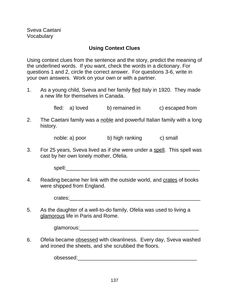## **Using Context Clues**

Using context clues from the sentence and the story, predict the meaning of the underlined words. If you want, check the words in a dictionary. For questions 1 and 2, circle the correct answer. For questions 3-6, write in your own answers. Work on your own or with a partner.

1. As a young child, Sveva and her family fled Italy in 1920. They made a new life for themselves in Canada.

fled: a) loved b) remained in c) escaped from

2. The Caetani family was a noble and powerful Italian family with a long history.

noble: a) poor b) high ranking c) small

3. For 25 years, Sveva lived as if she were under a spell. This spell was cast by her own lonely mother, Ofelia.

 $spell:$ 

4. Reading became her link with the outside world, and crates of books were shipped from England.

crates:

5. As the daughter of a well-to-do family, Ofelia was used to living a glamorous life in Paris and Rome.

glamorous:\_\_\_\_\_\_\_\_\_\_\_\_\_\_\_\_\_\_\_\_\_\_\_\_\_\_\_\_\_\_\_\_\_\_\_\_\_\_\_\_\_

6. Ofelia became obsessed with cleanliness. Every day, Sveva washed and ironed the sheets, and she scrubbed the floors.

obsessed:\_\_\_\_\_\_\_\_\_\_\_\_\_\_\_\_\_\_\_\_\_\_\_\_\_\_\_\_\_\_\_\_\_\_\_\_\_\_\_\_\_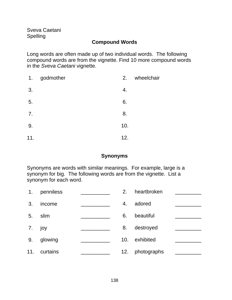Sveva Caetani Spelling

## **Compound Words**

Long words are often made up of two individual words. The following compound words are from the vignette. Find 10 more compound words in the Sveva Caetani vignette.

| 1.  | godmother | 2.  | wheelchair |
|-----|-----------|-----|------------|
| 3.  |           | 4.  |            |
| 5.  |           | 6.  |            |
| 7.  |           | 8.  |            |
| 9.  |           | 10. |            |
| 11. |           | 12. |            |

#### **Synonyms**

Synonyms are words with similar meanings. For example, large is a synonym for big. The following words are from the vignette. List a synonym for each word.

| 1 <sub>1</sub> | penniless | 2.              | heartbroken |  |
|----------------|-----------|-----------------|-------------|--|
| 3.             | income    | 4.              | adored      |  |
| 5.             | slim      | 6.              | beautiful   |  |
| 7.             | joy       | 8.              | destroyed   |  |
| 9.             | glowing   | 10 <sub>1</sub> | exhibited   |  |
| 11.            | curtains  | 12.             | photographs |  |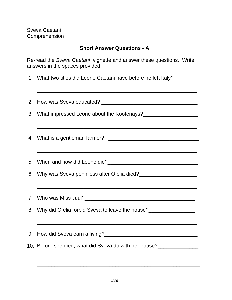Sveva Caetani Comprehension

## **Short Answer Questions - A**

\_\_\_\_\_\_\_\_\_\_\_\_\_\_\_\_\_\_\_\_\_\_\_\_\_\_\_\_\_\_\_\_\_\_\_\_\_\_\_\_\_\_\_\_\_\_\_\_\_\_\_\_\_\_\_

Re-read the Sveva Caetani vignette and answer these questions. Write answers in the spaces provided.

1. What two titles did Leone Caetani have before he left Italy?

| <u> 1999 - Jan James James James James James James James James James James James James James James James James</u>   |  |  |
|----------------------------------------------------------------------------------------------------------------------|--|--|
|                                                                                                                      |  |  |
| <u> 1999 - Johann John Harry Harry Harry Harry Harry Harry Harry Harry Harry Harry Harry Harry Harry Harry Harry</u> |  |  |
|                                                                                                                      |  |  |
| 6. Why was Sveva penniless after Ofelia died?<br><u> </u>                                                            |  |  |
|                                                                                                                      |  |  |
|                                                                                                                      |  |  |
| 8. Why did Ofelia forbid Sveva to leave the house?                                                                   |  |  |
|                                                                                                                      |  |  |
|                                                                                                                      |  |  |
| 10. Before she died, what did Sveva do with her house?                                                               |  |  |
|                                                                                                                      |  |  |

\_\_\_\_\_\_\_\_\_\_\_\_\_\_\_\_\_\_\_\_\_\_\_\_\_\_\_\_\_\_\_\_\_\_\_\_\_\_\_\_\_\_\_\_\_\_\_\_\_\_\_\_\_\_\_\_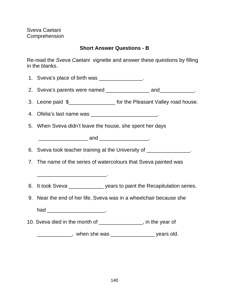Sveva Caetani Comprehension

# **Short Answer Questions - B**

Re-read the Sveva Caetani vignette and answer these questions by filling in the blanks.

| 1. Sveva's place of birth was _______________.                             |
|----------------------------------------------------------------------------|
|                                                                            |
| 3. Leone paid \$_____________________ for the Pleasant Valley road house.  |
| 4. Ofelia's last name was __________________________.                      |
| 5. When Sveva didn't leave the house, she spent her days                   |
|                                                                            |
| 6. Sveva took teacher training at the University of ________________.      |
| 7. The name of the series of watercolours that Sveva painted was           |
|                                                                            |
| 8. It took Sveva _______________ years to paint the Recapitulation series. |
| 9. Near the end of her life, Sveva was in a wheelchair because she         |
| had _________________________________                                      |
| 10. Sveva died in the month of ________________, in the year of            |
| _______________, when she was ____________________ years old.              |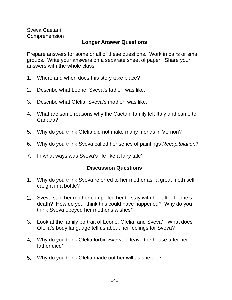Sveva Caetani Comprehension

#### **Longer Answer Questions**

Prepare answers for some or all of these questions. Work in pairs or small groups. Write your answers on a separate sheet of paper. Share your answers with the whole class.

- 1. Where and when does this story take place?
- 2. Describe what Leone, Sveva's father, was like.
- 3. Describe what Ofelia, Sveva's mother, was like.
- 4. What are some reasons why the Caetani family left Italy and came to Canada?
- 5. Why do you think Ofelia did not make many friends in Vernon?
- 6. Why do you think Sveva called her series of paintings Recapitulation?
- 7. In what ways was Sveva's life like a fairy tale?

#### **Discussion Questions**

- 1. Why do you think Sveva referred to her mother as "a great moth selfcaught in a bottle?
- 2. Sveva said her mother compelled her to stay with her after Leone's death? How do you think this could have happened? Why do you think Sveva obeyed her mother's wishes?
- 3. Look at the family portrait of Leone, Ofelia, and Sveva? What does Ofelia's body language tell us about her feelings for Sveva?
- 4. Why do you think Ofelia forbid Sveva to leave the house after her father died?
- 5. Why do you think Ofelia made out her will as she did?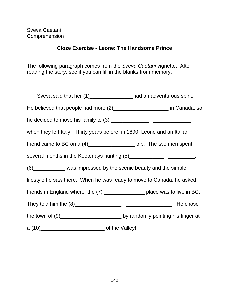# **Cloze Exercise - Leone: The Handsome Prince**

The following paragraph comes from the Sveva Caetani vignette. After reading the story, see if you can fill in the blanks from memory.

| Sveva said that her (1)______________had an adventurous spirit.               |  |
|-------------------------------------------------------------------------------|--|
| He believed that people had more (2)_________________________ in Canada, so   |  |
|                                                                               |  |
| when they left Italy. Thirty years before, in 1890, Leone and an Italian      |  |
| friend came to BC on a $(4)$ _________________________trip. The two men spent |  |
| several months in the Kootenays hunting (5)___________________________.       |  |
| (6) ___________ was impressed by the scenic beauty and the simple             |  |
| lifestyle he saw there. When he was ready to move to Canada, he asked         |  |
| friends in England where the (7) ________________ place was to live in BC.    |  |
|                                                                               |  |
|                                                                               |  |
|                                                                               |  |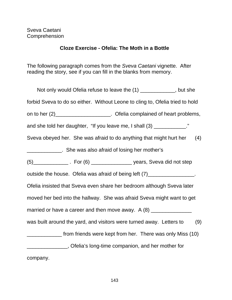# **Cloze Exercise - Ofelia: The Moth in a Bottle**

The following paragraph comes from the Sveva Caetani vignette. After reading the story, see if you can fill in the blanks from memory.

Not only would Ofelia refuse to leave the (1) \_\_\_\_\_\_\_\_\_\_\_, but she forbid Sveva to do so either. Without Leone to cling to, Ofelia tried to hold on to her  $(2)$ \_\_\_\_\_\_\_\_\_\_\_\_\_\_\_\_\_\_\_\_\_. Ofelia complained of heart problems, and she told her daughter, "If you leave me, I shall (3) \_\_\_\_\_\_\_\_\_\_\_\_." Sveva obeyed her. She was afraid to do anything that might hurt her (4) **EXECUTE:** She was also afraid of losing her mother's (5)\_\_\_\_\_\_\_\_\_\_\_\_ . For (6) \_\_\_\_\_\_\_\_\_\_\_\_\_\_ years, Sveva did not step outside the house. Ofelia was afraid of being left (7) Ofelia insisted that Sveva even share her bedroom although Sveva later moved her bed into the hallway. She was afraid Sveva might want to get married or have a career and then move away. A (8) \_\_\_\_\_\_\_\_\_\_\_\_\_\_\_\_\_\_\_\_\_\_\_\_\_\_\_\_\_ was built around the yard, and visitors were turned away. Letters to (9) \_\_\_\_\_\_\_\_\_\_\_\_ from friends were kept from her. There was only Miss (10) \_\_\_\_\_\_\_\_\_\_\_\_\_\_, Ofelia's long-time companion, and her mother for company.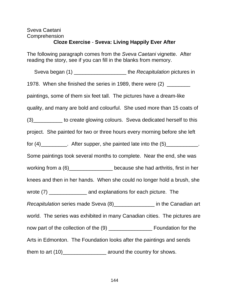# Sveva Caetani Comprehension

# **Cloze Exercise** - **Sveva: Living Happily Ever After**

The following paragraph comes from the Sveva Caetani vignette. After reading the story, see if you can fill in the blanks from memory.

Sveva began (1) \_\_\_\_\_\_\_\_\_\_\_\_\_\_\_\_\_\_\_\_\_\_\_ the Recapitulation pictures in 1978. When she finished the series in 1989, there were (2) \_\_\_\_\_\_\_\_ paintings, some of them six feet tall. The pictures have a dream-like quality, and many are bold and colourful. She used more than 15 coats of (3)\_\_\_\_\_\_\_\_\_\_ to create glowing colours. Sveva dedicated herself to this project. She painted for two or three hours every morning before she left for  $(4)$  \_\_\_\_\_\_\_\_\_. After supper, she painted late into the  $(5)$  \_\_\_\_\_\_\_\_\_\_\_. Some paintings took several months to complete. Near the end, she was working from a  $(6)$ \_\_\_\_\_\_\_\_\_\_\_\_\_\_\_\_\_\_\_ because she had arthritis, first in her knees and then in her hands. When she could no longer hold a brush, she wrote (7) \_\_\_\_\_\_\_\_\_\_\_\_\_\_\_\_ and explanations for each picture. The Recapitulation series made Sveva (8)\_\_\_\_\_\_\_\_\_\_\_\_\_\_\_\_\_ in the Canadian art world. The series was exhibited in many Canadian cities. The pictures are now part of the collection of the (9) \_\_\_\_\_\_\_\_\_\_\_\_\_\_\_\_\_\_\_\_\_ Foundation for the Arts in Edmonton. The Foundation looks after the paintings and sends them to art  $(10)$ \_\_\_\_\_\_\_\_\_\_\_\_\_\_\_\_\_\_\_\_\_\_\_\_\_ around the country for shows.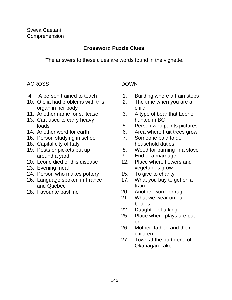# **Crossword Puzzle Clues**

The answers to these clues are words found in the vignette.

# ACROSS DOWN

- 
- 10. Ofelia had problems with this 2. The time when you are a organ in her body child
- 11. Another name for suitcase 3. A type of bear that Leone
- 13. Cart used to carry heavy hunted in BC
- 
- 16. Person studying in school 7. Someone paid to do
- 18. Capital city of Italy **household duties**
- 
- 20. Leone died of this disease 12. Place where flowers and
- 
- 24. Person who makes pottery 15. To give to charity
- 26. Language spoken in France 17. What you buy to get on a and Quebec train
- 

- 4. A person trained to teach 1. Building where a train stops
	-
	-
	- loads 5. Person who paints pictures
- 14. Another word for earth 6. Area where fruit trees grow
	-
- 19. Posts or pickets put up 8. Wood for burning in a stove
	- around a yard 9. End of a marriage
- 23. Evening meal vegetables grow
	-
	-
- 28. Favourite pastime 20. Another word for rug
	- 21. What we wear on our bodies
	- 22. Daughter of a king
	- 25. Place where plays are put on
	- 26. Mother, father, and their children
	- 27. Town at the north end of Okanagan Lake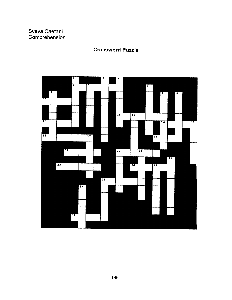# Sveva Caetani Comprehension

 $\bar{\beta}$ 



# **Crossword Puzzle**

 $\hat{\zeta}$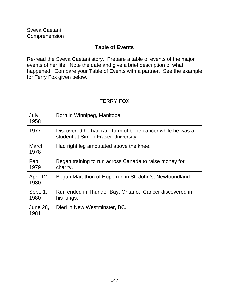# **Table of Events**

Re-read the Sveva Caetani story. Prepare a table of events of the major events of her life. Note the date and give a brief description of what happened. Compare your Table of Events with a partner. See the example for Terry Fox given below.

# TERRY FOX

| July<br>1958            | Born in Winnipeg, Manitoba.                                                                      |
|-------------------------|--------------------------------------------------------------------------------------------------|
| 1977                    | Discovered he had rare form of bone cancer while he was a<br>student at Simon Fraser University. |
| March<br>1978           | Had right leg amputated above the knee.                                                          |
| Feb.<br>1979            | Began training to run across Canada to raise money for<br>charity.                               |
| April 12,<br>1980       | Began Marathon of Hope run in St. John's, Newfoundland.                                          |
| Sept. 1,<br>1980        | Run ended in Thunder Bay, Ontario. Cancer discovered in<br>his lungs.                            |
| <b>June 28,</b><br>1981 | Died in New Westminster, BC.                                                                     |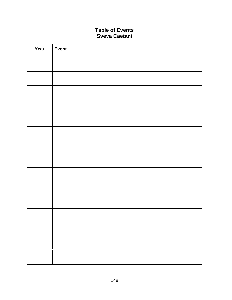#### **Table of Events Sveva Caetani**

| Year | <b>Event</b> |
|------|--------------|
|      |              |
|      |              |
|      |              |
|      |              |
|      |              |
|      |              |
|      |              |
|      |              |
|      |              |
|      |              |
|      |              |
|      |              |
|      |              |
|      |              |
|      |              |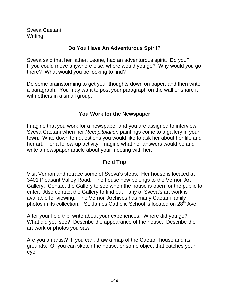Sveva Caetani Writing

# **Do You Have An Adventurous Spirit?**

Sveva said that her father, Leone, had an adventurous spirit. Do you? If you could move anywhere else, where would you go? Why would you go there? What would you be looking to find?

Do some brainstorming to get your thoughts down on paper, and then write a paragraph. You may want to post your paragraph on the wall or share it with others in a small group.

# **You Work for the Newspaper**

Imagine that you work for a newspaper and you are assigned to interview Sveva Caetani when her Recapitulation paintings come to a gallery in your town. Write down ten questions you would like to ask her about her life and her art. For a follow-up activity, imagine what her answers would be and write a newspaper article about your meeting with her.

# **Field Trip**

Visit Vernon and retrace some of Sveva's steps. Her house is located at 3401 Pleasant Valley Road. The house now belongs to the Vernon Art Gallery. Contact the Gallery to see when the house is open for the public to enter. Also contact the Gallery to find out if any of Sveva's art work is available for viewing. The Vernon Archives has many Caetani family photos in its collection. St. James Catholic School is located on 28<sup>th</sup> Ave.

After your field trip, write about your experiences. Where did you go? What did you see? Describe the appearance of the house. Describe the art work or photos you saw.

Are you an artist? If you can, draw a map of the Caetani house and its grounds. Or you can sketch the house, or some object that catches your eye.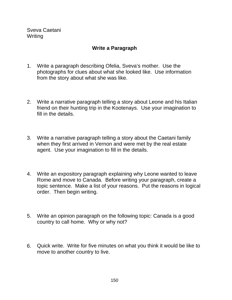Sveva Caetani Writing

# **Write a Paragraph**

- 1. Write a paragraph describing Ofelia, Sveva's mother. Use the photographs for clues about what she looked like. Use information from the story about what she was like.
- 2. Write a narrative paragraph telling a story about Leone and his Italian friend on their hunting trip in the Kootenays. Use your imagination to fill in the details.
- 3. Write a narrative paragraph telling a story about the Caetani family when they first arrived in Vernon and were met by the real estate agent. Use your imagination to fill in the details.
- 4. Write an expository paragraph explaining why Leone wanted to leave Rome and move to Canada. Before writing your paragraph, create a topic sentence. Make a list of your reasons. Put the reasons in logical order. Then begin writing.
- 5. Write an opinion paragraph on the following topic: Canada is a good country to call home. Why or why not?
- 6. Quick write. Write for five minutes on what you think it would be like to move to another country to live.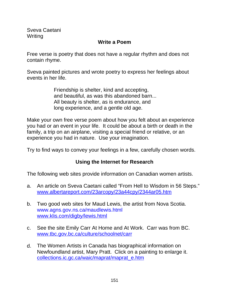Sveva Caetani Writing

## **Write a Poem**

Free verse is poetry that does not have a regular rhythm and does not contain rhyme.

Sveva painted pictures and wrote poetry to express her feelings about events in her life.

> Friendship is shelter, kind and accepting, and beautiful, as was this abandoned barn... All beauty is shelter, as is endurance, and long experience, and a gentle old age.

Make your own free verse poem about how you felt about an experience you had or an event in your life. It could be about a birth or death in the family, a trip on an airplane, visiting a special friend or relative, or an experience you had in nature. Use your imagination.

Try to find ways to convey your feelings in a few, carefully chosen words.

## **Using the Internet for Research**

The following web sites provide information on Canadian women artists.

- a. An article on Sveva Caetani called "From Hell to Wisdom in 56 Steps." www.albertareport.com/23arcopy/23a44cpy/2344ar05.htm
- b. Two good web sites for Maud Lewis, the artist from Nova Scotia. www.agns.gov.ns.ca/maudlewis.html www.klis.com/digby/lewis.html
- c. See the site Emily Carr At Home and At Work. Carr was from BC. www.tbc.gov.bc.ca/culture/schoolnet/carr
- d. The Women Artists in Canada has biographical information on Newfoundland artist, Mary Pratt. Click on a painting to enlarge it. collections.ic.gc.ca/waic/maprat/maprat\_e.htm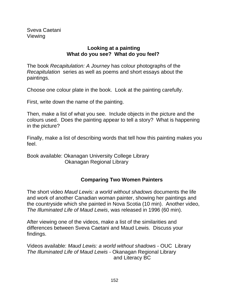# **Looking at a painting What do you see? What do you feel?**

The book Recapitulation: A Journey has colour photographs of the Recapitulation series as well as poems and short essays about the paintings.

Choose one colour plate in the book. Look at the painting carefully.

First, write down the name of the painting.

Then, make a list of what you see. Include objects in the picture and the colours used. Does the painting appear to tell a story? What is happening in the picture?

Finally, make a list of describing words that tell how this painting makes you feel.

Book available: Okanagan University College Library Okanagan Regional Library

# **Comparing Two Women Painters**

The short video Maud Lewis: a world without shadows documents the life and work of another Canadian woman painter, showing her paintings and the countryside which she painted in Nova Scotia (10 min). Another video, The Illuminated Life of Maud Lewis, was released in 1996 (60 min).

After viewing one of the videos, make a list of the similarities and differences between Sveva Caetani and Maud Lewis. Discuss your findings.

Videos available: Maud Lewis: a world without shadows - OUC Library The Illuminated Life of Maud Lewis - Okanagan Regional Library and Literacy BC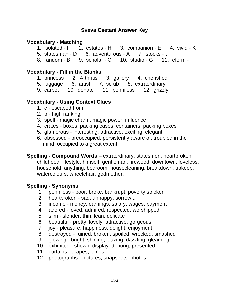# **Vocabulary - Matching**

- 1. isolated F 2. estates H 3. companion E 4. vivid K
- 5. statesman D 6. adventurous A 7. stocks J
- 8. random B 9. scholar C 10. studio G 11. reform I

## **Vocabulary - Fill in the Blanks**

- 1. princess 2. Arthritis 3. gallery 4. cherished
- 5. luggage 6. artist 7. scrub 8. extraordinary
- 9. carpet 10. donate 11. penniless 12. grizzly

# **Vocabulary - Using Context Clues**

- 1. c escaped from
- 2. b high ranking
- 3. spell magic charm, magic power, influence
- 4. crates boxes, packing cases, containers, packing boxes
- 5. glamorous interesting, attractive, exciting, elegant
- 6. obsessed preoccupied, persistently aware of, troubled in the mind, occupied to a great extent
- **Spelling Compound Words** extraordinary, statesmen, heartbroken, childhood, lifestyle, himself, gentleman, firewood, downtown, loveless, household, anything, bedroom, housecleaning, breakdown, upkeep, watercolours, wheelchair, godmother.

## **Spelling - Synonyms**

- 1. penniless poor, broke, bankrupt, poverty stricken
- 2. heartbroken sad, unhappy, sorrowful
- 3. income money, earnings, salary, wages, payment
- 4. adored loved, admired, respected, worshipped
- 5. slim slender, thin, lean, delicate
- 6. beautiful pretty, lovely, attractive, gorgeous
- 7. joy pleasure, happiness, delight, enjoyment
- 8. destroyed ruined, broken, spoiled, wrecked, smashed
- 9. glowing bright, shining, blazing, dazzling, gleaming
- 10. exhibited shown, displayed, hung, presented
- 11. curtains drapes, blinds
- 12. photographs pictures, snapshots, photos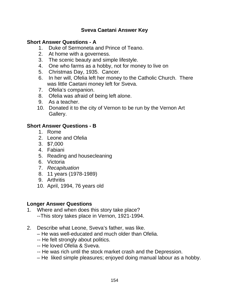# **Short Answer Questions - A**

- 1. Duke of Sermoneta and Prince of Teano.
- 2. At home with a governess.
- 3. The scenic beauty and simple lifestyle.
- 4. One who farms as a hobby, not for money to live on
- 5. Christmas Day, 1935. Cancer.
- 6. In her will, Ofelia left her money to the Catholic Church. There was little Caetani money left for Sveva.
- 7. Ofelia's companion.
- 8. Ofelia was afraid of being left alone.
- 9. As a teacher.
- 10. Donated it to the city of Vernon to be run by the Vernon Art Gallery.

## **Short Answer Questions - B**

- 1. Rome
- 2. Leone and Ofelia
- 3. \$7,000
- 4. Fabiani
- 5. Reading and housecleaning
- 6. Victoria
- 7. Recapituation
- 8. 11 years (1978-1989)
- 9. Arthritis
- 10. April, 1994, 76 years old

#### **Longer Answer Questions**

- 1. Where and when does this story take place? --This story takes place in Vernon, 1921-1994.
- 2. Describe what Leone, Sveva's father, was like.
	- He was well-educated and much older than Ofelia.
	- -- He felt strongly about politics.
	- -- He loved Ofelia & Sveva.
	- -- He was rich until the stock market crash and the Depression.
	- He liked simple pleasures; enjoyed doing manual labour as a hobby.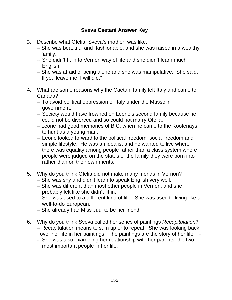- 3. Describe what Ofelia, Sveva's mother, was like.
	- She was beautiful and fashionable, and she was raised in a wealthy family.
	- -- She didn't fit in to Vernon way of life and she didn't learn much English.
	- She was afraid of being alone and she was manipulative. She said, "If you leave me, I will die."
- 4. What are some reasons why the Caetani family left Italy and came to Canada?
	- To avoid political oppression of Italy under the Mussolini government.
	- Society would have frowned on Leone's second family because he could not be divorced and so could not marry Ofelia.
	- Leone had good memories of B.C. when he came to the Kootenays to hunt as a young man.
	- Leone looked forward to the political freedom, social freedom and simple lifestyle. He was an idealist and he wanted to live where there was equality among people rather than a class system where people were judged on the status of the family they were born into rather than on their own merits.
- 5. Why do you think Ofelia did not make many friends in Vernon?
	- She was shy and didn't learn to speak English very well.
	- She was different than most other people in Vernon, and she probably felt like she didn't fit in.
	- She was used to a different kind of life. She was used to living like a well-to-do European.
	- She already had Miss Juul to be her friend.
- 6. Why do you think Sveva called her series of paintings Recapitulation? – Recapitulation means to sum up or to repeat. She was looking back over her life in her paintings. The paintings are the story of her life. -
	- She was also examining her relationship with her parents, the two most important people in her life.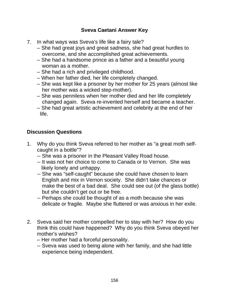- 7. In what ways was Sveva's life like a fairy tale?
	- She had great joys and great sadness, she had great hurdles to overcome, and she accomplished great achievements.
	- She had a handsome prince as a father and a beautiful young woman as a mother.
	- She had a rich and privileged childhood.
	- When her father died, her life completely changed.
	- She was kept like a prisoner by her mother for 25 years (almost like her mother was a wicked step-mother).
	- She was penniless when her mother died and her life completely changed again. Sveva re-invented herself and became a teacher.
	- She had great artistic achievement and celebrity at the end of her life.

# **Discussion Questions**

- 1. Why do you think Sveva referred to her mother as "a great moth selfcaught in a bottle"?
	- -- She was a prisoner in the Pleasant Valley Road house.
	- -- It was not her choice to come to Canada or to Vernon. She was likely lonely and unhappy.
	- -- She was "self-caught" because she could have chosen to learn English and mix in Vernon society. She didn't take chances or make the best of a bad deal. She could see out (of the glass bottle) but she couldn't get out or be free.
	- -- Perhaps she could be thought of as a moth because she was delicate or fragile. Maybe she fluttered or was anxious in her exile.
- 2. Sveva said her mother compelled her to stay with her? How do you think this could have happened? Why do you think Sveva obeyed her mother's wishes?
	- Her mother had a forceful personality.
	- -- Sveva was used to being alone with her family, and she had little experience being independent.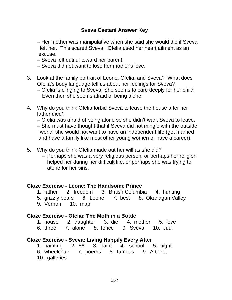- Her mother was manipulative when she said she would die if Sveva left her. This scared Sveva. Ofelia used her heart ailment as an excuse.
- Sveva felt dutiful toward her parent.
- Sveva did not want to lose her mother's love.
- 3. Look at the family portrait of Leone, Ofelia, and Sveva? What does Ofelia's body language tell us about her feelings for Sveva?
	- Ofelia is clinging to Sveva. She seems to care deeply for her child. Even then she seems afraid of being alone.
- 4. Why do you think Ofelia forbid Sveva to leave the house after her father died?
	- Ofelia was afraid of being alone so she didn't want Sveva to leave.
	- She must have thought that if Sveva did not mingle with the outside world, she would not want to have an independent life (get married and have a family like most other young women or have a career).
- 5. Why do you think Ofelia made out her will as she did?
	- Perhaps she was a very religious person, or perhaps her religion helped her during her difficult life, or perhaps she was trying to atone for her sins.

## **Cloze Exercise - Leone: The Handsome Prince**

- 1. father 2. freedom 3. British Columbia 4. hunting
- 5. grizzly bears 6. Leone 7. best 8. Okanagan Valley
- 9. Vernon 10. map

## **Cloze Exercise - Ofelia: The Moth in a Bottle**

- 1. house 2. daughter 3. die 4. mother 5. love
- 6. three 7. alone 8. fence 9. Sveva 10. Juul

## **Cloze Exercise - Sveva: Living Happily Every After**

- 1. painting 2. 56 3. paint 4. school 5. night
- 6. wheelchair 7. poems 8. famous 9. Alberta
- 10. galleries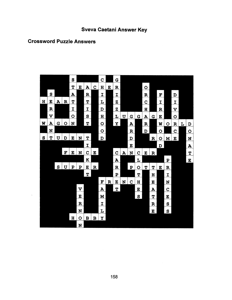#### **Crossword Puzzle Answers**

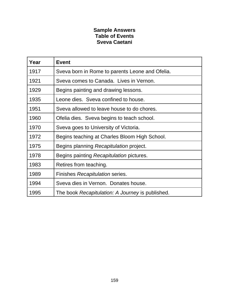#### **Sample Answers Table of Events Sveva Caetani**

| Year | <b>Event</b>                                     |
|------|--------------------------------------------------|
| 1917 | Sveva born in Rome to parents Leone and Ofelia.  |
| 1921 | Sveva comes to Canada. Lives in Vernon.          |
| 1929 | Begins painting and drawing lessons.             |
| 1935 | Leone dies. Sveva confined to house.             |
| 1951 | Sveva allowed to leave house to do chores.       |
| 1960 | Ofelia dies. Sveva begins to teach school.       |
| 1970 | Sveva goes to University of Victoria.            |
| 1972 | Begins teaching at Charles Bloom High School.    |
| 1975 | Begins planning Recapitulation project.          |
| 1978 | Begins painting Recapitulation pictures.         |
| 1983 | Retires from teaching.                           |
| 1989 | Finishes Recapitulation series.                  |
| 1994 | Sveva dies in Vernon. Donates house.             |
| 1995 | The book Recapitulation: A Journey is published. |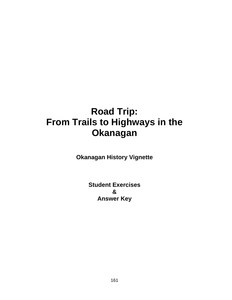# **Road Trip: From Trails to Highways in the Okanagan**

**Okanagan History Vignette**

**Student Exercises & Answer Key**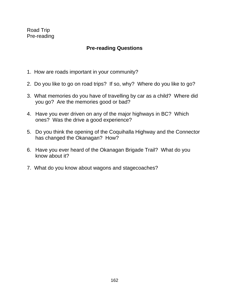Road Trip Pre-reading

# **Pre-reading Questions**

- 1. How are roads important in your community?
- 2. Do you like to go on road trips? If so, why? Where do you like to go?
- 3. What memories do you have of travelling by car as a child? Where did you go? Are the memories good or bad?
- 4. Have you ever driven on any of the major highways in BC? Which ones? Was the drive a good experience?
- 5. Do you think the opening of the Coquihalla Highway and the Connector has changed the Okanagan? How?
- 6. Have you ever heard of the Okanagan Brigade Trail? What do you know about it?
- 7. What do you know about wagons and stagecoaches?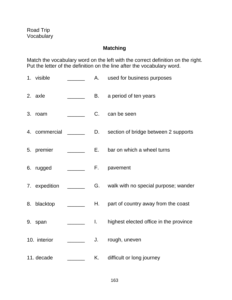# **Matching**

Match the vocabulary word on the left with the correct definition on the right. Put the letter of the definition on the line after the vocabulary word.

1. visible **A.** used for business purposes 2. axle \_\_\_\_\_\_ B. a period of ten years 3. roam C. can be seen 4. commercial \_\_\_\_\_\_\_\_\_ D. section of bridge between 2 supports 5. premier **E.** bar on which a wheel turns 6. rugged \_\_\_\_\_\_\_\_ F. pavement 7. expedition \_\_\_\_\_\_ G. walk with no special purpose; wander 8. blacktop \_\_\_\_\_\_ H. part of country away from the coast 9. span \_\_\_\_\_\_ I. highest elected office in the province 10. interior **contained J.** rough, uneven 11. decade \_\_\_\_\_\_ K. difficult or long journey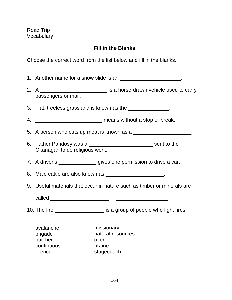# **Fill in the Blanks**

Choose the correct word from the list below and fill in the blanks.

|    |                                                          | 1. Another name for a snow slide is an ________________________.         |
|----|----------------------------------------------------------|--------------------------------------------------------------------------|
|    | passengers or mail.                                      | 2. A ____________________________ is a horse-drawn vehicle used to carry |
|    |                                                          | 3. Flat, treeless grassland is known as the _______________.             |
| 4. |                                                          | means without a stop or break.                                           |
|    |                                                          | 5. A person who cuts up meat is known as a ______________________.       |
|    | Okanagan to do religious work.                           | 6. Father Pandosy was a <u>equal and a sext sent</u> to the              |
|    |                                                          | 7. A driver's _________________ gives one permission to drive a car.     |
|    |                                                          | 8. Male cattle are also known as ______________________.                 |
| 9. |                                                          | Useful materials that occur in nature such as timber or minerals are     |
|    |                                                          |                                                                          |
|    |                                                          | 10. The fire _____________________ is a group of people who fight fires. |
|    | avalanche<br>brigade<br>butcher<br>continuous<br>licence | missionary<br>natural resources<br>oxen<br>prairie<br>stagecoach         |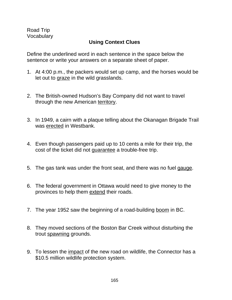Road Trip Vocabulary

# **Using Context Clues**

Define the underlined word in each sentence in the space below the sentence or write your answers on a separate sheet of paper.

- 1. At 4:00 p.m., the packers would set up camp, and the horses would be let out to graze in the wild grasslands.
- 2. The British-owned Hudson's Bay Company did not want to travel through the new American territory.
- 3. In 1949, a cairn with a plaque telling about the Okanagan Brigade Trail was erected in Westbank.
- 4. Even though passengers paid up to 10 cents a mile for their trip, the cost of the ticket did not guarantee a trouble-free trip.
- 5. The gas tank was under the front seat, and there was no fuel gauge.
- 6. The federal government in Ottawa would need to give money to the provinces to help them extend their roads.
- 7. The year 1952 saw the beginning of a road-building boom in BC.
- 8. They moved sections of the Boston Bar Creek without disturbing the trout spawning grounds.
- 9. To lessen the impact of the new road on wildlife, the Connector has a \$10.5 million wildlife protection system.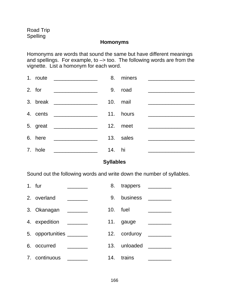#### **Homonyms**

Homonyms are words that sound the same but have different meanings and spellings. For example, to –> too. The following words are from the vignette. List a homonym for each word.

| 1. route | <u> 1980 - Johann Barbara, martin a</u>              |        | 8. miners |                                                                                                                      |
|----------|------------------------------------------------------|--------|-----------|----------------------------------------------------------------------------------------------------------------------|
| 2. for   |                                                      |        | 9. road   | <u> 1989 - Johann Barn, mars ann an t-Amhair an t-A</u>                                                              |
|          |                                                      |        | 10. mail  |                                                                                                                      |
|          | 4. cents ________________                            |        | 11. hours | <u> 2002 - Jan James James James James James James James James James James James James James James James James J</u> |
|          | 5. great ___________________                         |        | 12. meet  | <u> The Communication of the Communication</u>                                                                       |
| 6. here  | <u> 1980 - Jan Barnett, fransk politik (d. 1980)</u> |        | 13. sales |                                                                                                                      |
| 7. hole  | <u> 1980 - Johann Stoff, fransk politik (d. 19</u>   | 14. hi |           |                                                                                                                      |

# **Syllables**

Sound out the following words and write down the number of syllables.

| 1. fur                   | <u> 1990 - John Barn Barns</u>                                                                                       | 8.       | trappers                                                                                                       |
|--------------------------|----------------------------------------------------------------------------------------------------------------------|----------|----------------------------------------------------------------------------------------------------------------|
| 2. overland              |                                                                                                                      | 9.       | business                                                                                                       |
| 3. Okanagan _______      |                                                                                                                      | 10. fuel |                                                                                                                |
| 4. expedition            | <u> 1980 - Albert Standard III, prima populație de la proprietat de la proprietat de la proprietat de la proprie</u> |          | 11. gauge                                                                                                      |
| 5. opportunities _______ |                                                                                                                      |          | 12. corduroy ________                                                                                          |
| 6. occurred              |                                                                                                                      |          | 13. unloaded and the state of the state of the state of the state of the state of the state of the state of th |
| 7. continuous            |                                                                                                                      | 14.      | trains                                                                                                         |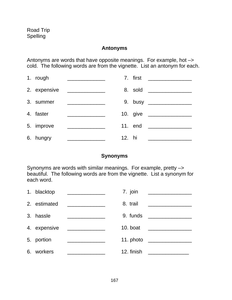#### **Antonyms**

Antonyms are words that have opposite meanings. For example, hot –> cold. The following words are from the vignette. List an antonym for each.

| 1. rough     | <u> 1989 - Johann Barn, mars et al. (b. 1989)</u> |        |         | 7. first __________      |
|--------------|---------------------------------------------------|--------|---------|--------------------------|
| 2. expensive |                                                   |        |         | 8. sold _________        |
| 3. summer    |                                                   |        |         | 9. busy ________________ |
| 4. faster    |                                                   |        |         |                          |
| 5. improve   | <u> 1990 - Johann Barbara, martxa</u>             |        | 11. end |                          |
| 6. hungry    |                                                   | 12. hi |         |                          |

## **Synonyms**

Synonyms are words with similar meanings. For example, pretty –> beautiful. The following words are from the vignette. List a synonym for each word.

|    | 1. blacktop  |                                                                                                                        | 7. join    |                                                                                                                       |
|----|--------------|------------------------------------------------------------------------------------------------------------------------|------------|-----------------------------------------------------------------------------------------------------------------------|
|    | 2. estimated |                                                                                                                        | 8. trail   | <u> 1989 - John Harry Harry Harry Harry Harry Harry Harry Harry Harry Harry Harry Harry Harry Harry Harry Harry H</u> |
|    | 3. hassle    |                                                                                                                        | 9. funds   |                                                                                                                       |
|    | 4. expensive | <u> 1989 - Johann Barbara, martin a</u>                                                                                | 10. boat   |                                                                                                                       |
|    | 5. portion   | <u> La Carlo Carlo Carlo Carlo Carlo Carlo Carlo Carlo Carlo Carlo Carlo Carlo Carlo Carlo Carlo Carlo Carlo Carlo</u> | 11. photo  |                                                                                                                       |
| 6. | workers      |                                                                                                                        | 12. finish |                                                                                                                       |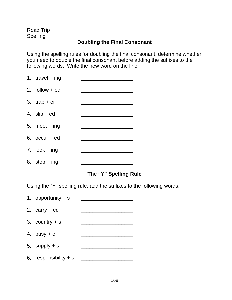Road Trip Spelling

# **Doubling the Final Consonant**

Using the spelling rules for doubling the final consonant, determine whether you need to double the final consonant before adding the suffixes to the following words. Write the new word on the line.

| 1. travel $+$ ing |  |
|-------------------|--|
| 2. follow $+$ ed  |  |
| 3. $trap + er$    |  |
| 4. $slip + ed$    |  |
| 5. meet $+$ ing   |  |
| 6. $occur + ed$   |  |
| 7. $look + ing$   |  |
| 8. stop $+$ ing   |  |
|                   |  |

# **The "Y" Spelling Rule**

Using the "Y" spelling rule, add the suffixes to the following words.

| 1. opportunity $+$ s    |  |
|-------------------------|--|
| 2. $carry + ed$         |  |
| 3. country $+$ s        |  |
| 4. busy $+$ er          |  |
| 5. supply $+$ s         |  |
| 6. responsibility $+$ s |  |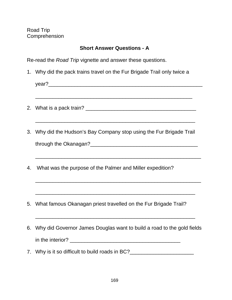# **Short Answer Questions - A**

Re-read the Road Trip vignette and answer these questions.

1. Why did the pack trains travel on the Fur Brigade Trail only twice a

year?\_\_\_\_\_\_\_\_\_\_\_\_\_\_\_\_\_\_\_\_\_\_\_\_\_\_\_\_\_\_\_\_\_\_\_\_\_\_\_\_\_\_\_\_\_\_\_\_\_\_\_\_\_

\_\_\_\_\_\_\_\_\_\_\_\_\_\_\_\_\_\_\_\_\_\_\_\_\_\_\_\_\_\_\_\_\_\_\_\_\_\_\_\_\_\_\_\_\_\_\_\_\_\_\_\_\_\_

\_\_\_\_\_\_\_\_\_\_\_\_\_\_\_\_\_\_\_\_\_\_\_\_\_\_\_\_\_\_\_\_\_\_\_\_\_\_\_\_\_\_\_\_\_\_\_\_\_\_\_\_\_\_\_

- 2. What is a pack train? **Example 2.** What is a pack train?
- 3. Why did the Hudson's Bay Company stop using the Fur Brigade Trail through the Okanagan?\_\_\_\_\_\_\_\_\_\_\_\_\_\_\_\_\_\_\_\_\_\_\_\_\_\_\_\_\_\_\_\_\_\_\_\_\_

\_\_\_\_\_\_\_\_\_\_\_\_\_\_\_\_\_\_\_\_\_\_\_\_\_\_\_\_\_\_\_\_\_\_\_\_\_\_\_\_\_\_\_\_\_\_\_\_\_\_\_\_\_\_\_\_\_

\_\_\_\_\_\_\_\_\_\_\_\_\_\_\_\_\_\_\_\_\_\_\_\_\_\_\_\_\_\_\_\_\_\_\_\_\_\_\_\_\_\_\_\_\_\_\_\_\_\_\_\_\_\_\_\_\_

\_\_\_\_\_\_\_\_\_\_\_\_\_\_\_\_\_\_\_\_\_\_\_\_\_\_\_\_\_\_\_\_\_\_\_\_\_\_\_\_\_\_\_\_\_\_\_\_\_\_\_\_\_\_\_

- 4. What was the purpose of the Palmer and Miller expedition?
- 5. What famous Okanagan priest travelled on the Fur Brigade Trail?
- 6. Why did Governor James Douglas want to build a road to the gold fields in the interior? \_\_\_\_\_\_\_\_\_\_\_\_\_\_\_\_\_\_\_\_\_\_\_\_\_\_\_\_\_\_\_\_\_\_\_\_\_\_

\_\_\_\_\_\_\_\_\_\_\_\_\_\_\_\_\_\_\_\_\_\_\_\_\_\_\_\_\_\_\_\_\_\_\_\_\_\_\_\_\_\_\_\_\_\_\_\_\_\_\_\_\_\_\_

7. Why is it so difficult to build roads in BC?\_\_\_\_\_\_\_\_\_\_\_\_\_\_\_\_\_\_\_\_\_\_\_\_\_\_\_\_\_\_\_\_\_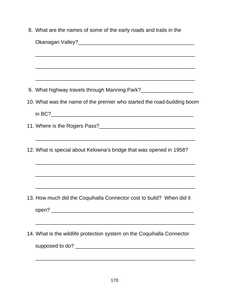| 8. What are the names of some of the early roads and trails in the                                                    |
|-----------------------------------------------------------------------------------------------------------------------|
|                                                                                                                       |
| <u> 1999 - Johann Sammer, mensk foar it ferskear fan de ferskear fan de ferskear fan de ferskear fan de ferskear</u>  |
|                                                                                                                       |
| <u> 1990 - Johann Stoff, amerikan bestein de stad in de stad in de stad in de stad in de stad in de stad in de st</u> |
| 9. What highway travels through Manning Park?___________________________________                                      |
| 10. What was the name of the premier who started the road-building boom                                               |
|                                                                                                                       |
|                                                                                                                       |
| 12. What is special about Kelowna's bridge that was opened in 1958?                                                   |
|                                                                                                                       |
| 13. How much did the Coquihalla Connector cost to build? When did it                                                  |
|                                                                                                                       |
| 14. What is the wildlife protection system on the Coquihalla Connector                                                |
|                                                                                                                       |
|                                                                                                                       |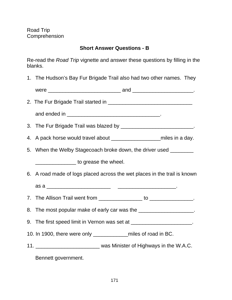# **Short Answer Questions - B**

Re-read the Road Trip vignette and answer these questions by filling in the blanks.

1. The Hudson's Bay Fur Brigade Trail also had two other names. They

|      | $-1$ |  |
|------|------|--|
| werr | ---  |  |
|      |      |  |

- 2. The Fur Brigade Trail started in **EXALUTE 10. 2. The Furner Structure 10.** The state of the state of the state of the state of the state of the state of the state of the state of the state of the state of the state of t
	- and ended in **Example 20** and  $\overline{a}$  and  $\overline{b}$  and  $\overline{c}$  and  $\overline{c}$  and  $\overline{c}$  and  $\overline{c}$  and  $\overline{c}$  and  $\overline{c}$  and  $\overline{c}$  and  $\overline{c}$  and  $\overline{c}$  and  $\overline{c}$  and  $\overline{c}$  and  $\overline{c}$  and  $\overline{c}$  a

3. The Fur Brigade Trail was blazed by \_\_\_\_\_\_\_\_\_\_\_\_\_\_\_\_\_\_\_\_\_\_\_\_\_\_\_\_.

- 4. A pack horse would travel about \_\_\_\_\_\_\_\_\_\_\_\_\_\_\_\_\_miles in a day.
- 5. When the Welby Stagecoach broke down, the driver used

\_\_\_\_\_\_\_\_\_\_\_\_\_\_ to grease the wheel.

- 6. A road made of logs placed across the wet places in the trail is known
	- as a \_\_\_\_\_\_\_\_\_\_\_\_\_\_\_\_\_\_\_\_\_\_ \_\_\_\_\_\_\_\_\_\_\_\_\_\_\_\_\_\_\_\_.
- 7. The Allison Trail went from \_\_\_\_\_\_\_\_\_\_\_\_\_\_\_ to \_\_\_\_\_\_\_\_\_\_\_\_\_\_\_.

8. The most popular make of early car was the \_\_\_\_\_\_\_\_\_\_\_\_\_\_\_\_\_\_\_\_.

- 9. The first speed limit in Vernon was set at \_\_\_\_\_\_\_\_\_\_\_\_\_\_\_\_\_\_\_\_\_\_.
- 10. In 1900, there were only miles of road in BC.
- 11. \_\_\_\_\_\_\_\_\_\_\_\_\_\_\_\_\_\_\_\_\_\_ was Minister of Highways in the W.A.C.

Bennett government.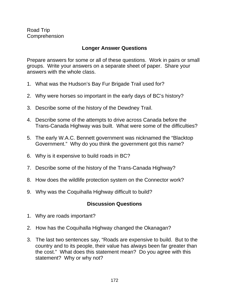# **Longer Answer Questions**

Prepare answers for some or all of these questions. Work in pairs or small groups. Write your answers on a separate sheet of paper. Share your answers with the whole class.

- 1. What was the Hudson's Bay Fur Brigade Trail used for?
- 2. Why were horses so important in the early days of BC's history?
- 3. Describe some of the history of the Dewdney Trail.
- 4. Describe some of the attempts to drive across Canada before the Trans-Canada Highway was built. What were some of the difficulties?
- 5. The early W.A.C. Bennett government was nicknamed the "Blacktop Government." Why do you think the government got this name?
- 6. Why is it expensive to build roads in BC?
- 7. Describe some of the history of the Trans-Canada Highway?
- 8. How does the wildlife protection system on the Connector work?
- 9. Why was the Coquihalla Highway difficult to build?

## **Discussion Questions**

- 1. Why are roads important?
- 2. How has the Coquihalla Highway changed the Okanagan?
- 3. The last two sentences say, "Roads are expensive to build. But to the country and to its people, their value has always been far greater than the cost." What does this statement mean? Do you agree with this statement? Why or why not?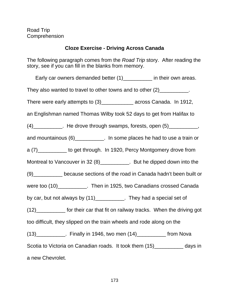# **Cloze Exercise - Driving Across Canada**

The following paragraph comes from the *Road Trip* story. After reading the story, see if you can fill in the blanks from memory.

Early car owners demanded better (1) \_\_\_\_\_\_\_\_ in their own areas. They also wanted to travel to other towns and to other  $(2)$ \_\_\_\_\_\_\_\_\_\_\_. There were early attempts to (3)\_\_\_\_\_\_\_\_\_\_\_\_\_\_ across Canada. In 1912, an Englishman named Thomas Wilby took 52 days to get from Halifax to  $(4)$ \_\_\_\_\_\_\_\_\_\_\_. He drove through swamps, forests, open  $(5)$ \_\_\_\_\_\_\_\_\_\_\_, and mountainous (6)\_\_\_\_\_\_\_\_\_\_. In some places he had to use a train or a (7)\_\_\_\_\_\_\_\_\_\_ to get through. In 1920, Percy Montgomery drove from Montreal to Vancouver in 32 (8)\_\_\_\_\_\_\_\_\_\_. But he dipped down into the (9)\_\_\_\_\_\_\_\_\_\_ because sections of the road in Canada hadn't been built or were too (10)\_\_\_\_\_\_\_\_\_\_\_\_. Then in 1925, two Canadians crossed Canada by car, but not always by (11)\_\_\_\_\_\_\_\_\_\_\_. They had a special set of (12)\_\_\_\_\_\_\_\_\_\_ for their car that fit on railway tracks. When the driving got too difficult, they slipped on the train wheels and rode along on the  $(13)$  Finally in 1946, two men  $(14)$  from Nova Scotia to Victoria on Canadian roads. It took them  $(15)$  \_\_\_\_\_\_\_\_\_\_\_\_\_ days in a new Chevrolet.

173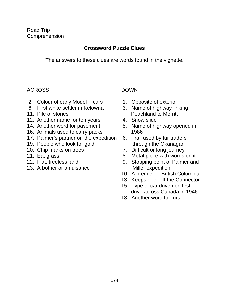# **Crossword Puzzle Clues**

The answers to these clues are words found in the vignette.

# ACROSS DOWN

- 2. Colour of early Model T cars 1. Opposite of exterior
- 6. First white settler in Kelowna 3. Name of highway linking
- 
- 12. Another name for ten years 4. Snow slide
- 
- 16. Animals used to carry packs 1986
- 17. Palmer's partner on the expedition 6. Trail used by fur traders
- 19. People who look for gold through the Okanagan
- 
- 
- 
- 23. A bother or a nuisance Miller expedition

- 
- 11. Pile of stones Peachland to Merritt
	-
- 14. Another word for pavement 5. Name of highway opened in
	-
- 20. Chip marks on trees 7. Difficult or long journey
- 21. Eat grass **8. Metal piece with words on it**
- 22. Flat, treeless land 9. Stopping point of Palmer and
	- 10. A premier of British Columbia
	- 13. Keeps deer off the Connector
	- 15. Type of car driven on first drive across Canada in 1946
	- 18. Another word for furs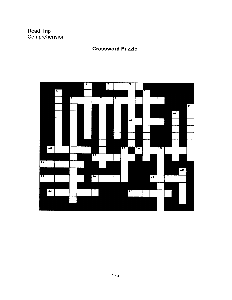$\sim$ 

# **Crossword Puzzle**

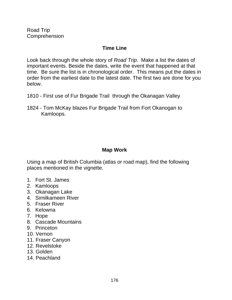# **Time Line**

Look back through the whole story of Road Trip. Make a list the dates of important events. Beside the dates, write the event that happened at that time. Be sure the list is in chronological order. This means put the dates in order from the earliest date to the latest date. The first two are done for you below.

- 1810 First use of Fur Brigade Trail through the Okanagan Valley
- 1824 Tom McKay blazes Fur Brigade Trail from Fort Okanogan to Kamloops.

# **Map Work**

Using a map of British Columbia (atlas or road map), find the following places mentioned in the vignette.

- 1. Fort St. James
- 2. Kamloops
- 3. Okanagan Lake
- 4. Similkameen River
- 5. Fraser River
- 6. Kelowna
- 7. Hope
- 8. Cascade Mountains
- 9. Princeton
- 10. Vernon
- 11. Fraser Canyon
- 12. Revelstoke
- 13. Golden
- 14. Peachland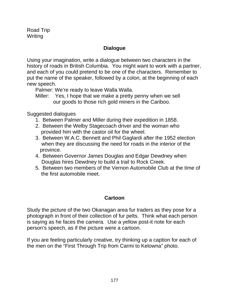# **Dialogue**

Using your imagination, write a dialogue between two characters in the history of roads in British Columbia. You might want to work with a partner, and each of you could pretend to be one of the characters. Remember to put the name of the speaker, followed by a colon, at the beginning of each new speech.

Palmer: We're ready to leave Walla Walla.

Miller: Yes, I hope that we make a pretty penny when we sell our goods to those rich gold miners in the Cariboo.

Suggested dialogues

- 1. Between Palmer and Miller during their expedition in 1858.
- 2. Between the Welby Stagecoach driver and the woman who provided him with the castor oil for the wheel.
- 3. Between W.A.C. Bennett and Phil Gaglardi after the 1952 election when they are discussing the need for roads in the interior of the province.
- 4. Between Governor James Douglas and Edgar Dewdney when Douglas hires Dewdney to build a trail to Rock Creek.
- 5. Between two members of the Vernon Automobile Club at the time of the first automobile meet.

# **Cartoon**

Study the picture of the two Okanagan area fur traders as they pose for a photograph in front of their collection of fur pelts. Think what each person is saying as he faces the camera. Use a yellow post-it note for each person's speech, as if the picture were a cartoon.

If you are feeling particularly creative, try thinking up a caption for each of the men on the "First Through Trip from Carmi to Kelowna" photo.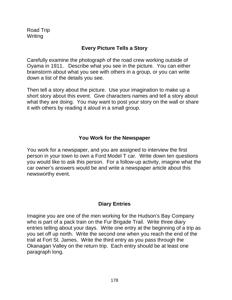# **Every Picture Tells a Story**

Carefully examine the photograph of the road crew working outside of Oyama in 1911. Describe what you see in the picture. You can either brainstorm about what you see with others in a group, or you can write down a list of the details you see.

Then tell a story about the picture. Use your imagination to make up a short story about this event. Give characters names and tell a story about what they are doing. You may want to post your story on the wall or share it with others by reading it aloud in a small group.

## **You Work for the Newspaper**

You work for a newspaper, and you are assigned to interview the first person in your town to own a Ford Model T car. Write down ten questions you would like to ask this person. For a follow-up activity, imagine what the car owner's answers would be and write a newspaper article about this newsworthy event.

# **Diary Entries**

Imagine you are one of the men working for the Hudson's Bay Company who is part of a pack train on the Fur Brigade Trail. Write three diary entries telling about your days. Write one entry at the beginning of a trip as you set off up north. Write the second one when you reach the end of the trail at Fort St. James. Write the third entry as you pass through the Okanagan Valley on the return trip. Each entry should be at least one paragraph long.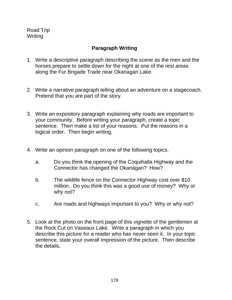# **Paragraph Writing**

- 1. Write a descriptive paragraph describing the scene as the men and the horses prepare to settle down for the night at one of the rest areas along the Fur Brigade Trade near Okanagan Lake.
- 2. Write a narrative paragraph telling about an adventure on a stagecoach. Pretend that you are part of the story.
- 3. Write an expository paragraph explaining why roads are important to your community. Before writing your paragraph, create a topic sentence. Then make a list of your reasons. Put the reasons in a logical order. Then begin writing.
- 4. Write an opinion paragraph on one of the following topics.
	- a. Do you think the opening of the Coquihalla Highway and the Connector has changed the Okanagan? How?
	- b. The wildlife fence on the Connector Highway cost over \$10 million. Do you think this was a good use of money? Why or why not?
	- c. Are roads and highways important to you? Why or why not?
- 5. Look at the photo on the front page of this vignette of the gentlemen at the Rock Cut on Vaseaux Lake. Write a paragraph in which you describe this picture for a reader who has never seen it. In your topic sentence, state your overall impression of the picture. Then describe the details.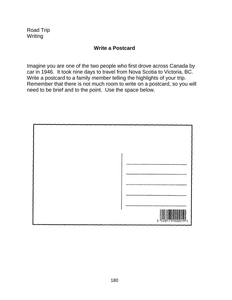#### **Write a Postcard**

Imagine you are one of the two people who first drove across Canada by car in 1946. It took nine days to travel from Nova Scotia to Victoria, BC. Write a postcard to a family member telling the highlights of your trip. Remember that there is not much room to write on a postcard, so you will need to be brief and to the point. Use the space below.

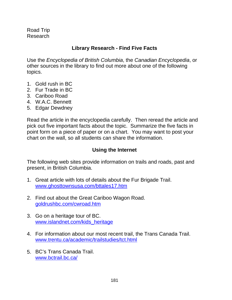Road Trip Research

# **Library Research - Find Five Facts**

Use the Encyclopedia of British Columbia, the Canadian Encyclopedia, or other sources in the library to find out more about one of the following topics.

- 1. Gold rush in BC
- 2. Fur Trade in BC
- 3. Cariboo Road
- 4. W.A.C. Bennett
- 5. Edgar Dewdney

Read the article in the encyclopedia carefully. Then reread the article and pick out five important facts about the topic. Summarize the five facts in point form on a piece of paper or on a chart. You may want to post your chart on the wall, so all students can share the information.

#### **Using the Internet**

The following web sites provide information on trails and roads, past and present, in British Columbia.

- 1. Great article with lots of details about the Fur Brigade Trail. www.ghosttownsusa.com/bttales17.htm
- 2. Find out about the Great Cariboo Wagon Road. goldrushbc.com/cwroad.htm
- 3. Go on a heritage tour of BC. www.islandnet.com/kids\_heritage
- 4. For information about our most recent trail, the Trans Canada Trail. www.trentu.ca/academic/trailstudies/tct.html
- 5. BC's Trans Canada Trail. www.bctrail.bc.ca/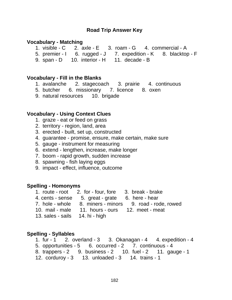#### **Vocabulary - Matching**

- 1. visible C 2. axle E 3. roam G 4. commercial A
- 5. premier I 6. rugged J 7. expedition K 8. blacktop F
	- 9. span D 10. interior H 11. decade B

#### **Vocabulary - Fill in the Blanks**

- 1. avalanche 2. stagecoach 3. prairie 4. continuous
- 5. butcher 6. missionary 7. licence 8. oxen
- 9. natural resources 10. brigade

#### **Vocabulary - Using Context Clues**

- 1. graze eat or feed on grass
- 2. territory region, land, area
- 3. erected built, set up, constructed
- 4. guarantee promise, ensure, make certain, make sure
- 5. gauge instrument for measuring
- 6. extend lengthen, increase, make longer
- 7. boom rapid growth, sudden increase
- 8. spawning fish laying eggs
- 9. impact effect, influence, outcome

#### **Spelling - Homonyms**

- 1. route root 2. for four, fore 3. break brake
- 4. cents sense 5. great grate 6. here hear
- 7. hole whole 8. miners minors 9. road rode, rowed
- 10. mail male 11. hours ours 12. meet meat
- 13. sales sails 14. hi high

#### **Spelling - Syllables**

- 1.  $fur 1$  2. overland  $-3$  3. Okanagan  $-4$  4. expedition  $-4$
- 5. opportunities 5 6. occurred 2 7. continuous 4
- 8. trappers 2 9. business 2 10. fuel 2 11. gauge 1
- 12. corduroy 3 13. unloaded 3 14. trains 1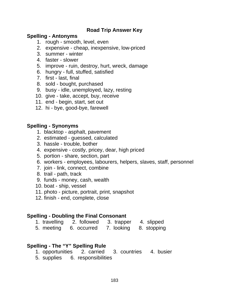#### **Spelling - Antonyms**

- 1. rough smooth, level, even
- 2. expensive cheap, inexpensive, low-priced
- 3. summer winter
- 4. faster slower
- 5. improve ruin, destroy, hurt, wreck, damage
- 6. hungry full, stuffed, satisfied
- 7. first last, final
- 8. sold bought, purchased
- 9. busy idle, unemployed, lazy, resting
- 10. give take, accept, buy, receive
- 11. end begin, start, set out
- 12. hi bye, good-bye, farewell

#### **Spelling - Synonyms**

- 1. blacktop asphalt, pavement
- 2. estimated guessed, calculated
- 3. hassle trouble, bother
- 4. expensive costly, pricey, dear, high priced
- 5. portion share, section, part
- 6. workers employees, labourers, helpers, slaves, staff, personnel
- 7. join link, connect, combine
- 8. trail path, track
- 9. funds money, cash, wealth
- 10. boat ship, vessel
- 11. photo picture, portrait, print, snapshot
- 12. finish end, complete, close

# **Spelling - Doubling the Final Consonant**

- 1. travelling 2. followed 3. trapper 4. slipped
- 5. meeting 6. occurred 7. looking 8. stopping

# **Spelling - The "Y" Spelling Rule**

- 1. opportunities 2. carried 3. countries 4. busier
- 5. supplies 6. responsibilities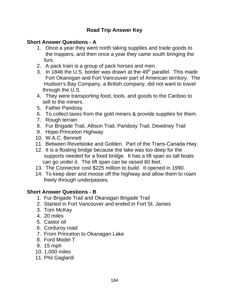# **Short Answer Questions - A**

- 1. Once a year they went north taking supplies and trade goods to the trappers, and then once a year they came south bringing the furs.
- 2. A pack train is a group of pack horses and men.
- 3. In 1846 the U.S. border was drawn at the  $49<sup>th</sup>$  parallel. This made Fort Okanogan and Fort Vancouver part of American territory. The Hudson's Bay Company, a British company, did not want to travel through the U.S.
- 4. They were transporting food, tools, and goods to the Cariboo to sell to the miners.
- 5. Father Pandosy
- 6. To collect taxes from the gold miners & provide supplies for them.
- 7. Rough terrain
- 8. Fur Brigade Trail, Allison Trail, Pandosy Trail, Dewdney Trail
- 9. Hope-Princeton Highway
- 10. W.A.C. Bennett
- 11. Between Revelstoke and Golden. Part of the Trans-Canada Hwy.
- 12. It is a floating bridge because the lake was too deep for the supports needed for a fixed bridge. It has a lift span so tall boats can go under it. The lift span can be raised 60 feet.
- 13. The Connector cost \$225 million to build. It opened in 1990.
- 14. To keep deer and moose off the highway and allow them to roam freely through underpasses.

# **Short Answer Questions - B**

- 1. Fur Brigade Trail and Okanagan Brigade Trail
- 2. Started in Fort Vancouver and ended in Fort St. James
- 3. Tom McKay
- 4. 20 miles
- 5. Castor oil
- 6. Corduroy road
- 7. From Princeton to Okanagan Lake
- 8. Ford Model T
- 9. 15 mph
- 10. 1,000 miles
- 11. Phil Gaglardi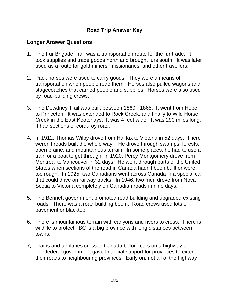#### **Longer Answer Questions**

- 1. The Fur Brigade Trail was a transportation route for the fur trade. It took supplies and trade goods north and brought furs south. It was later used as a route for gold miners, missionaries, and other travellers.
- 2. Pack horses were used to carry goods. They were a means of transportation when people rode them. Horses also pulled wagons and stagecoaches that carried people and supplies. Horses were also used by road-building crews.
- 3. The Dewdney Trail was built between 1860 1865. It went from Hope to Princeton. It was extended to Rock Creek, and finally to Wild Horse Creek in the East Kootenays. It was 4 feet wide. It was 290 miles long. It had sections of corduroy road.
- 4. In 1912, Thomas Wilby drove from Halifax to Victoria in 52 days. There weren't roads built the whole way. He drove through swamps, forests, open prairie, and mountainous terrain. In some places, he had to use a train or a boat to get through. In 1920, Percy Montgomery drove from Montreal to Vancouver in 32 days. He went through parts of the United States when sections of the road in Canada hadn't been built or were too rough. In 1925, two Canadians went across Canada in a special car that could drive on railway tracks. In 1946, two men drove from Nova Scotia to Victoria completely on Canadian roads in nine days.
- 5. The Bennett government promoted road building and upgraded existing roads. There was a road-building boom. Road crews used lots of pavement or blacktop.
- 6. There is mountainous terrain with canyons and rivers to cross. There is wildlife to protect. BC is a big province with long distances between towns.
- 7. Trains and airplanes crossed Canada before cars on a highway did. The federal government gave financial support for provinces to extend their roads to neighbouring provinces. Early on, not all of the highway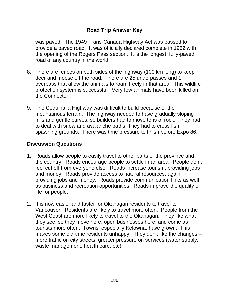was paved. The 1949 Trans-Canada Highway Act was passed to provide a paved road. It was officially declared complete in 1962 with the opening of the Rogers Pass section. It is the longest, fully-paved road of any country in the world.

- 8. There are fences on both sides of the highway (100 km long) to keep deer and moose off the road. There are 25 underpasses and 1 overpass that allow the animals to roam freely in that area. This wildlife protection system is successful. Very few animals have been killed on the Connector.
- 9. The Coquihalla Highway was difficult to build because of the mountainous terrain. The highway needed to have gradually sloping hills and gentle curves, so builders had to move tons of rock. They had to deal with snow and avalanche paths. They had to cross fish spawning grounds. There was time pressure to finish before Expo 86.

#### **Discussion Questions**

- 1. Roads allow people to easily travel to other parts of the province and the country. Roads encourage people to settle in an area. People don't feel cut off from everyone else. Roads increase tourism, providing jobs and money. Roads provide access to natural resources, again providing jobs and money. Roads provide communication links as well as business and recreation opportunities. Roads improve the quality of life for people.
- 2. It is now easier and faster for Okanagan residents to travel to Vancouver. Residents are likely to travel more often. People from the West Coast are more likely to travel to the Okanagan. They like what they see, so they move here, open businesses here, and come as tourists more often. Towns, especially Kelowna, have grown. This makes some old-time residents unhappy. They don't like the changes – more traffic on city streets, greater pressure on services (water supply, waste management, health care, etc).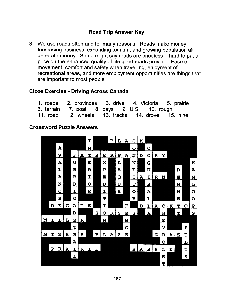3. We use roads often and for many reasons. Roads make money. Increasing business, expanding tourism, and growing population all generate money. Some might say roads are priceless - hard to put a price on the enhanced quality of life good roads provide. Ease of movement, comfort and safety when travelling, enjoyment of recreational areas, and more employment opportunities are things that are important to most people.

#### **Cloze Exercise - Driving Across Canada**

| 1. roads 2. provinces 3. drive 4. Victoria 5. prairie |  |  |
|-------------------------------------------------------|--|--|
| 6. terrain 7. boat 8. days 9. U.S. 10. rough          |  |  |
| 11. road 12. wheels 13. tracks 14. drove 15. nine     |  |  |

#### **Crossword Puzzle Answers**

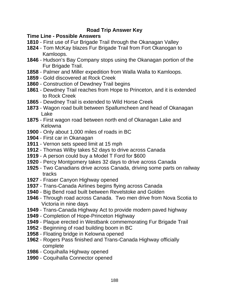#### **Time Line - Possible Answers**

- First use of Fur Brigade Trail through the Okanagan Valley
- Tom McKay blazes Fur Brigade Trail from Fort Okanogan to Kamloops.
- Hudson's Bay Company stops using the Okanagan portion of the Fur Brigade Trail.
- Palmer and Miller expedition from Walla Walla to Kamloops.
- Gold discovered at Rock Creek
- Construction of Dewdney Trail begins
- Dewdney Trail reaches from Hope to Princeton, and it is extended to Rock Creek
- Dewdney Trail is extended to Wild Horse Creek
- Wagon road built between Spallumcheen and head of Okanagan Lake
- First wagon road between north end of Okanagan Lake and Kelowna
- Only about 1,000 miles of roads in BC
- First car in Okanagan
- Vernon sets speed limit at 15 mph
- Thomas Wilby takes 52 days to drive across Canada
- A person could buy a Model T Ford for \$600
- Percy Montgomery takes 32 days to drive across Canada
- Two Canadians drive across Canada, driving some parts on railway tracks
- Fraser Canyon Highway opened
- Trans-Canada Airlines begins flying across Canada
- Big Bend road built between Revelstoke and Golden
- Through road across Canada. Two men drive from Nova Scotia to Victoria in nine days
- Trans-Canada Highway Act to provide modern paved highway
- Completion of Hope-Princeton Highway
- Plaque erected in Westbank commemorating Fur Brigade Trail
- Beginning of road building boom in BC
- Floating bridge in Kelowna opened
- Rogers Pass finished and Trans-Canada Highway officially complete
- Coquihalla Highway opened
- Coquihalla Connector opened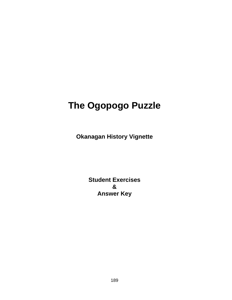# **The Ogopogo Puzzle**

**Okanagan History Vignette**

**Student Exercises & Answer Key**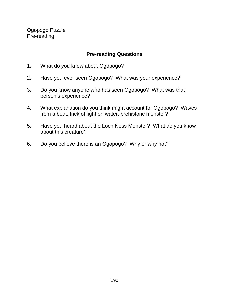Ogopogo Puzzle Pre-reading

#### **Pre-reading Questions**

- 1. What do you know about Ogopogo?
- 2. Have you ever seen Ogopogo? What was your experience?
- 3. Do you know anyone who has seen Ogopogo? What was that person's experience?
- 4. What explanation do you think might account for Ogopogo? Waves from a boat, trick of light on water, prehistoric monster?
- 5. Have you heard about the Loch Ness Monster? What do you know about this creature?
- 6. Do you believe there is an Ogopogo? Why or why not?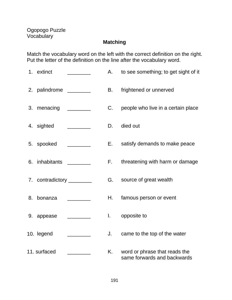# **Matching**

Match the vocabulary word on the left with the correct definition on the right. Put the letter of the definition on the line after the vocabulary word.

| 1. extinct                 |                                                                                    | А.           | to see something; to get sight of it                         |
|----------------------------|------------------------------------------------------------------------------------|--------------|--------------------------------------------------------------|
| 2. palindrome ________     |                                                                                    | В.           | frightened or unnerved                                       |
| 3. menacing                |                                                                                    | C.           | people who live in a certain place                           |
| 4. sighted                 |                                                                                    | D.           | died out                                                     |
| 5. spooked                 | $\overline{\phantom{a}}$ and $\overline{\phantom{a}}$ and $\overline{\phantom{a}}$ | E.           | satisfy demands to make peace                                |
| 6. inhabitants _________   |                                                                                    | F.           | threatening with harm or damage                              |
| 7. contradictory _________ |                                                                                    | G.           | source of great wealth                                       |
| 8. bonanza                 |                                                                                    | Η.           | famous person or event                                       |
| 9. appease                 |                                                                                    | $\mathbf{L}$ | opposite to                                                  |
| 10. legend                 |                                                                                    | J.           | came to the top of the water                                 |
| 11. surfaced               |                                                                                    | K. .         | word or phrase that reads the<br>same forwards and backwards |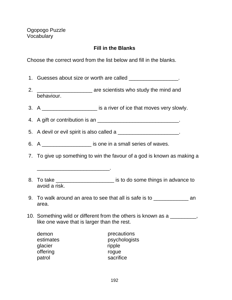# **Fill in the Blanks**

Choose the correct word from the list below and fill in the blanks.

|    | 1. Guesses about size or worth are called ___________________.                                                      |  |  |  |  |  |
|----|---------------------------------------------------------------------------------------------------------------------|--|--|--|--|--|
| 2. | are scientists who study the mind and<br>behaviour.                                                                 |  |  |  |  |  |
|    | 3. A ________________________ is a river of ice that moves very slowly.                                             |  |  |  |  |  |
|    | 4. A gift or contribution is an _________________________________.                                                  |  |  |  |  |  |
|    | 5. A devil or evil spirit is also called a _______________________.                                                 |  |  |  |  |  |
|    | 6. A _____________________ is one in a small series of waves.                                                       |  |  |  |  |  |
|    | 7. To give up something to win the favour of a god is known as making a                                             |  |  |  |  |  |
|    | <u> 1999 - Jan James James Jan James James James James James James James James James James James James James Ja</u> |  |  |  |  |  |
|    | 8. To take _________________________ is to do some things in advance to<br>avoid a risk.                            |  |  |  |  |  |
|    | 9. To walk around an area to see that all is safe is to ________________________<br>area.                           |  |  |  |  |  |
|    | 10. Something wild or different from the others is known as a                                                       |  |  |  |  |  |

10. Something wild or different from the others is known as a \_\_\_\_\_\_\_\_\_, like one wave that is larger than the rest.

| demon     | precautions   |
|-----------|---------------|
| estimates | psychologists |
| glacier   | ripple        |
| offering  | rogue         |
| patrol    | sacrifice     |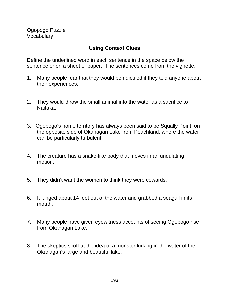# **Using Context Clues**

Define the underlined word in each sentence in the space below the sentence or on a sheet of paper. The sentences come from the vignette.

- 1. Many people fear that they would be ridiculed if they told anyone about their experiences.
- 2. They would throw the small animal into the water as a sacrifice to Naitaka.
- 3. Ogopogo's home territory has always been said to be Squally Point, on the opposite side of Okanagan Lake from Peachland, where the water can be particularly turbulent.
- 4. The creature has a snake-like body that moves in an undulating motion.
- 5. They didn't want the women to think they were cowards.
- 6. It lunged about 14 feet out of the water and grabbed a seagull in its mouth.
- 7. Many people have given eyewitness accounts of seeing Ogopogo rise from Okanagan Lake.
- 8. The skeptics scoff at the idea of a monster lurking in the water of the Okanagan's large and beautiful lake.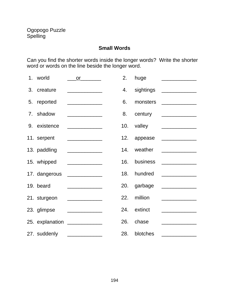#### **Small Words**

Can you find the shorter words inside the longer words? Write the shorter word or words on the line beside the longer word.

|                | 1. world      | $\mathsf{or}$ and $\mathsf{or}$         | 2.  | huge      |                                                    |
|----------------|---------------|-----------------------------------------|-----|-----------|----------------------------------------------------|
|                | 3. creature   |                                         | 4.  | sightings |                                                    |
| 5.             | reported      |                                         | 6.  | monsters  |                                                    |
| 7 <sub>1</sub> | shadow        |                                         | 8.  |           | century _______________                            |
| 9.             | existence     |                                         | 10. | valley    |                                                    |
|                | 11. serpent   |                                         | 12. | appease   |                                                    |
|                | 13. paddling  |                                         | 14. | weather   |                                                    |
|                | 15. whipped   |                                         | 16. | business  | <u> 1980 - Jan Samuel Barbara, politik eta pro</u> |
|                |               |                                         |     |           |                                                    |
|                | 17. dangerous |                                         | 18. | hundred   |                                                    |
|                | 19. beard     |                                         | 20. | garbage   | <u> 1989 - Johann Barbara, martin a</u>            |
|                | 21. sturgeon  |                                         | 22. | million   |                                                    |
|                | 23. glimpse   |                                         | 24. | extinct   |                                                    |
|                |               | 25. explanation _____________           | 26. | chase     | <u> 1980 - Johann Barbara, martxa a</u>            |
|                |               |                                         |     |           |                                                    |
|                | 27. suddenly  | <u> 1986 - Johann Barbara, martin a</u> | 28. | blotches  |                                                    |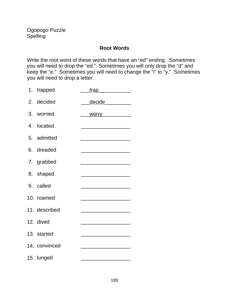#### **Root Words**

Write the root word of these words that have an "ed" ending. Sometimes you will need to drop the "ed." Sometimes you will only drop the "d" and keep the "e." Sometimes you will need to change the "i" to "y." Sometimes you will need to drop a letter.

| 1. trapped    | <u>trap ___________</u>                                                                                               |
|---------------|-----------------------------------------------------------------------------------------------------------------------|
| 2. decided    | decide _________                                                                                                      |
| 3. worried    |                                                                                                                       |
| 4. located    | <u> 1980 - Johann John Harry Harry Harry Harry Harry Harry Harry Harry Harry Harry Harry Harry Harry Harry Harry</u>  |
| 5. admitted   |                                                                                                                       |
| 6. dreaded    | <u> 1980 - Johann John Stone, market fan it ferstjer fan it ferstjer fan it ferstjer fan it ferstjer fan it fers</u>  |
| 7. grabbed    | <u> 2002 - Jan Barnett, amerikansk politik (d. 1982)</u>                                                              |
| 8. shaped     |                                                                                                                       |
| 9. called     | <u> 1989 - Johann John Stone, mars eta biztanleria (</u>                                                              |
| 10. roamed    |                                                                                                                       |
| 11. described |                                                                                                                       |
| 12. dived     |                                                                                                                       |
| 13. started   | <u> 1980 - Johann John Stone, markin film yn y brening yn y brening yn y brening yn y brening yn y brening yn y b</u> |
| 14. convinced |                                                                                                                       |
| 15. lunged    |                                                                                                                       |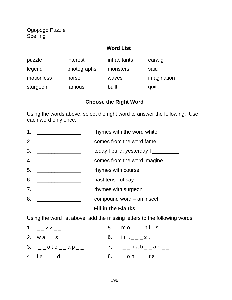Ogopogo Puzzle Spelling

#### **Word List**

| puzzle     | interest    | inhabitants | earwig      |
|------------|-------------|-------------|-------------|
| legend     | photographs | monsters    | said        |
| motionless | horse       | waves       | imagination |
| sturgeon   | famous      | built       | quite       |

#### **Choose the Right Word**

Using the words above, select the right word to answer the following. Use each word only once.

- 1. \_\_\_\_\_\_\_\_\_\_\_\_\_\_\_\_\_\_\_\_ rhymes with the word white
- 2. \_\_\_\_\_\_\_\_\_\_\_\_\_\_\_ comes from the word fame
- 3. \_\_\_\_\_\_\_\_\_\_\_\_\_\_\_\_\_\_\_\_\_\_ today I build, yesterday I \_\_\_\_\_\_\_\_\_\_
- 4. \_\_\_\_\_\_\_\_\_\_\_\_\_\_\_ comes from the word imagine
- 5. \_\_\_\_\_\_\_\_\_\_\_\_\_\_\_\_\_\_\_\_\_ rhymes with course
- 6. \_\_\_\_\_\_\_\_\_\_\_\_\_\_\_\_\_\_\_\_ past tense of say
- 7. \_\_\_\_\_\_\_\_\_\_\_\_\_\_\_\_\_\_\_\_\_ rhymes with surgeon
- 8. \_\_\_\_\_\_\_\_\_\_\_\_\_\_\_ compound word an insect

#### **Fill in the Blanks**

Using the word list above, add the missing letters to the following words.

| 1. $Z = Z - 1$                 | 5. $mo_{---}nl$ s              |
|--------------------------------|--------------------------------|
| 2. $WA_{--}$ s                 | 6. $int_{--}$ st               |
| 3. $_{-}$ oto $_{-}$ ap $_{-}$ | 7. $_{-}$ hab $_{-}$ an $_{-}$ |
| 4. $1e_{---}d$                 | 8. $\_$ on $\_$ $\_$ r s       |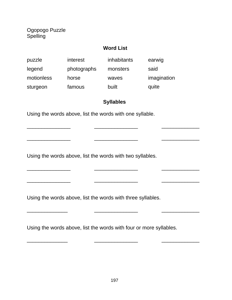Ogopogo Puzzle Spelling

#### **Word List**

| puzzle     | interest    | inhabitants | earwig      |
|------------|-------------|-------------|-------------|
| legend     | photographs | monsters    | said        |
| motionless | horse       | waves       | imagination |
| sturgeon   | famous      | built       | quite       |

#### **Syllables**

\_\_\_\_\_\_\_\_\_\_\_\_\_\_\_ \_\_\_\_\_\_\_\_\_\_\_\_\_\_\_ \_\_\_\_\_\_\_\_\_\_\_\_\_

\_\_\_\_\_\_\_\_\_\_\_\_\_\_\_ \_\_\_\_\_\_\_\_\_\_\_\_\_\_\_ \_\_\_\_\_\_\_\_\_\_\_\_\_

\_\_\_\_\_\_\_\_\_\_\_\_\_\_\_ \_\_\_\_\_\_\_\_\_\_\_\_\_\_\_ \_\_\_\_\_\_\_\_\_\_\_\_\_

\_\_\_\_\_\_\_\_\_\_\_\_\_\_ \_\_\_\_\_\_\_\_\_\_\_\_\_\_\_ \_\_\_\_\_\_\_\_\_\_\_\_\_

\_\_\_\_\_\_\_\_\_\_\_\_\_\_ \_\_\_\_\_\_\_\_\_\_\_\_\_\_\_ \_\_\_\_\_\_\_\_\_\_\_\_\_

Using the words above, list the words with one syllable.

Using the words above, list the words with two syllables.

\_\_\_\_\_\_\_\_\_\_\_\_\_\_\_ \_\_\_\_\_\_\_\_\_\_\_\_\_\_\_ \_\_\_\_\_\_\_\_\_\_\_\_\_

Using the words above, list the words with three syllables.

Using the words above, list the words with four or more syllables.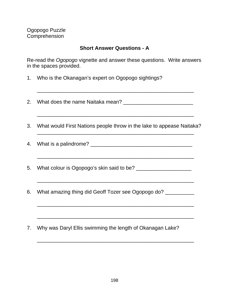#### **Short Answer Questions - A**

Re-read the Ogopogo vignette and answer these questions. Write answers in the spaces provided.

\_\_\_\_\_\_\_\_\_\_\_\_\_\_\_\_\_\_\_\_\_\_\_\_\_\_\_\_\_\_\_\_\_\_\_\_\_\_\_\_\_\_\_\_\_\_\_\_\_\_\_\_\_\_

- 1. Who is the Okanagan's expert on Ogopogo sightings?
- 2. What does the name Naitaka mean? \_\_\_\_\_\_\_\_\_\_\_\_\_\_\_\_\_\_\_\_\_\_\_\_ \_\_\_\_\_\_\_\_\_\_\_\_\_\_\_\_\_\_\_\_\_\_\_\_\_\_\_\_\_\_\_\_\_\_\_\_\_\_\_\_\_\_\_\_\_\_\_\_\_\_\_\_\_\_ 3. What would First Nations people throw in the lake to appease Naitaka? \_\_\_\_\_\_\_\_\_\_\_\_\_\_\_\_\_\_\_\_\_\_\_\_\_\_\_\_\_\_\_\_\_\_\_\_\_\_\_\_\_\_\_\_\_\_\_\_\_\_\_\_\_\_ 4. What is a palindrome? \_\_\_\_\_\_\_\_\_\_\_\_\_\_\_\_\_\_\_\_\_\_\_\_\_\_\_\_\_\_\_\_\_\_\_ \_\_\_\_\_\_\_\_\_\_\_\_\_\_\_\_\_\_\_\_\_\_\_\_\_\_\_\_\_\_\_\_\_\_\_\_\_\_\_\_\_\_\_\_\_\_\_\_\_\_\_\_\_\_ 5. What colour is Ogopogo's skin said to be? \_\_\_\_\_\_\_\_\_\_\_\_\_\_\_\_\_\_\_ \_\_\_\_\_\_\_\_\_\_\_\_\_\_\_\_\_\_\_\_\_\_\_\_\_\_\_\_\_\_\_\_\_\_\_\_\_\_\_\_\_\_\_\_\_\_\_\_\_\_\_\_\_\_ 6. What amazing thing did Geoff Tozer see Ogopogo do? \_\_\_\_\_\_\_\_\_\_ \_\_\_\_\_\_\_\_\_\_\_\_\_\_\_\_\_\_\_\_\_\_\_\_\_\_\_\_\_\_\_\_\_\_\_\_\_\_\_\_\_\_\_\_\_\_\_\_\_\_\_\_\_\_ \_\_\_\_\_\_\_\_\_\_\_\_\_\_\_\_\_\_\_\_\_\_\_\_\_\_\_\_\_\_\_\_\_\_\_\_\_\_\_\_\_\_\_\_\_\_\_\_\_\_\_\_\_\_ 7. Why was Daryl Ellis swimming the length of Okanagan Lake?

\_\_\_\_\_\_\_\_\_\_\_\_\_\_\_\_\_\_\_\_\_\_\_\_\_\_\_\_\_\_\_\_\_\_\_\_\_\_\_\_\_\_\_\_\_\_\_\_\_\_\_\_\_\_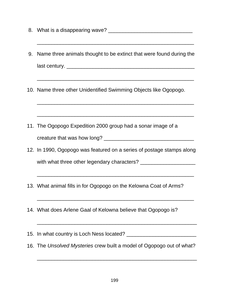- 8. What is a disappearing wave? \_\_\_\_\_\_\_\_\_\_\_\_\_\_\_\_\_\_\_\_\_\_\_\_\_\_\_\_\_
- 9. Name three animals thought to be extinct that were found during the last century. \_\_\_\_\_\_\_\_\_\_\_\_\_\_\_\_\_\_\_\_\_\_\_\_\_\_\_\_\_\_\_\_\_\_\_\_\_\_\_\_\_\_\_\_

\_\_\_\_\_\_\_\_\_\_\_\_\_\_\_\_\_\_\_\_\_\_\_\_\_\_\_\_\_\_\_\_\_\_\_\_\_\_\_\_\_\_\_\_\_\_\_\_\_\_\_\_\_\_

\_\_\_\_\_\_\_\_\_\_\_\_\_\_\_\_\_\_\_\_\_\_\_\_\_\_\_\_\_\_\_\_\_\_\_\_\_\_\_\_\_\_\_\_\_\_\_\_\_\_\_\_\_\_

\_\_\_\_\_\_\_\_\_\_\_\_\_\_\_\_\_\_\_\_\_\_\_\_\_\_\_\_\_\_\_\_\_\_\_\_\_\_\_\_\_\_\_\_\_\_\_\_\_\_\_\_\_\_

\_\_\_\_\_\_\_\_\_\_\_\_\_\_\_\_\_\_\_\_\_\_\_\_\_\_\_\_\_\_\_\_\_\_\_\_\_\_\_\_\_\_\_\_\_\_\_\_\_\_\_\_\_\_

- 10. Name three other Unidentified Swimming Objects like Ogopogo.
- 11. The Ogopogo Expedition 2000 group had a sonar image of a creature that was how long? \_\_\_\_\_\_\_\_\_\_\_\_\_\_\_\_\_\_\_\_\_\_\_\_\_\_\_\_\_\_\_
- 12. In 1990, Ogopogo was featured on a series of postage stamps along with what three other legendary characters? \_\_\_\_\_\_\_\_\_\_\_\_\_\_\_\_\_\_\_

\_\_\_\_\_\_\_\_\_\_\_\_\_\_\_\_\_\_\_\_\_\_\_\_\_\_\_\_\_\_\_\_\_\_\_\_\_\_\_\_\_\_\_\_\_\_\_\_\_\_\_\_\_\_

\_\_\_\_\_\_\_\_\_\_\_\_\_\_\_\_\_\_\_\_\_\_\_\_\_\_\_\_\_\_\_\_\_\_\_\_\_\_\_\_\_\_\_\_\_\_\_\_\_\_\_\_\_\_

\_\_\_\_\_\_\_\_\_\_\_\_\_\_\_\_\_\_\_\_\_\_\_\_\_\_\_\_\_\_\_\_\_\_\_\_\_\_\_\_\_\_\_\_\_\_\_\_\_\_\_\_\_\_\_

- 13. What animal fills in for Ogopogo on the Kelowna Coat of Arms?
- 14. What does Arlene Gaal of Kelowna believe that Ogopogo is?

15. In what country is Loch Ness located? **We are all the contract of the set of the contract of the set of the contract of the contract of the contract of the contract of the contract of the contract of the contract of th** 

16. The Unsolved Mysteries crew built a model of Ogopogo out of what?

\_\_\_\_\_\_\_\_\_\_\_\_\_\_\_\_\_\_\_\_\_\_\_\_\_\_\_\_\_\_\_\_\_\_\_\_\_\_\_\_\_\_\_\_\_\_\_\_\_\_\_\_\_\_\_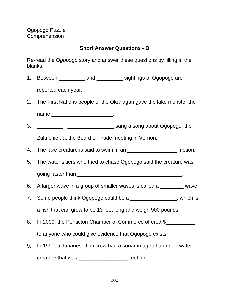# **Short Answer Questions - B**

Re-read the Ogopogo story and answer these questions by filling in the blanks.

1. Between \_\_\_\_\_\_\_\_\_ and \_\_\_\_\_\_\_\_\_ sightings of Ogopogo are

reported each year.

2. The First Nations people of the Okanagan gave the lake monster the

name \_\_\_\_\_\_\_\_\_\_\_\_\_\_\_\_\_\_\_\_\_\_\_\_\_\_\_\_\_\_\_\_.

3. \_\_\_\_\_\_\_\_\_ \_\_\_\_\_\_\_\_\_\_\_\_\_\_\_\_ sang a song about Ogopogo, the

Zulu chief, at the Board of Trade meeting in Vernon.

- 4. The lake creature is said to swim in an  $\blacksquare$  motion.
- 5. The water skiers who tried to chase Ogopogo said the creature was going faster than  $\blacksquare$
- 6. A larger wave in a group of smaller waves is called a \_\_\_\_\_\_\_\_ wave.
- 7. Some people think Ogopogo could be a \_\_\_\_\_\_\_\_\_\_\_\_\_\_\_, which is a fish that can grow to be 13 feet long and weigh 900 pounds.
- 8. In 2000, the Penticton Chamber of Commerce offered \$ to anyone who could give evidence that Ogopogo exists.
- 9. In 1990, a Japanese film crew had a sonar image of an underwater creature that was \_\_\_\_\_\_\_\_\_\_\_\_\_\_\_\_\_ feet long.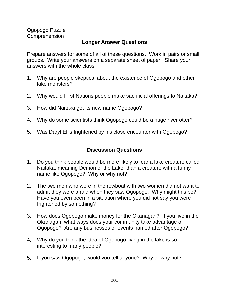Ogopogo Puzzle **Comprehension** 

#### **Longer Answer Questions**

Prepare answers for some of all of these questions. Work in pairs or small groups. Write your answers on a separate sheet of paper. Share your answers with the whole class.

- 1. Why are people skeptical about the existence of Ogopogo and other lake monsters?
- 2. Why would First Nations people make sacrificial offerings to Naitaka?
- 3. How did Naitaka get its new name Ogopogo?
- 4. Why do some scientists think Ogopogo could be a huge river otter?
- 5. Was Daryl Ellis frightened by his close encounter with Ogopogo?

#### **Discussion Questions**

- 1. Do you think people would be more likely to fear a lake creature called Naitaka, meaning Demon of the Lake, than a creature with a funny name like Ogopogo? Why or why not?
- 2. The two men who were in the rowboat with two women did not want to admit they were afraid when they saw Ogopogo. Why might this be? Have you even been in a situation where you did not say you were frightened by something?
- 3. How does Ogopogo make money for the Okanagan? If you live in the Okanagan, what ways does your community take advantage of Ogopogo? Are any businesses or events named after Ogopogo?
- 4. Why do you think the idea of Ogopogo living in the lake is so interesting to many people?
- 5. If you saw Ogopogo, would you tell anyone? Why or why not?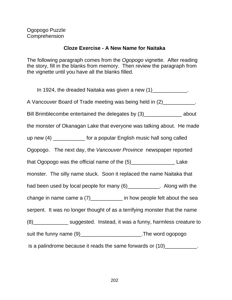#### **Cloze Exercise - A New Name for Naitaka**

The following paragraph comes from the Ogopogo vignette. After reading the story, fill in the blanks from memory. Then review the paragraph from the vignette until you have all the blanks filled.

In 1924, the dreaded Naitaka was given a new  $(1)$  \_\_\_\_\_\_\_\_\_\_\_\_\_. A Vancouver Board of Trade meeting was being held in (2)\_\_\_\_\_\_\_\_\_\_\_\_. Bill Brimblecombe entertained the delegates by (3) about the monster of Okanagan Lake that everyone was talking about. He made up new (4) \_\_\_\_\_\_\_\_\_\_\_\_ for a popular English music hall song called Ogopogo. The next day, the Vancouver Province newspaper reported that Ogopogo was the official name of the (5)\_\_\_\_\_\_\_\_\_\_\_\_\_\_\_ Lake monster. The silly name stuck. Soon it replaced the name Naitaka that had been used by local people for many  $(6)$  \_\_\_\_\_\_\_\_\_\_\_. Along with the change in name came a (7) how people felt about the sea serpent. It was no longer thought of as a terrifying monster that the name (8)\_\_\_\_\_\_\_\_\_\_\_\_ suggested. Instead, it was a funny, harmless creature to suit the funny name (9) suit the funny name (9) is a palindrome because it reads the same forwards or  $(10)$ \_\_\_\_\_\_\_\_\_\_\_\_.

202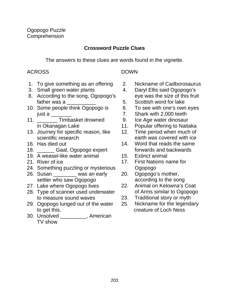# **Crossword Puzzle Clues**

The answers to these clues are words found in the vignette.

#### ACROSS DOWN

- 1. To give something as an offering 2. Nickname of Cadborosaurus
- 
- 8. According to the song, Ogopogo's eye was the size of this fruit father was a  $\overline{\phantom{a}}$  5. Scottish word for lake
- 10. Some people think Ogopogo is 6. To see with one's own eyes just a \_\_\_\_\_\_\_ 7. Shark with 2,000 teeth
- 11. Timbasket drowned 9. Ice Age water dinosaur
- 13. Journey for specific reason, like 12. Time period when much of
- 
- 18. **Example 20 Gaal, Ogopogo expert forwards and backwards**
- 19. A weasel-like water animal **15.** Extinct animal
- 
- 24. Something puzzling or mysterious Cgopogo
- 26. Susan \_\_\_\_\_\_\_\_ was an early 20. Ogopogo's mother, settler who saw Ogopogo **according to the song**
- 
- 28. Type of scanner used underwater of Arms similar to Ogopogo to measure sound waves 23. Traditional story or myth
- 29. Ogopogo lunged out of the water 25. Nickname for the legendary to get this. creature of Loch Ness
- 30. Unsolved \_\_\_\_\_\_\_\_\_, American TV show

- 
- 3. Small green water plants 4. Daryl Ellis said Ogopogo's
	-
	-
	-
	-
	- in Okanagan Lake 11. Popular offering to Naitaka
	- scientific research earth was covered with ice
- 16. Has died out 14. Word that reads the same
	-
- 21. River of ice 17. First Nations name for
	-
- 27. Lake where Ogopogo lives 22. Animal on Kelowna's Coat
	-
	-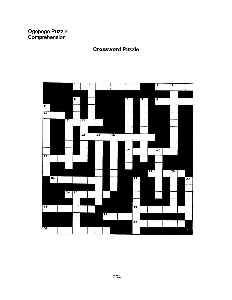# Ogopogo Puzzle<br>Comprehension

#### **Crossword Puzzle**

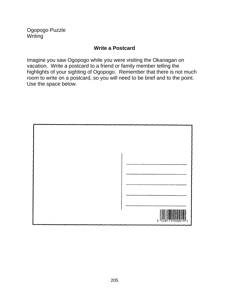Ogopogo Puzzle **Writing** 

#### **Write a Postcard**

Imagine you saw Ogopogo while you were visiting the Okanagan on vacation. Write a postcard to a friend or family member telling the highlights of your sighting of Ogopogo. Remember that there is not much room to write on a postcard, so you will need to be brief and to the point. Use the space below.

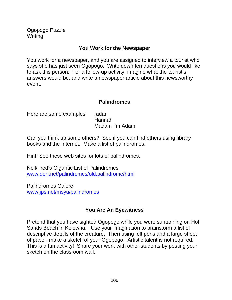Ogopogo Puzzle **Writing** 

#### **You Work for the Newspaper**

You work for a newspaper, and you are assigned to interview a tourist who says she has just seen Ogopogo. Write down ten questions you would like to ask this person. For a follow-up activity, imagine what the tourist's answers would be, and write a newspaper article about this newsworthy event.

#### **Palindromes**

| Here are some examples: radar |                |
|-------------------------------|----------------|
|                               | Hannah         |
|                               | Madam I'm Adam |

Can you think up some others? See if you can find others using library books and the Internet. Make a list of palindromes.

Hint: See these web sites for lots of palindromes.

Neil/Fred's Gigantic List of Palindromes www.derf.net/palindromes/old.palindrome/html

Palindromes Galore www.jps.net/msyu/palindromes

# **You Are An Eyewitness**

Pretend that you have sighted Ogopogo while you were suntanning on Hot Sands Beach in Kelowna. Use your imagination to brainstorm a list of descriptive details of the creature. Then using felt pens and a large sheet of paper, make a sketch of your Ogopogo. Artistic talent is not required. This is a fun activity! Share your work with other students by posting your sketch on the classroom wall.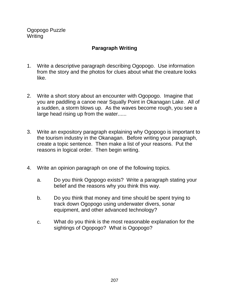Ogopogo Puzzle **Writing** 

# **Paragraph Writing**

- 1. Write a descriptive paragraph describing Ogopogo. Use information from the story and the photos for clues about what the creature looks like.
- 2. Write a short story about an encounter with Ogopogo. Imagine that you are paddling a canoe near Squally Point in Okanagan Lake. All of a sudden, a storm blows up. As the waves become rough, you see a large head rising up from the water......
- 3. Write an expository paragraph explaining why Ogopogo is important to the tourism industry in the Okanagan. Before writing your paragraph, create a topic sentence. Then make a list of your reasons. Put the reasons in logical order. Then begin writing.
- 4. Write an opinion paragraph on one of the following topics.
	- a. Do you think Ogopogo exists? Write a paragraph stating your belief and the reasons why you think this way.
	- b. Do you think that money and time should be spent trying to track down Ogopogo using underwater divers, sonar equipment, and other advanced technology?
	- c. What do you think is the most reasonable explanation for the sightings of Ogopogo? What is Ogopogo?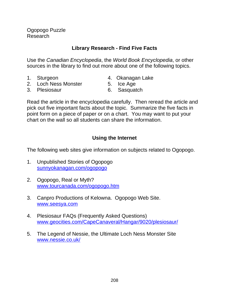Ogopogo Puzzle Research

# **Library Research - Find Five Facts**

Use the Canadian Encyclopedia, the World Book Encyclopedia, or other sources in the library to find out more about one of the following topics.

- 
- 1. Sturgeon 1. Sturgeon 4. Okanagan Lake
- 2. Loch Ness Monster 5. Ice Age
	-
- 3. Plesiosaur 6. Sasquatch

Read the article in the encyclopedia carefully. Then reread the article and pick out five important facts about the topic. Summarize the five facts in point form on a piece of paper or on a chart. You may want to put your chart on the wall so all students can share the information.

# **Using the Internet**

The following web sites give information on subjects related to Ogopogo.

- 1. Unpublished Stories of Ogopogo sunnyokanagan.com/ogopogo
- 2. Ogopogo, Real or Myth? www.tourcanada.com/ogopogo.htm
- 3. Canpro Productions of Kelowna. Ogopogo Web Site. www.seesya.com
- 4. Plesiosaur FAQs (Frequently Asked Questions) www.geocities.com/CapeCanaveral/Hangar/9020/plesiosaur/
- 5. The Legend of Nessie, the Ultimate Loch Ness Monster Site www.nessie.co.uk/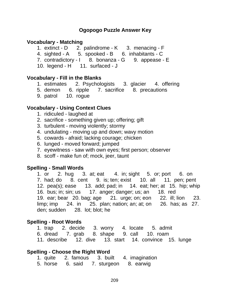#### **Ogopogo Puzzle Answer Key**

#### **Vocabulary - Matching**

- 1. extinct D 2. palindrome K 3. menacing F
- 4. sighted A 5. spooked B 6. inhabitants C
- 7. contradictory I 8. bonanza G 9. appease E
- 10. legend H 11. surfaced J

#### **Vocabulary - Fill in the Blanks**

- 1. estimates 2. Psychologists 3. glacier 4. offering
- 5. demon 6. ripple 7. sacrifice 8. precautions
- 9. patrol 10. rogue

#### **Vocabulary - Using Context Clues**

- 1. ridiculed laughed at
- 2. sacrifice something given up; offering; gift
- 3. turbulent moving violently; stormy
- 4. undulating moving up and down; wavy motion
- 5. cowards afraid; lacking courage; chicken
- 6. lunged moved forward; jumped
- 7. eyewitness saw with own eyes; first person; observer
- 8. scoff make fun of; mock, jeer, taunt

#### **Spelling - Small Words**

1. or 2. hug 3. at; eat 4. in; sight 5. or; port 6. on 7. had; do 8. cent 9. is; ten; exist 10. all 11. pen; pent 12. pea(s); ease 13. add; pad; in 14. eat; her; at 15. hip; whip 16. bus; in; sin; us 17. anger; danger; us; an 18. red 19. ear; bear 20. bag; age 21. urge; on; eon 22. ill; lion 23. limp; imp  $24.$  in  $25.$  plan; nation; an; at; on  $26.$  has; as 27. den; sudden 28. lot; blot; he

#### **Spelling - Root Words**

|  |  |  |  | 1. trap 2. decide 3. worry 4. locate 5. admit          |  |
|--|--|--|--|--------------------------------------------------------|--|
|  |  |  |  | 6. dread 7. grab 8. shape 9. call 10. roam             |  |
|  |  |  |  | 11. describe 12. dive 13. start 14. convince 15. lunge |  |

#### **Spelling - Choose the Right Word**

- 1. quite 2. famous 3. built 4. imagination
- 5. horse 6. said 7. sturgeon 8. earwig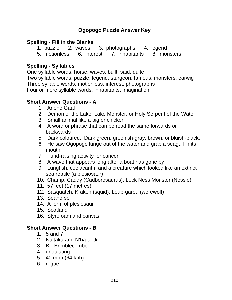# **Ogopogo Puzzle Answer Key**

#### **Spelling - Fill in the Blanks**

- 1. puzzle 2. waves 3. photographs 4. legend
- 5. motionless 6. interest 7. inhabitants 8. monsters

#### **Spelling - Syllables**

One syllable words: horse, waves, built, said, quite

Two syllable words: puzzle, legend, sturgeon, famous, monsters, earwig Three syllable words: motionless, interest, photographs Four or more syllable words: inhabitants, imagination

# **Short Answer Questions - A**

- 1. Arlene Gaal
- 2. Demon of the Lake, Lake Monster, or Holy Serpent of the Water
- 3. Small animal like a pig or chicken
- 4. A word or phrase that can be read the same forwards or backwards
- 5. Dark coloured. Dark green, greenish-gray, brown, or bluish-black.
- 6. He saw Ogopogo lunge out of the water and grab a seagull in its mouth.
- 7. Fund-raising activity for cancer
- 8. A wave that appears long after a boat has gone by
- 9. Lungfish, coelacanth, and a creature which looked like an extinct sea reptile (a plesiosaur)
- 10. Champ, Caddy (Cadborosaurus), Lock Ness Monster (Nessie)
- 11. 57 feet (17 metres)
- 12. Sasquatch, Kraken (squid), Loup-garou (werewolf)
- 13. Seahorse
- 14. A form of plesiosaur
- 15. Scotland
- 16. Styrofoam and canvas

# **Short Answer Questions - B**

- 1. 5 and 7
- 2. Naitaka and N'ha-a-itk
- 3. Bill Brimblecombe
- 4. undulating
- 5. 40 mph (64 kph)
- 6. rogue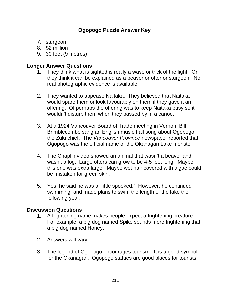# **Ogopogo Puzzle Answer Key**

- 7. sturgeon
- 8. \$2 million
- 9. 30 feet (9 metres)

#### **Longer Answer Questions**

- 1. They think what is sighted is really a wave or trick of the light. Or they think it can be explained as a beaver or otter or sturgeon. No real photographic evidence is available.
- 2. They wanted to appease Naitaka. They believed that Naitaka would spare them or look favourably on them if they gave it an offering. Of perhaps the offering was to keep Naitaka busy so it wouldn't disturb them when they passed by in a canoe.
- 3. At a 1924 Vancouver Board of Trade meeting in Vernon, Bill Brimblecombe sang an English music hall song about Ogopogo, the Zulu chief. The Vancouver Province newspaper reported that Ogopogo was the official name of the Okanagan Lake monster.
- 4. The Chaplin video showed an animal that wasn't a beaver and wasn't a log. Large otters can grow to be 4-5 feet long. Maybe this one was extra large. Maybe wet hair covered with algae could be mistaken for green skin.
- 5. Yes, he said he was a "little spooked." However, he continued swimming, and made plans to swim the length of the lake the following year.

# **Discussion Questions**

- 1. A frightening name makes people expect a frightening creature. For example, a big dog named Spike sounds more frightening that a big dog named Honey.
- 2. Answers will vary.
- 3. The legend of Ogopogo encourages tourism. It is a good symbol for the Okanagan. Ogopogo statues are good places for tourists